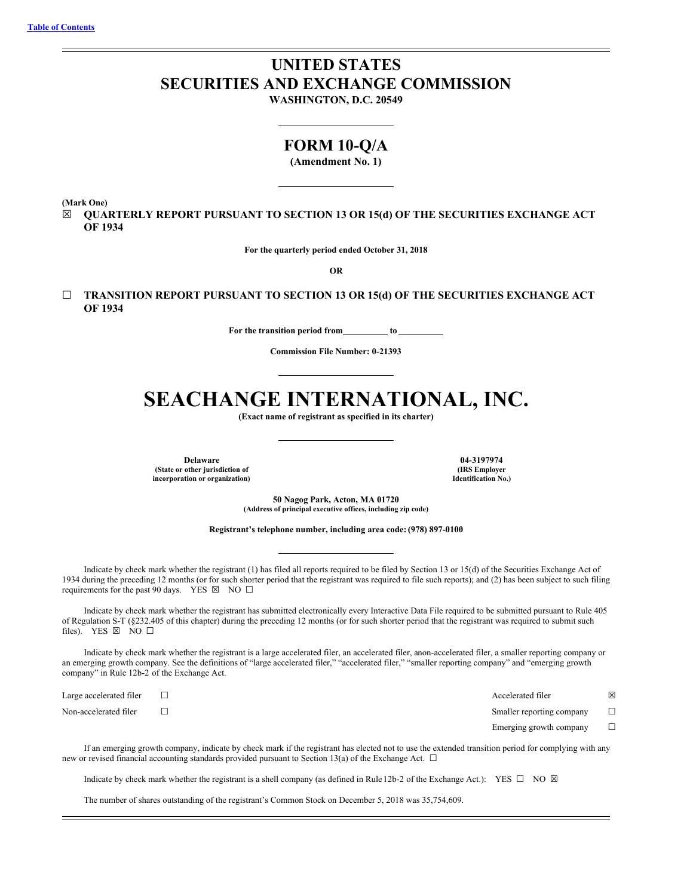# **UNITED STATES SECURITIES AND EXCHANGE COMMISSION**

**WASHINGTON, D.C. 20549**

# **FORM 10-Q/A**

**(Amendment No. 1)**

**(Mark One)**

☒ **QUARTERLY REPORT PURSUANT TO SECTION 13 OR 15(d) OF THE SECURITIES EXCHANGE ACT OF 1934**

**For the quarterly period ended October 31, 2018**

**OR**

☐ **TRANSITION REPORT PURSUANT TO SECTION 13 OR 15(d) OF THE SECURITIES EXCHANGE ACT OF 1934**

**For the transition period from to**

**Commission File Number: 0-21393**

# **SEACHANGE INTERNATIONAL, INC.**

**(Exact name of registrant as specified in its charter)**

**Delaware 04-3197974 (State or other jurisdiction of incorporation or organization)**

**(IRS Employer Identification No.)**

**50 Nagog Park, Acton, MA 01720 (Address of principal executive offices, including zip code)**

**Registrant's telephone number, including area code: (978) 897-0100**

Indicate by check mark whether the registrant (1) has filed all reports required to be filed by Section 13 or 15(d) of the Securities Exchange Act of 1934 during the preceding 12 months (or for such shorter period that the registrant was required to file such reports); and (2) has been subject to such filing requirements for the past 90 days. YES  $\boxtimes$  NO  $\Box$ 

Indicate by check mark whether the registrant has submitted electronically every Interactive Data File required to be submitted pursuant to Rule 405 of Regulation S-T (§232.405 of this chapter) during the preceding 12 months (or for such shorter period that the registrant was required to submit such files). YES  $\boxtimes$  NO  $\square$ 

Indicate by check mark whether the registrant is a large accelerated filer, an accelerated filer, anon-accelerated filer, a smaller reporting company or an emerging growth company. See the definitions of "large accelerated filer," "accelerated filer," "smaller reporting company" and "emerging growth company" in Rule 12b-2 of the Exchange Act.

Large accelerated filer □ □ □ □ □ □ □ □ □ □ □ □ △ □ □ △ □ □ △ △ □ □ △ △ □ □ △ △ □ □ △ △ □ □ △ △ □ □ △ △ □ □ △ △ □ □ △ △ □ □ △ △ □ □ △ △ □ □ △ △ □ □ △ △ □ □ △ △ □ □ △ △ □ □ △ △ □ □ △ △ □ □ △ △ □ □ △ △ □ □ △ △ □ □ △ △ □ □ △ Non-accelerated filer <del>□</del>

Emerging growth company  $\Box$ 

If an emerging growth company, indicate by check mark if the registrant has elected not to use the extended transition period for complying with any new or revised financial accounting standards provided pursuant to Section 13(a) of the Exchange Act.  $\Box$ 

Indicate by check mark whether the registrant is a shell company (as defined in Rule 12b-2 of the Exchange Act.): YES  $\Box$  NO  $\boxtimes$ 

The number of shares outstanding of the registrant's Common Stock on December 5, 2018 was 35,754,609.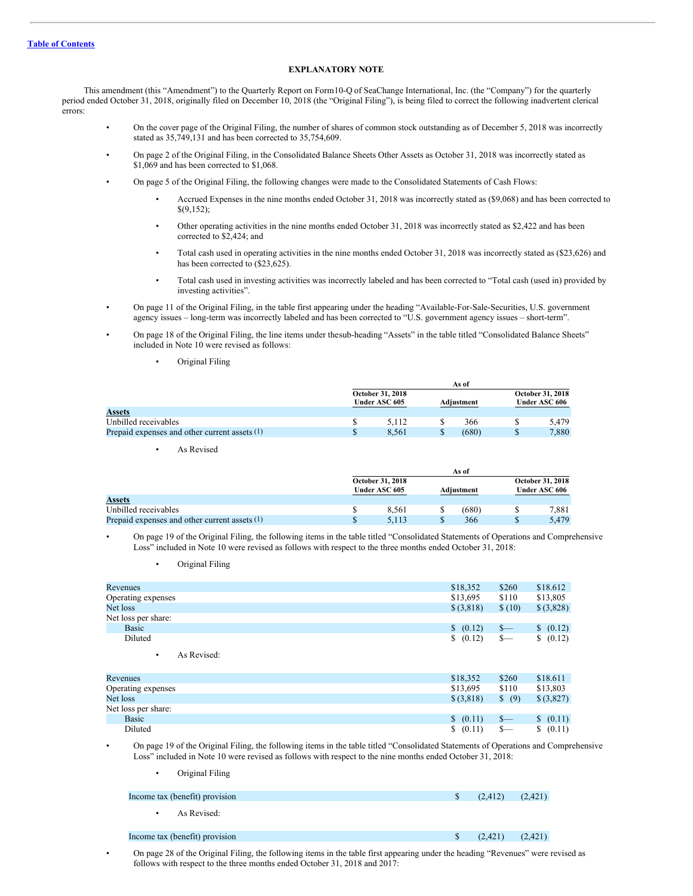## **EXPLANATORY NOTE**

This amendment (this "Amendment") to the Quarterly Report on Form10-Q of SeaChange International, Inc. (the "Company") for the quarterly period ended October 31, 2018, originally filed on December 10, 2018 (the "Original Filing"), is being filed to correct the following inadvertent clerical errors:

- On the cover page of the Original Filing, the number of shares of common stock outstanding as of December 5, 2018 was incorrectly stated as 35,749,131 and has been corrected to 35,754,609.
- On page 2 of the Original Filing, in the Consolidated Balance Sheets Other Assets as October 31, 2018 was incorrectly stated as \$1,069 and has been corrected to \$1,068.
- On page 5 of the Original Filing, the following changes were made to the Consolidated Statements of Cash Flows:
	- Accrued Expenses in the nine months ended October 31, 2018 was incorrectly stated as (\$9,068) and has been corrected to \$(9,152);
	- Other operating activities in the nine months ended October 31, 2018 was incorrectly stated as \$2,422 and has been corrected to \$2,424; and
	- Total cash used in operating activities in the nine months ended October 31, 2018 was incorrectly stated as (\$23,626) and has been corrected to (\$23,625).
	- Total cash used in investing activities was incorrectly labeled and has been corrected to "Total cash (used in) provided by investing activities".
- On page 11 of the Original Filing, in the table first appearing under the heading "Available-For-Sale-Securities, U.S. government agency issues – long-term was incorrectly labeled and has been corrected to "U.S. government agency issues – short-term".
- On page 18 of the Original Filing, the line items under thesub-heading "Assets" in the table titled "Consolidated Balance Sheets" included in Note 10 were revised as follows:
	- Original Filing

|                                                 |                                          | As of      |                                   |
|-------------------------------------------------|------------------------------------------|------------|-----------------------------------|
|                                                 | <b>October 31, 2018</b><br>Under ASC 605 | Adjustment | October 31, 2018<br>Under ASC 606 |
| <b>Assets</b>                                   |                                          |            |                                   |
| Unbilled receivables                            | 5.112                                    | 366        | 5.479                             |
| Prepaid expenses and other current assets $(1)$ | 8.561                                    | (680)      | 7.880                             |

As Revised

|                                                 |                                   | As of      |                                   |
|-------------------------------------------------|-----------------------------------|------------|-----------------------------------|
|                                                 | October 31, 2018<br>Under ASC 605 | Adiustment | October 31, 2018<br>Under ASC 606 |
| <b>Assets</b>                                   |                                   |            |                                   |
| Unbilled receivables                            | 8.561                             | (680)      | 7.881                             |
| Prepaid expenses and other current assets $(1)$ | 5.113                             | 366        | 5.479                             |

• On page 19 of the Original Filing, the following items in the table titled "Consolidated Statements of Operations and Comprehensive Loss" included in Note 10 were revised as follows with respect to the three months ended October 31, 2018:

• Original Filing

• Original Filing

| Revenues            | \$18,352                 | \$260   | \$18.612               |
|---------------------|--------------------------|---------|------------------------|
| Operating expenses  | \$13,695                 | \$110   | \$13,805               |
| Net loss            | \$ (3,818)               | \$(10)  | \$(3,828)              |
| Net loss per share: |                          |         |                        |
| <b>Basic</b>        | (0.12)<br>$\mathbb{S}^-$ | $s-$    | (0.12)                 |
| Diluted             | \$<br>(0.12)             | $s-$    | \$<br>(0.12)           |
| As Revised:<br>٠    |                          |         |                        |
| Revenues            | \$18,352                 | \$260   | \$18.611               |
| Operating expenses  | \$13,695                 | \$110   | \$13,803               |
| Net loss            | $$$ $(3,818)$            | (9)     | \$ (3,827)             |
| Net loss per share: |                          |         |                        |
| <b>Basic</b>        | (0.11)<br>$\mathbb{S}$   | $s-$    | (0.11)<br>$\mathbb{S}$ |
| Diluted             | \$<br>(0.11)             | $_{s-}$ | S.<br>(0.11)           |

• On page 19 of the Original Filing, the following items in the table titled "Consolidated Statements of Operations and Comprehensive Loss" included in Note 10 were revised as follows with respect to the nine months ended October 31, 2018:

| Income tax (benefit) provision | \$<br>(2,412) | (2,421) |
|--------------------------------|---------------|---------|
| As Revised:<br>٠               |               |         |
| Income tax (benefit) provision | (2,421)       | (2,421) |

• On page 28 of the Original Filing, the following items in the table first appearing under the heading "Revenues" were revised as follows with respect to the three months ended October 31, 2018 and 2017: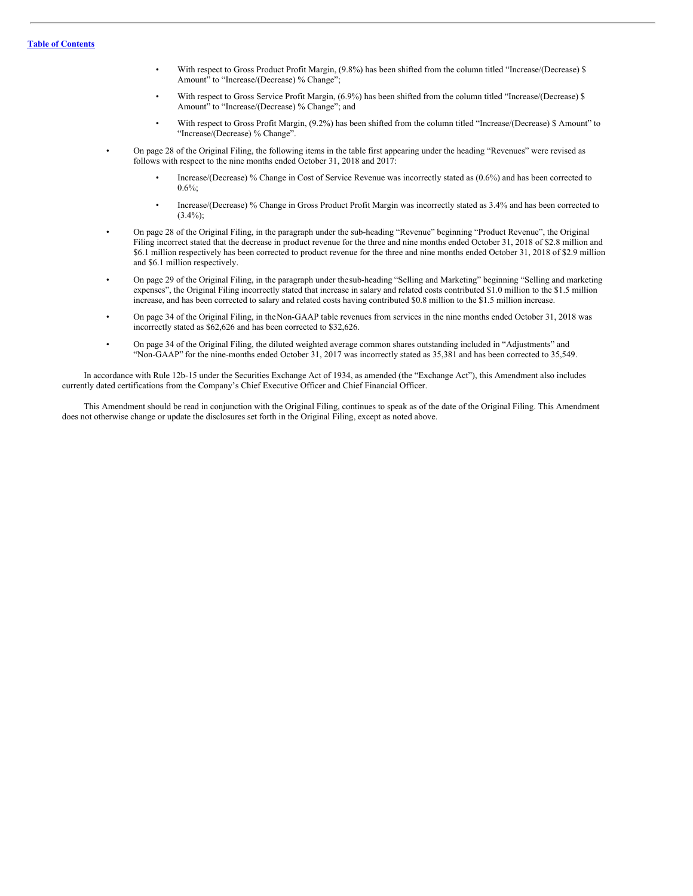- With respect to Gross Product Profit Margin,  $(9.8\%)$  has been shifted from the column titled "Increase/(Decrease) \$ Amount" to "Increase/(Decrease) % Change";
- With respect to Gross Service Profit Margin,  $(6.9%)$  has been shifted from the column titled "Increase/(Decrease) \$ Amount" to "Increase/(Decrease) % Change"; and
- With respect to Gross Profit Margin, (9.2%) has been shifted from the column titled "Increase/(Decrease) \$ Amount" to "Increase/(Decrease) % Change".
- On page 28 of the Original Filing, the following items in the table first appearing under the heading "Revenues" were revised as follows with respect to the nine months ended October 31, 2018 and 2017:
	- Increase/(Decrease) % Change in Cost of Service Revenue was incorrectly stated as (0.6%) and has been corrected to 0.6%;
	- Increase/(Decrease) % Change in Gross Product Profit Margin was incorrectly stated as 3.4% and has been corrected to  $(3.4\%)$ ;
- On page 28 of the Original Filing, in the paragraph under the sub-heading "Revenue" beginning "Product Revenue", the Original Filing incorrect stated that the decrease in product revenue for the three and nine months ended October 31, 2018 of \$2.8 million and \$6.1 million respectively has been corrected to product revenue for the three and nine months ended October 31, 2018 of \$2.9 million and \$6.1 million respectively.
- On page 29 of the Original Filing, in the paragraph under thesub-heading "Selling and Marketing" beginning "Selling and marketing expenses", the Original Filing incorrectly stated that increase in salary and related costs contributed \$1.0 million to the \$1.5 million increase, and has been corrected to salary and related costs having contributed \$0.8 million to the \$1.5 million increase.
- On page 34 of the Original Filing, in theNon-GAAP table revenues from services in the nine months ended October 31, 2018 was incorrectly stated as \$62,626 and has been corrected to \$32,626.
- On page 34 of the Original Filing, the diluted weighted average common shares outstanding included in "Adjustments" and "Non-GAAP" for the nine-months ended October 31, 2017 was incorrectly stated as 35,381 and has been corrected to 35,549.

In accordance with Rule 12b-15 under the Securities Exchange Act of 1934, as amended (the "Exchange Act"), this Amendment also includes currently dated certifications from the Company's Chief Executive Officer and Chief Financial Officer.

This Amendment should be read in conjunction with the Original Filing, continues to speak as of the date of the Original Filing. This Amendment does not otherwise change or update the disclosures set forth in the Original Filing, except as noted above.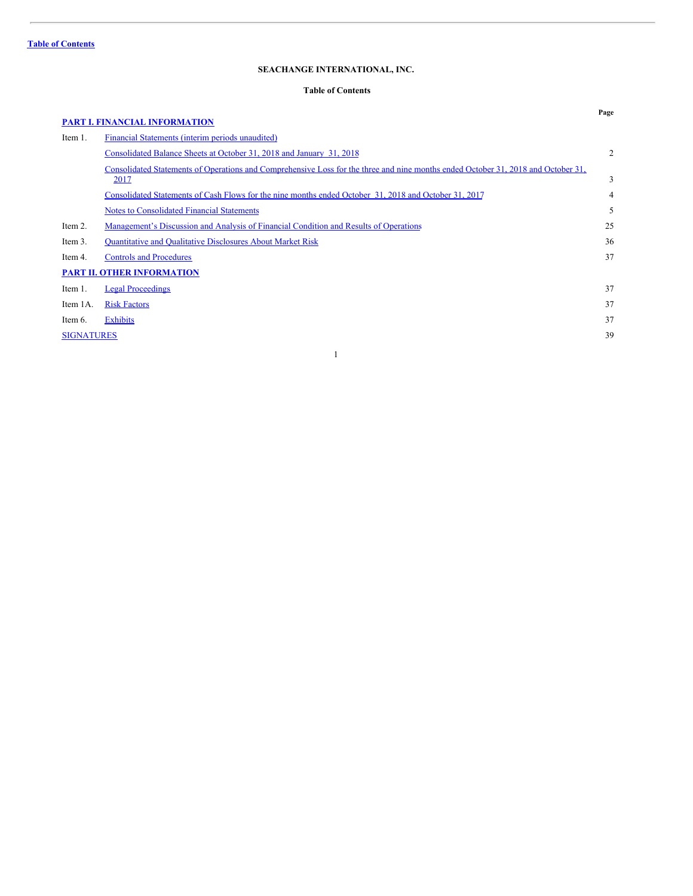# **SEACHANGE INTERNATIONAL, INC.**

## <span id="page-3-0"></span>**Table of Contents**

|                   | <b>PART I. FINANCIAL INFORMATION</b>                                                                                                      | Page           |
|-------------------|-------------------------------------------------------------------------------------------------------------------------------------------|----------------|
| Item 1.           | Financial Statements (interim periods unaudited)                                                                                          |                |
|                   | Consolidated Balance Sheets at October 31, 2018 and January 31, 2018                                                                      | $\overline{2}$ |
|                   | Consolidated Statements of Operations and Comprehensive Loss for the three and nine months ended October 31, 2018 and October 31,<br>2017 | 3              |
|                   | Consolidated Statements of Cash Flows for the nine months ended October 31, 2018 and October 31, 2017                                     | 4              |
|                   | <b>Notes to Consolidated Financial Statements</b>                                                                                         | 5              |
| Item 2.           | Management's Discussion and Analysis of Financial Condition and Results of Operations                                                     | 25             |
| Item 3.           | Quantitative and Qualitative Disclosures About Market Risk                                                                                | 36             |
| Item 4.           | <b>Controls and Procedures</b>                                                                                                            | 37             |
|                   | <b>PART II. OTHER INFORMATION</b>                                                                                                         |                |
| Item 1.           | <b>Legal Proceedings</b>                                                                                                                  | 37             |
| Item 1A.          | <b>Risk Factors</b>                                                                                                                       | 37             |
| Item 6.           | <b>Exhibits</b>                                                                                                                           | 37             |
| <b>SIGNATURES</b> |                                                                                                                                           | 39             |
|                   |                                                                                                                                           |                |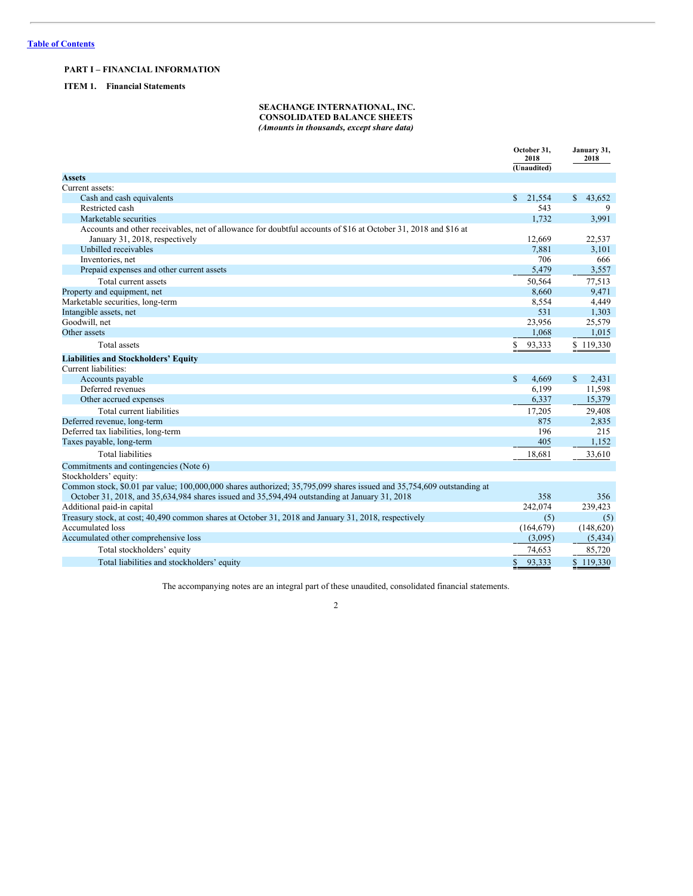# <span id="page-4-0"></span>**PART I – FINANCIAL INFORMATION**

## <span id="page-4-1"></span>**ITEM 1. Financial Statements**

## <span id="page-4-2"></span>**SEACHANGE INTERNATIONAL, INC. CONSOLIDATED BALANCE SHEETS** *(Amounts in thousands, except share data)*

|                                                                                                                       | October 31,<br>2018    | January 31,<br>2018    |
|-----------------------------------------------------------------------------------------------------------------------|------------------------|------------------------|
|                                                                                                                       | (Unaudited)            |                        |
| <b>Assets</b>                                                                                                         |                        |                        |
| Current assets:                                                                                                       |                        |                        |
| Cash and cash equivalents                                                                                             | $\mathbb{S}$<br>21,554 | $\mathbb{S}$<br>43,652 |
| Restricted cash                                                                                                       | 543                    | 9                      |
| Marketable securities                                                                                                 | 1,732                  | 3,991                  |
| Accounts and other receivables, net of allowance for doubtful accounts of \$16 at October 31, 2018 and \$16 at        |                        |                        |
| January 31, 2018, respectively                                                                                        | 12,669                 | 22,537                 |
| Unbilled receivables                                                                                                  | 7,881                  | 3,101                  |
| Inventories, net                                                                                                      | 706                    | 666                    |
| Prepaid expenses and other current assets                                                                             | 5,479                  | 3,557                  |
| Total current assets                                                                                                  | 50,564                 | 77,513                 |
| Property and equipment, net                                                                                           | 8,660                  | 9,471                  |
| Marketable securities, long-term                                                                                      | 8,554                  | 4,449                  |
| Intangible assets, net                                                                                                | 531                    | 1,303                  |
| Goodwill, net                                                                                                         | 23,956                 | 25,579                 |
| Other assets                                                                                                          | 1,068                  | 1,015                  |
| <b>Total assets</b>                                                                                                   | \$<br>93,333           | \$119,330              |
| <b>Liabilities and Stockholders' Equity</b>                                                                           |                        |                        |
| Current liabilities:                                                                                                  |                        |                        |
| Accounts payable                                                                                                      | \$.<br>4.669           | $\mathbb{S}$<br>2,431  |
| Deferred revenues                                                                                                     | 6,199                  | 11,598                 |
| Other accrued expenses                                                                                                | 6,337                  | 15,379                 |
| Total current liabilities                                                                                             | 17,205                 | 29,408                 |
| Deferred revenue, long-term                                                                                           | 875                    | 2,835                  |
| Deferred tax liabilities, long-term                                                                                   | 196                    | 215                    |
| Taxes payable, long-term                                                                                              | 405                    | 1,152                  |
| <b>Total liabilities</b>                                                                                              | 18,681                 | 33,610                 |
| Commitments and contingencies (Note 6)                                                                                |                        |                        |
| Stockholders' equity:                                                                                                 |                        |                        |
| Common stock, \$0.01 par value; 100,000,000 shares authorized; 35,795,099 shares issued and 35,754,609 outstanding at |                        |                        |
| October 31, 2018, and 35,634,984 shares issued and 35,594,494 outstanding at January 31, 2018                         | 358                    | 356                    |
| Additional paid-in capital                                                                                            | 242,074                | 239,423                |
| Treasury stock, at cost; 40,490 common shares at October 31, 2018 and January 31, 2018, respectively                  | (5)                    | (5)                    |
| <b>Accumulated loss</b>                                                                                               | (164, 679)             | (148,620)              |
| Accumulated other comprehensive loss                                                                                  | (3,095)                | (5, 434)               |
| Total stockholders' equity                                                                                            | 74,653                 | 85,720                 |
| Total liabilities and stockholders' equity                                                                            | \$<br>93,333           | \$119,330              |

The accompanying notes are an integral part of these unaudited, consolidated financial statements.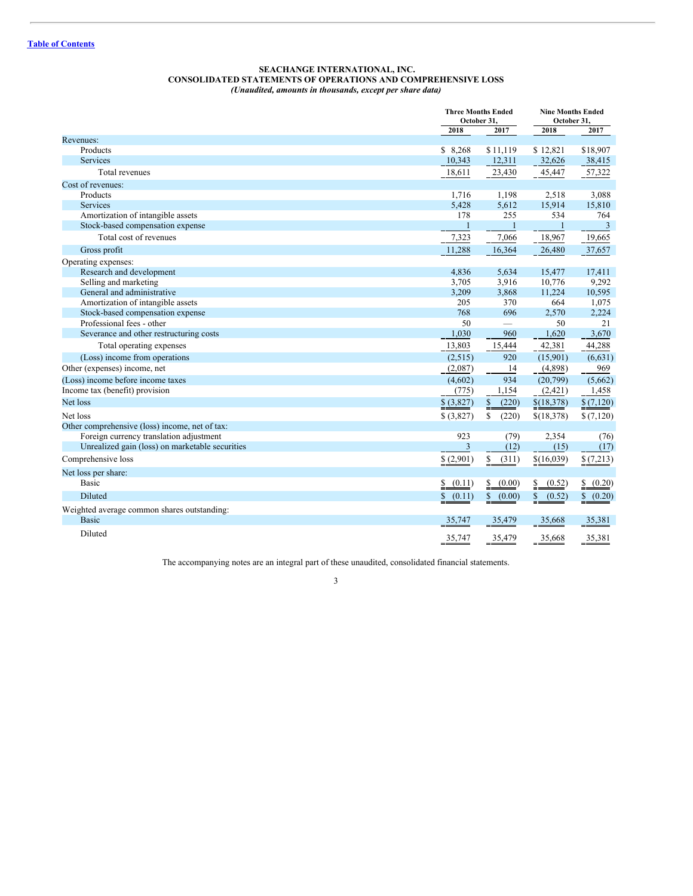#### <span id="page-5-0"></span>**SEACHANGE INTERNATIONAL, INC. CONSOLIDATED STATEMENTS OF OPERATIONS AND COMPREHENSIVE LOSS** *(Unaudited, amounts in thousands, except per share data)*

|                                                 |                         | <b>Three Months Ended</b><br>October 31. |              | <b>Nine Months Ended</b><br>October 31. |
|-------------------------------------------------|-------------------------|------------------------------------------|--------------|-----------------------------------------|
|                                                 | 2018                    | 2017                                     | 2018         | 2017                                    |
| Revenues:                                       |                         |                                          |              |                                         |
| Products                                        | \$8,268                 | \$11,119                                 | \$12,821     | \$18,907                                |
| <b>Services</b>                                 | 10,343                  | 12,311                                   | 32,626       | 38,415                                  |
| Total revenues                                  | 18,611                  | 23,430                                   | 45,447       | 57,322                                  |
| Cost of revenues:                               |                         |                                          |              |                                         |
| Products                                        | 1,716                   | 1,198                                    | 2,518        | 3,088                                   |
| <b>Services</b>                                 | 5,428                   | 5,612                                    | 15,914       | 15,810                                  |
| Amortization of intangible assets               | 178                     | 255                                      | 534          | 764                                     |
| Stock-based compensation expense                | $\mathbf{1}$            | $\mathbf{1}$                             | $\mathbf{1}$ | 3                                       |
| Total cost of revenues                          | 7,323                   | 7,066                                    | 18,967       | 19,665                                  |
| Gross profit                                    | 11,288                  | 16,364                                   | 26,480       | 37,657                                  |
| Operating expenses:                             |                         |                                          |              |                                         |
| Research and development                        | 4,836                   | 5,634                                    | 15,477       | 17,411                                  |
| Selling and marketing                           | 3,705                   | 3,916                                    | 10,776       | 9,292                                   |
| General and administrative                      | 3,209                   | 3,868                                    | 11,224       | 10,595                                  |
| Amortization of intangible assets               | 205                     | 370                                      | 664          | 1,075                                   |
| Stock-based compensation expense                | 768                     | 696                                      | 2,570        | 2,224                                   |
| Professional fees - other                       | 50                      |                                          | 50           | 21                                      |
| Severance and other restructuring costs         | 1,030                   | 960                                      | 1,620        | 3,670                                   |
| Total operating expenses                        | 13,803                  | 15,444                                   | 42,381       | 44,288                                  |
| (Loss) income from operations                   | (2,515)                 | 920                                      | (15,901)     | (6,631)                                 |
| Other (expenses) income, net                    | (2,087)                 | 14                                       | (4,898)      | 969                                     |
| (Loss) income before income taxes               | (4,602)                 | 934                                      | (20, 799)    | (5,662)                                 |
| Income tax (benefit) provision                  | (775)                   | 1,154                                    | (2,421)      | 1,458                                   |
| Net loss                                        | \$ (3,827)              | $\S$<br>(220)                            | \$(18,378)   | \$(7,120)                               |
| Net loss                                        | \$ (3,827)              | $\mathbb{S}$<br>(220)                    | \$(18,378)   | \$(7,120)                               |
| Other comprehensive (loss) income, net of tax:  |                         |                                          |              |                                         |
| Foreign currency translation adjustment         | 923                     | (79)                                     | 2,354        | (76)                                    |
| Unrealized gain (loss) on marketable securities | 3                       | (12)                                     | (15)         | (17)                                    |
| Comprehensive loss                              | \$ (2,901)              | $\overline{\mathbf{S}}$<br>(311)         | \$(16,039)   | $\frac{\$(7,213)}{2}$                   |
| Net loss per share:                             |                         |                                          |              |                                         |
| <b>Basic</b>                                    | (0.11)<br>$\frac{1}{2}$ | (0.00)<br>$\overline{\mathcal{E}}$       | (0.52)       | (0.20)<br>$\overline{\mathbf{z}}$       |
| Diluted                                         | \$<br>(0.11)            | \$<br>(0.00)                             | \$<br>(0.52) | \$ (0.20)                               |
| Weighted average common shares outstanding:     |                         |                                          |              |                                         |
| <b>Basic</b>                                    | 35,747                  | 35,479                                   | 35,668       | 35,381                                  |
| Diluted                                         |                         |                                          |              |                                         |
|                                                 | 35,747                  | 35,479                                   | 35,668       | 35,381                                  |

The accompanying notes are an integral part of these unaudited, consolidated financial statements.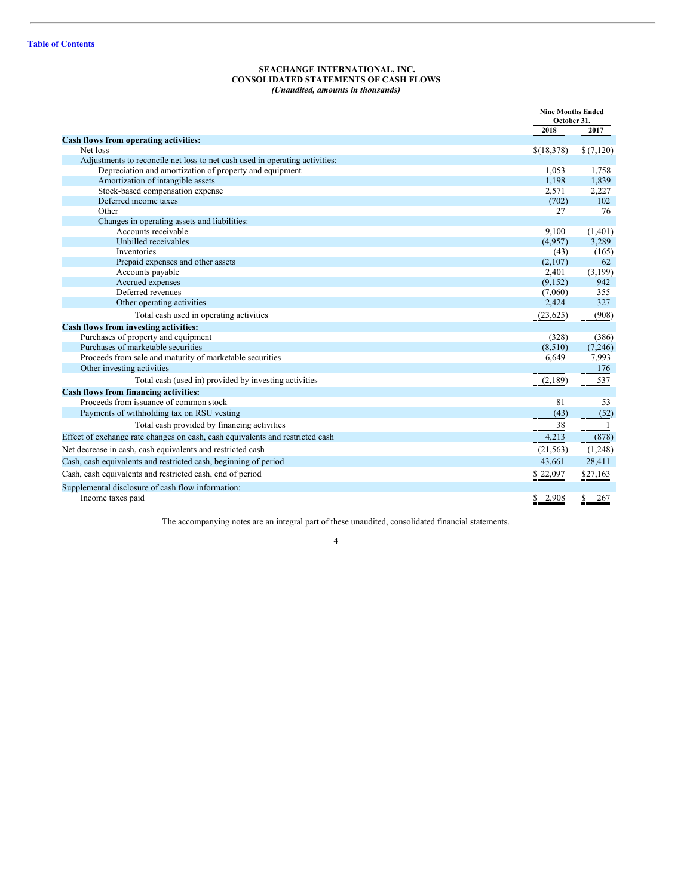#### <span id="page-6-0"></span>**SEACHANGE INTERNATIONAL, INC. CONSOLIDATED STATEMENTS OF CASH FLOWS** *(Unaudited, amounts in thousands)*

|                                                                               | <b>Nine Months Ended</b><br>October 31. |             |
|-------------------------------------------------------------------------------|-----------------------------------------|-------------|
|                                                                               | 2018                                    | 2017        |
| Cash flows from operating activities:                                         |                                         |             |
| Net loss                                                                      | \$(18,378)                              | \$(7,120)   |
| Adjustments to reconcile net loss to net cash used in operating activities:   |                                         |             |
| Depreciation and amortization of property and equipment                       | 1,053                                   | 1,758       |
| Amortization of intangible assets                                             | 1,198                                   | 1,839       |
| Stock-based compensation expense                                              | 2,571                                   | 2,227       |
| Deferred income taxes                                                         | (702)                                   | 102         |
| Other                                                                         | 27                                      | 76          |
| Changes in operating assets and liabilities:                                  |                                         |             |
| Accounts receivable<br>Unbilled receivables                                   | 9.100                                   | (1,401)     |
| Inventories                                                                   | (4,957)                                 | 3,289       |
| Prepaid expenses and other assets                                             | (43)<br>(2,107)                         | (165)<br>62 |
| Accounts payable                                                              | 2,401                                   | (3,199)     |
| Accrued expenses                                                              | (9,152)                                 | 942         |
| Deferred revenues                                                             | (7,060)                                 | 355         |
| Other operating activities                                                    | 2,424                                   | 327         |
| Total cash used in operating activities                                       | (23,625)                                | (908)       |
| Cash flows from investing activities:                                         |                                         |             |
| Purchases of property and equipment                                           | (328)                                   | (386)       |
| Purchases of marketable securities                                            | (8,510)                                 | (7,246)     |
| Proceeds from sale and maturity of marketable securities                      | 6,649                                   | 7,993       |
| Other investing activities                                                    |                                         | 176         |
| Total cash (used in) provided by investing activities                         | (2,189)                                 | 537         |
| <b>Cash flows from financing activities:</b>                                  |                                         |             |
| Proceeds from issuance of common stock                                        | 81                                      | 53          |
| Payments of withholding tax on RSU vesting                                    | (43)                                    | (52)        |
| Total cash provided by financing activities                                   | 38                                      | -1          |
| Effect of exchange rate changes on cash, cash equivalents and restricted cash | 4,213                                   | (878)       |
| Net decrease in cash, cash equivalents and restricted cash                    | (21, 563)                               | (1,248)     |
| Cash, cash equivalents and restricted cash, beginning of period               | 43,661                                  | 28,411      |
| Cash, cash equivalents and restricted cash, end of period                     | \$22,097                                | \$27,163    |
| Supplemental disclosure of cash flow information:                             |                                         |             |
| Income taxes paid                                                             | \$2,908                                 | \$<br>267   |

The accompanying notes are an integral part of these unaudited, consolidated financial statements.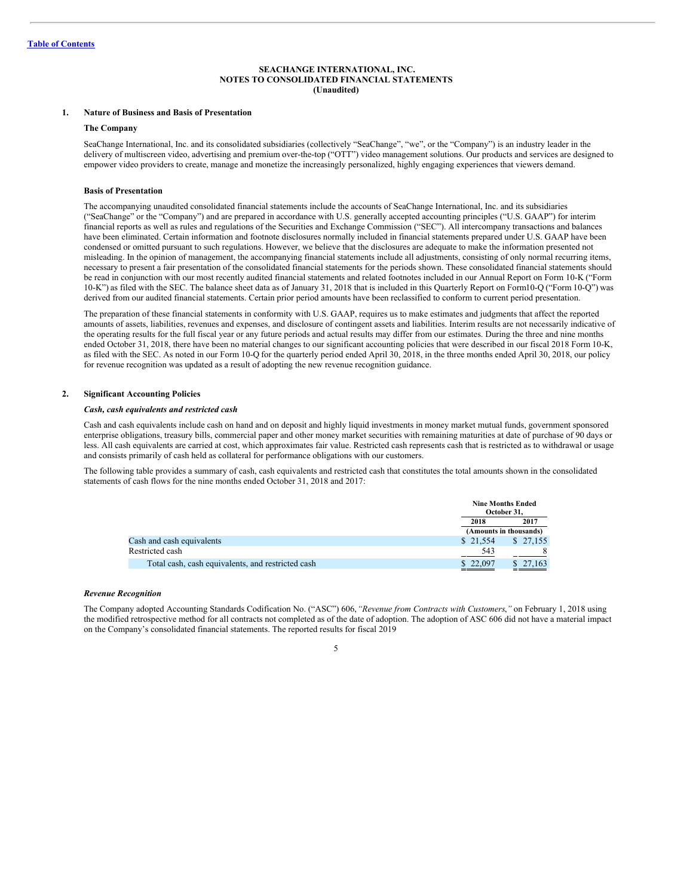## <span id="page-7-0"></span>**SEACHANGE INTERNATIONAL, INC. NOTES TO CONSOLIDATED FINANCIAL STATEMENTS (Unaudited)**

#### **1. Nature of Business and Basis of Presentation**

## **The Company**

SeaChange International, Inc. and its consolidated subsidiaries (collectively "SeaChange", "we", or the "Company") is an industry leader in the delivery of multiscreen video, advertising and premium over-the-top ("OTT") video management solutions. Our products and services are designed to empower video providers to create, manage and monetize the increasingly personalized, highly engaging experiences that viewers demand.

#### **Basis of Presentation**

The accompanying unaudited consolidated financial statements include the accounts of SeaChange International, Inc. and its subsidiaries ("SeaChange" or the "Company") and are prepared in accordance with U.S. generally accepted accounting principles ("U.S. GAAP") for interim financial reports as well as rules and regulations of the Securities and Exchange Commission ("SEC"). All intercompany transactions and balances have been eliminated. Certain information and footnote disclosures normally included in financial statements prepared under U.S. GAAP have been condensed or omitted pursuant to such regulations. However, we believe that the disclosures are adequate to make the information presented not misleading. In the opinion of management, the accompanying financial statements include all adjustments, consisting of only normal recurring items, necessary to present a fair presentation of the consolidated financial statements for the periods shown. These consolidated financial statements should be read in conjunction with our most recently audited financial statements and related footnotes included in our Annual Report on Form 10-K ("Form 10-K") as filed with the SEC. The balance sheet data as of January 31, 2018 that is included in this Quarterly Report on Form10-Q ("Form 10-Q") was derived from our audited financial statements. Certain prior period amounts have been reclassified to conform to current period presentation.

The preparation of these financial statements in conformity with U.S. GAAP, requires us to make estimates and judgments that affect the reported amounts of assets, liabilities, revenues and expenses, and disclosure of contingent assets and liabilities. Interim results are not necessarily indicative of the operating results for the full fiscal year or any future periods and actual results may differ from our estimates. During the three and nine months ended October 31, 2018, there have been no material changes to our significant accounting policies that were described in our fiscal 2018 Form 10-K, as filed with the SEC. As noted in our Form 10-Q for the quarterly period ended April 30, 2018, in the three months ended April 30, 2018, our policy for revenue recognition was updated as a result of adopting the new revenue recognition guidance.

## **2. Significant Accounting Policies**

#### *Cash, cash equivalents and restricted cash*

Cash and cash equivalents include cash on hand and on deposit and highly liquid investments in money market mutual funds, government sponsored enterprise obligations, treasury bills, commercial paper and other money market securities with remaining maturities at date of purchase of 90 days or less. All cash equivalents are carried at cost, which approximates fair value. Restricted cash represents cash that is restricted as to withdrawal or usage and consists primarily of cash held as collateral for performance obligations with our customers.

The following table provides a summary of cash, cash equivalents and restricted cash that constitutes the total amounts shown in the consolidated statements of cash flows for the nine months ended October 31, 2018 and 2017:

|                                                   | <b>Nine Months Ended</b> |          |
|---------------------------------------------------|--------------------------|----------|
|                                                   | October 31.              |          |
|                                                   | 2018                     | 2017     |
|                                                   | (Amounts in thousands)   |          |
| Cash and cash equivalents                         | \$21.554                 | \$27,155 |
| Restricted cash                                   | 543                      |          |
| Total cash, cash equivalents, and restricted cash | \$22,097                 | \$27.163 |

#### *Revenue Recognition*

The Company adopted Accounting Standards Codification No. ("ASC") 606,*"Revenue from Contracts with Customers*,*"* on February 1, 2018 using the modified retrospective method for all contracts not completed as of the date of adoption. The adoption of ASC 606 did not have a material impact on the Company's consolidated financial statements. The reported results for fiscal 2019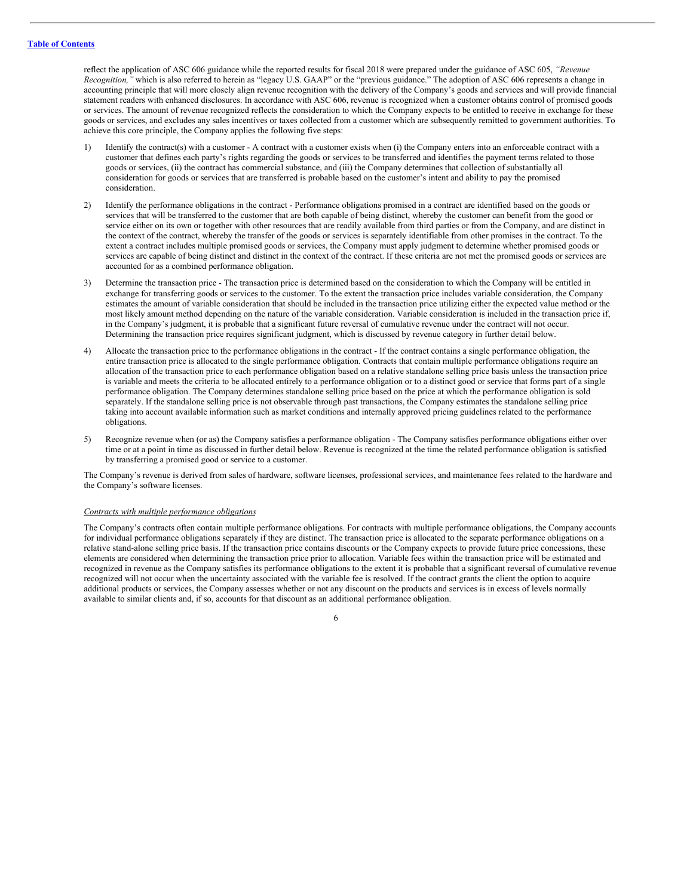reflect the application of ASC 606 guidance while the reported results for fiscal 2018 were prepared under the guidance of ASC 605, *"Revenue Recognition,"* which is also referred to herein as "legacy U.S. GAAP" or the "previous guidance." The adoption of ASC 606 represents a change in accounting principle that will more closely align revenue recognition with the delivery of the Company's goods and services and will provide financial statement readers with enhanced disclosures. In accordance with ASC 606, revenue is recognized when a customer obtains control of promised goods or services. The amount of revenue recognized reflects the consideration to which the Company expects to be entitled to receive in exchange for these goods or services, and excludes any sales incentives or taxes collected from a customer which are subsequently remitted to government authorities. To achieve this core principle, the Company applies the following five steps:

- 1) Identify the contract(s) with a customer A contract with a customer exists when (i) the Company enters into an enforceable contract with a customer that defines each party's rights regarding the goods or services to be transferred and identifies the payment terms related to those goods or services, (ii) the contract has commercial substance, and (iii) the Company determines that collection of substantially all consideration for goods or services that are transferred is probable based on the customer's intent and ability to pay the promised consideration.
- 2) Identify the performance obligations in the contract Performance obligations promised in a contract are identified based on the goods or services that will be transferred to the customer that are both capable of being distinct, whereby the customer can benefit from the good or service either on its own or together with other resources that are readily available from third parties or from the Company, and are distinct in the context of the contract, whereby the transfer of the goods or services is separately identifiable from other promises in the contract. To the extent a contract includes multiple promised goods or services, the Company must apply judgment to determine whether promised goods or services are capable of being distinct and distinct in the context of the contract. If these criteria are not met the promised goods or services are accounted for as a combined performance obligation.
- 3) Determine the transaction price The transaction price is determined based on the consideration to which the Company will be entitled in exchange for transferring goods or services to the customer. To the extent the transaction price includes variable consideration, the Company estimates the amount of variable consideration that should be included in the transaction price utilizing either the expected value method or the most likely amount method depending on the nature of the variable consideration. Variable consideration is included in the transaction price if, in the Company's judgment, it is probable that a significant future reversal of cumulative revenue under the contract will not occur. Determining the transaction price requires significant judgment, which is discussed by revenue category in further detail below.
- 4) Allocate the transaction price to the performance obligations in the contract If the contract contains a single performance obligation, the entire transaction price is allocated to the single performance obligation. Contracts that contain multiple performance obligations require an allocation of the transaction price to each performance obligation based on a relative standalone selling price basis unless the transaction price is variable and meets the criteria to be allocated entirely to a performance obligation or to a distinct good or service that forms part of a single performance obligation. The Company determines standalone selling price based on the price at which the performance obligation is sold separately. If the standalone selling price is not observable through past transactions, the Company estimates the standalone selling price taking into account available information such as market conditions and internally approved pricing guidelines related to the performance obligations.
- 5) Recognize revenue when (or as) the Company satisfies a performance obligation The Company satisfies performance obligations either over time or at a point in time as discussed in further detail below. Revenue is recognized at the time the related performance obligation is satisfied by transferring a promised good or service to a customer.

The Company's revenue is derived from sales of hardware, software licenses, professional services, and maintenance fees related to the hardware and the Company's software licenses.

#### *Contracts with multiple performance obligations*

The Company's contracts often contain multiple performance obligations. For contracts with multiple performance obligations, the Company accounts for individual performance obligations separately if they are distinct. The transaction price is allocated to the separate performance obligations on a relative stand-alone selling price basis. If the transaction price contains discounts or the Company expects to provide future price concessions, these elements are considered when determining the transaction price prior to allocation. Variable fees within the transaction price will be estimated and recognized in revenue as the Company satisfies its performance obligations to the extent it is probable that a significant reversal of cumulative revenue recognized will not occur when the uncertainty associated with the variable fee is resolved. If the contract grants the client the option to acquire additional products or services, the Company assesses whether or not any discount on the products and services is in excess of levels normally available to similar clients and, if so, accounts for that discount as an additional performance obligation.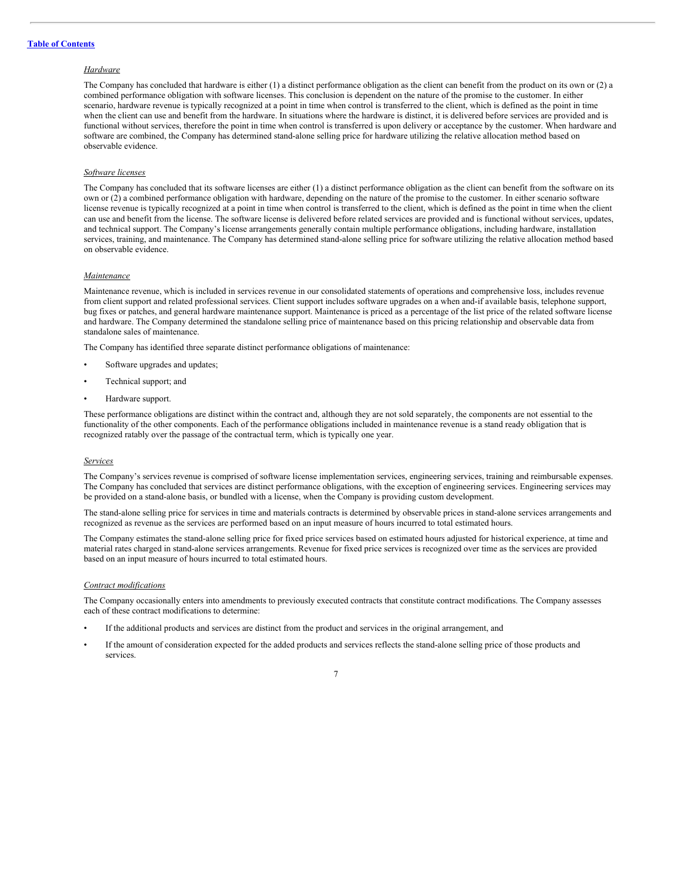## *Hardware*

The Company has concluded that hardware is either (1) a distinct performance obligation as the client can benefit from the product on its own or (2) a combined performance obligation with software licenses. This conclusion is dependent on the nature of the promise to the customer. In either scenario, hardware revenue is typically recognized at a point in time when control is transferred to the client, which is defined as the point in time when the client can use and benefit from the hardware. In situations where the hardware is distinct, it is delivered before services are provided and is functional without services, therefore the point in time when control is transferred is upon delivery or acceptance by the customer. When hardware and software are combined, the Company has determined stand-alone selling price for hardware utilizing the relative allocation method based on observable evidence.

#### *Software licenses*

The Company has concluded that its software licenses are either (1) a distinct performance obligation as the client can benefit from the software on its own or (2) a combined performance obligation with hardware, depending on the nature of the promise to the customer. In either scenario software license revenue is typically recognized at a point in time when control is transferred to the client, which is defined as the point in time when the client can use and benefit from the license. The software license is delivered before related services are provided and is functional without services, updates, and technical support. The Company's license arrangements generally contain multiple performance obligations, including hardware, installation services, training, and maintenance. The Company has determined stand-alone selling price for software utilizing the relative allocation method based on observable evidence.

#### *Maintenance*

Maintenance revenue, which is included in services revenue in our consolidated statements of operations and comprehensive loss, includes revenue from client support and related professional services. Client support includes software upgrades on a when and-if available basis, telephone support, bug fixes or patches, and general hardware maintenance support. Maintenance is priced as a percentage of the list price of the related software license and hardware. The Company determined the standalone selling price of maintenance based on this pricing relationship and observable data from standalone sales of maintenance.

The Company has identified three separate distinct performance obligations of maintenance:

- Software upgrades and updates;
- Technical support; and
- Hardware support.

These performance obligations are distinct within the contract and, although they are not sold separately, the components are not essential to the functionality of the other components. Each of the performance obligations included in maintenance revenue is a stand ready obligation that is recognized ratably over the passage of the contractual term, which is typically one year.

#### *Services*

The Company's services revenue is comprised of software license implementation services, engineering services, training and reimbursable expenses. The Company has concluded that services are distinct performance obligations, with the exception of engineering services. Engineering services may be provided on a stand-alone basis, or bundled with a license, when the Company is providing custom development.

The stand-alone selling price for services in time and materials contracts is determined by observable prices in stand-alone services arrangements and recognized as revenue as the services are performed based on an input measure of hours incurred to total estimated hours.

The Company estimates the stand-alone selling price for fixed price services based on estimated hours adjusted for historical experience, at time and material rates charged in stand-alone services arrangements. Revenue for fixed price services is recognized over time as the services are provided based on an input measure of hours incurred to total estimated hours.

#### *Contract modifications*

The Company occasionally enters into amendments to previously executed contracts that constitute contract modifications. The Company assesses each of these contract modifications to determine:

- If the additional products and services are distinct from the product and services in the original arrangement, and
- If the amount of consideration expected for the added products and services reflects the stand-alone selling price of those products and services.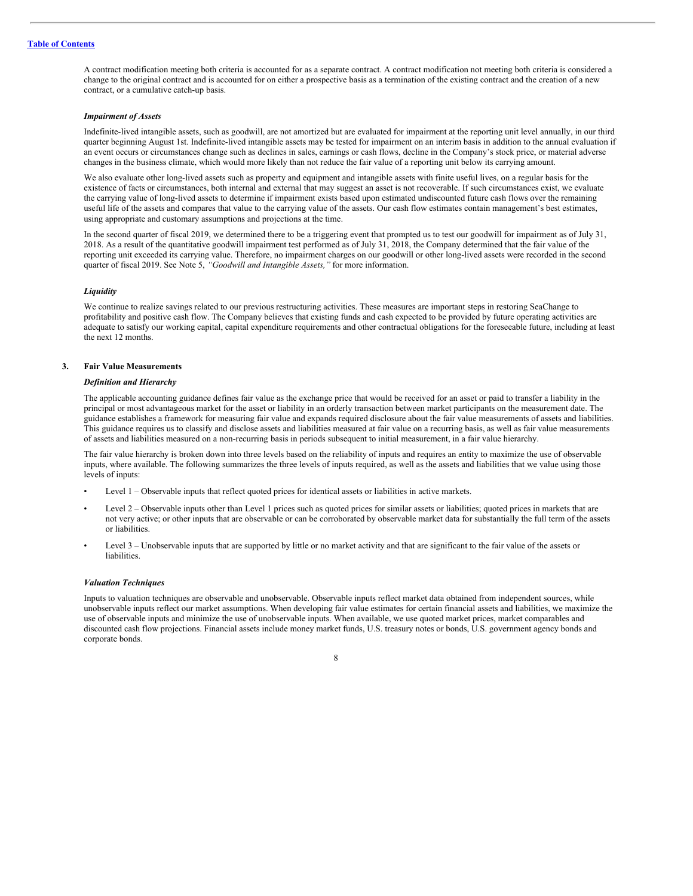A contract modification meeting both criteria is accounted for as a separate contract. A contract modification not meeting both criteria is considered a change to the original contract and is accounted for on either a prospective basis as a termination of the existing contract and the creation of a new contract, or a cumulative catch-up basis.

#### *Impairment of Assets*

Indefinite-lived intangible assets, such as goodwill, are not amortized but are evaluated for impairment at the reporting unit level annually, in our third quarter beginning August 1st. Indefinite-lived intangible assets may be tested for impairment on an interim basis in addition to the annual evaluation if an event occurs or circumstances change such as declines in sales, earnings or cash flows, decline in the Company's stock price, or material adverse changes in the business climate, which would more likely than not reduce the fair value of a reporting unit below its carrying amount.

We also evaluate other long-lived assets such as property and equipment and intangible assets with finite useful lives, on a regular basis for the existence of facts or circumstances, both internal and external that may suggest an asset is not recoverable. If such circumstances exist, we evaluate the carrying value of long-lived assets to determine if impairment exists based upon estimated undiscounted future cash flows over the remaining useful life of the assets and compares that value to the carrying value of the assets. Our cash flow estimates contain management's best estimates, using appropriate and customary assumptions and projections at the time.

In the second quarter of fiscal 2019, we determined there to be a triggering event that prompted us to test our goodwill for impairment as of July 31, 2018. As a result of the quantitative goodwill impairment test performed as of July 31, 2018, the Company determined that the fair value of the reporting unit exceeded its carrying value. Therefore, no impairment charges on our goodwill or other long-lived assets were recorded in the second quarter of fiscal 2019. See Note 5, *"Goodwill and Intangible Assets,"* for more information.

#### *Liquidity*

We continue to realize savings related to our previous restructuring activities. These measures are important steps in restoring SeaChange to profitability and positive cash flow. The Company believes that existing funds and cash expected to be provided by future operating activities are adequate to satisfy our working capital, capital expenditure requirements and other contractual obligations for the foreseeable future, including at least the next 12 months.

## **3. Fair Value Measurements**

#### *Definition and Hierarchy*

The applicable accounting guidance defines fair value as the exchange price that would be received for an asset or paid to transfer a liability in the principal or most advantageous market for the asset or liability in an orderly transaction between market participants on the measurement date. The guidance establishes a framework for measuring fair value and expands required disclosure about the fair value measurements of assets and liabilities. This guidance requires us to classify and disclose assets and liabilities measured at fair value on a recurring basis, as well as fair value measurements of assets and liabilities measured on a non-recurring basis in periods subsequent to initial measurement, in a fair value hierarchy.

The fair value hierarchy is broken down into three levels based on the reliability of inputs and requires an entity to maximize the use of observable inputs, where available. The following summarizes the three levels of inputs required, as well as the assets and liabilities that we value using those levels of inputs:

- Level 1 Observable inputs that reflect quoted prices for identical assets or liabilities in active markets.
- Level 2 Observable inputs other than Level 1 prices such as quoted prices for similar assets or liabilities; quoted prices in markets that are not very active; or other inputs that are observable or can be corroborated by observable market data for substantially the full term of the assets or liabilities.
- Level 3 Unobservable inputs that are supported by little or no market activity and that are significant to the fair value of the assets or liabilities.

#### *Valuation Techniques*

Inputs to valuation techniques are observable and unobservable. Observable inputs reflect market data obtained from independent sources, while unobservable inputs reflect our market assumptions. When developing fair value estimates for certain financial assets and liabilities, we maximize the use of observable inputs and minimize the use of unobservable inputs. When available, we use quoted market prices, market comparables and discounted cash flow projections. Financial assets include money market funds, U.S. treasury notes or bonds, U.S. government agency bonds and corporate bonds.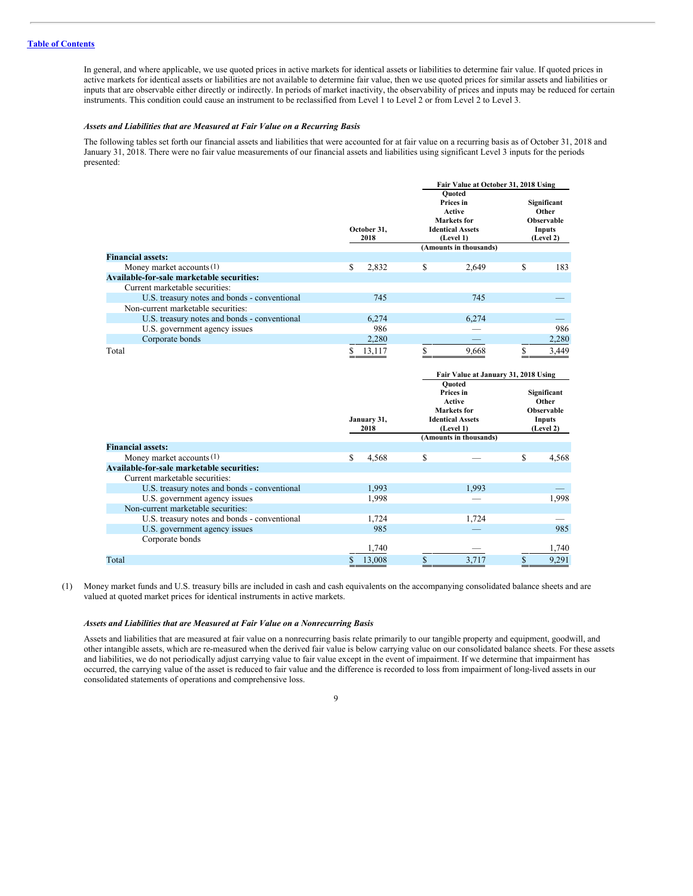In general, and where applicable, we use quoted prices in active markets for identical assets or liabilities to determine fair value. If quoted prices in active markets for identical assets or liabilities are not available to determine fair value, then we use quoted prices for similar assets and liabilities or inputs that are observable either directly or indirectly. In periods of market inactivity, the observability of prices and inputs may be reduced for certain instruments. This condition could cause an instrument to be reclassified from Level 1 to Level 2 or from Level 2 to Level 3.

## *Assets and Liabilities that are Measured at Fair Value on a Recurring Basis*

The following tables set forth our financial assets and liabilities that were accounted for at fair value on a recurring basis as of October 31, 2018 and January 31, 2018. There were no fair value measurements of our financial assets and liabilities using significant Level 3 inputs for the periods presented:

|                                                  |                     | Fair Value at October 31, 2018 Using |                                                                                                                                                               |    |                                                                  |  |
|--------------------------------------------------|---------------------|--------------------------------------|---------------------------------------------------------------------------------------------------------------------------------------------------------------|----|------------------------------------------------------------------|--|
|                                                  | October 31,<br>2018 |                                      | <b>Ouoted</b><br>Prices in<br>Active<br>Markets for<br><b>Identical Assets</b><br>(Level 1)<br>(Amounts in thousands)                                         |    | Significant<br>Other<br>Observable<br><b>Inputs</b><br>(Level 2) |  |
| <b>Financial assets:</b>                         |                     |                                      |                                                                                                                                                               |    |                                                                  |  |
| Money market accounts $(1)$                      | \$<br>2,832         | \$                                   | 2,649                                                                                                                                                         | \$ | 183                                                              |  |
| Available-for-sale marketable securities:        |                     |                                      |                                                                                                                                                               |    |                                                                  |  |
| Current marketable securities:                   |                     |                                      |                                                                                                                                                               |    |                                                                  |  |
| U.S. treasury notes and bonds - conventional     | 745                 |                                      | 745                                                                                                                                                           |    |                                                                  |  |
| Non-current marketable securities:               |                     |                                      |                                                                                                                                                               |    |                                                                  |  |
| U.S. treasury notes and bonds - conventional     | 6,274               |                                      | 6,274                                                                                                                                                         |    |                                                                  |  |
| U.S. government agency issues                    | 986                 |                                      |                                                                                                                                                               |    | 986                                                              |  |
| Corporate bonds                                  | 2,280               |                                      |                                                                                                                                                               |    | 2,280                                                            |  |
| Total                                            | \$<br>13,117        | \$                                   | 9,668                                                                                                                                                         | \$ | 3,449                                                            |  |
|                                                  | January 31,<br>2018 |                                      | Fair Value at January 31, 2018 Using<br><b>Ouoted</b><br>Prices in<br>Active<br>Markets for<br><b>Identical Assets</b><br>(Level 1)<br>(Amounts in thousands) |    | Significant<br>Other<br>Observable<br><b>Inputs</b><br>(Level 2) |  |
| <b>Financial assets:</b>                         |                     |                                      |                                                                                                                                                               |    |                                                                  |  |
| Money market accounts (1)                        | S<br>4,568          | \$                                   |                                                                                                                                                               | \$ | 4,568                                                            |  |
| Available-for-sale marketable securities:        |                     |                                      |                                                                                                                                                               |    |                                                                  |  |
| Current marketable securities:                   |                     |                                      |                                                                                                                                                               |    |                                                                  |  |
| U.S. treasury notes and bonds - conventional     | 1.993               |                                      | 1,993                                                                                                                                                         |    |                                                                  |  |
| U.S. government agency issues                    | 1,998               |                                      |                                                                                                                                                               |    | 1,998                                                            |  |
| Non-current marketable securities:               |                     |                                      |                                                                                                                                                               |    |                                                                  |  |
|                                                  |                     |                                      |                                                                                                                                                               |    |                                                                  |  |
| U.S. treasury notes and bonds - conventional     | 1,724               |                                      | 1,724                                                                                                                                                         |    |                                                                  |  |
| U.S. government agency issues<br>Corporate bonds | 985                 |                                      |                                                                                                                                                               |    | 985                                                              |  |
|                                                  | 1,740               |                                      |                                                                                                                                                               |    | 1,740                                                            |  |

(1) Money market funds and U.S. treasury bills are included in cash and cash equivalents on the accompanying consolidated balance sheets and are valued at quoted market prices for identical instruments in active markets.

## *Assets and Liabilities that are Measured at Fair Value on a Nonrecurring Basis*

Assets and liabilities that are measured at fair value on a nonrecurring basis relate primarily to our tangible property and equipment, goodwill, and other intangible assets, which are re-measured when the derived fair value is below carrying value on our consolidated balance sheets. For these assets and liabilities, we do not periodically adjust carrying value to fair value except in the event of impairment. If we determine that impairment has occurred, the carrying value of the asset is reduced to fair value and the difference is recorded to loss from impairment of long-lived assets in our consolidated statements of operations and comprehensive loss.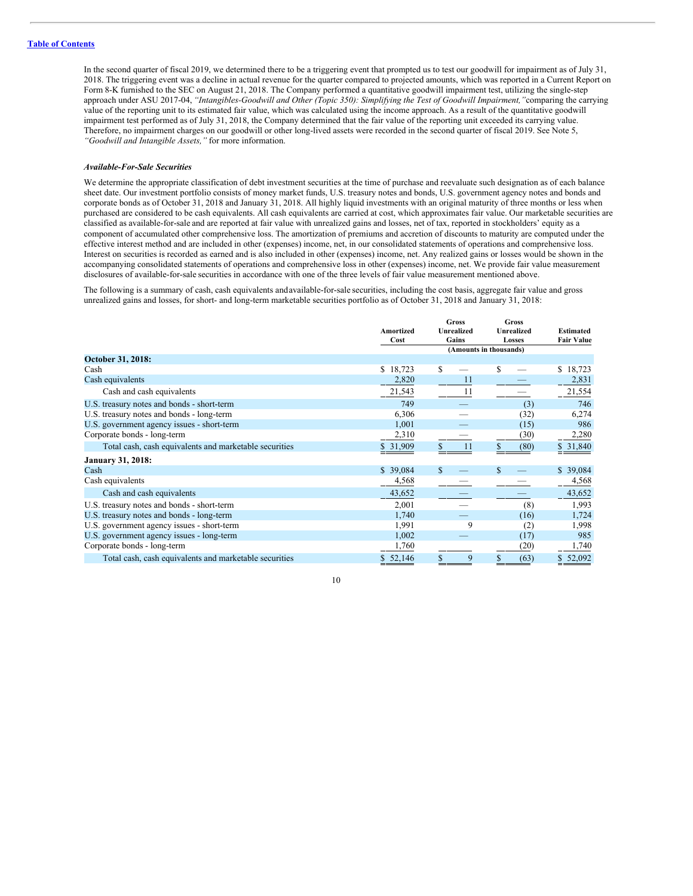In the second quarter of fiscal 2019, we determined there to be a triggering event that prompted us to test our goodwill for impairment as of July 31, 2018. The triggering event was a decline in actual revenue for the quarter compared to projected amounts, which was reported in a Current Report on Form 8-K furnished to the SEC on August 21, 2018. The Company performed a quantitative goodwill impairment test, utilizing the single-step approach under ASU 2017-04, *"Intangibles-Goodwill and Other (Topic 350): Simplifying the Test of Goodwill Impairment,"*comparing the carrying value of the reporting unit to its estimated fair value, which was calculated using the income approach. As a result of the quantitative goodwill impairment test performed as of July 31, 2018, the Company determined that the fair value of the reporting unit exceeded its carrying value. Therefore, no impairment charges on our goodwill or other long-lived assets were recorded in the second quarter of fiscal 2019. See Note 5, *"Goodwill and Intangible Assets,"* for more information.

## *Available-For-Sale Securities*

We determine the appropriate classification of debt investment securities at the time of purchase and reevaluate such designation as of each balance sheet date. Our investment portfolio consists of money market funds, U.S. treasury notes and bonds, U.S. government agency notes and bonds and corporate bonds as of October 31, 2018 and January 31, 2018. All highly liquid investments with an original maturity of three months or less when purchased are considered to be cash equivalents. All cash equivalents are carried at cost, which approximates fair value. Our marketable securities are classified as available-for-sale and are reported at fair value with unrealized gains and losses, net of tax, reported in stockholders' equity as a component of accumulated other comprehensive loss. The amortization of premiums and accretion of discounts to maturity are computed under the effective interest method and are included in other (expenses) income, net, in our consolidated statements of operations and comprehensive loss. Interest on securities is recorded as earned and is also included in other (expenses) income, net. Any realized gains or losses would be shown in the accompanying consolidated statements of operations and comprehensive loss in other (expenses) income, net. We provide fair value measurement disclosures of available-for-sale securities in accordance with one of the three levels of fair value measurement mentioned above.

The following is a summary of cash, cash equivalents andavailable-for-sale securities, including the cost basis, aggregate fair value and gross unrealized gains and losses, for short- and long-term marketable securities portfolio as of October 31, 2018 and January 31, 2018:

|                                                        |           | <b>Gross</b> | Gross                  |                   |
|--------------------------------------------------------|-----------|--------------|------------------------|-------------------|
|                                                        | Amortized | Unrealized   | <b>Unrealized</b>      | <b>Estimated</b>  |
|                                                        | Cost      | Gains        | Losses                 | <b>Fair Value</b> |
|                                                        |           |              | (Amounts in thousands) |                   |
| October 31, 2018:                                      |           |              |                        |                   |
| Cash                                                   | \$18,723  | \$           | S                      | \$18,723          |
| Cash equivalents                                       | 2,820     | 11           |                        | 2,831             |
| Cash and cash equivalents                              | 21,543    | 11           |                        | 21,554            |
| U.S. treasury notes and bonds - short-term             | 749       |              | (3)                    | 746               |
| U.S. treasury notes and bonds - long-term              | 6,306     |              | (32)                   | 6,274             |
| U.S. government agency issues - short-term             | 1,001     |              | (15)                   | 986               |
| Corporate bonds - long-term                            | 2,310     |              | (30)                   | 2,280             |
| Total cash, cash equivalents and marketable securities | \$31,909  | 11           | (80)                   | \$31,840          |
| <b>January 31, 2018:</b>                               |           |              |                        |                   |
| Cash                                                   | \$39,084  | \$           | \$                     | 39,084<br>\$      |
| Cash equivalents                                       | 4,568     |              |                        | 4,568             |
| Cash and cash equivalents                              | 43,652    |              |                        | 43,652            |
| U.S. treasury notes and bonds - short-term             | 2,001     |              | (8)                    | 1,993             |
| U.S. treasury notes and bonds - long-term              | 1,740     |              | (16)                   | 1,724             |
| U.S. government agency issues - short-term             | 1,991     | 9            | (2)                    | 1,998             |
| U.S. government agency issues - long-term              | 1,002     |              | (17)                   | 985               |
| Corporate bonds - long-term                            | 1,760     |              | (20)                   | 1,740             |
| Total cash, cash equivalents and marketable securities | \$52,146  | 9            | (63)                   | 52,092            |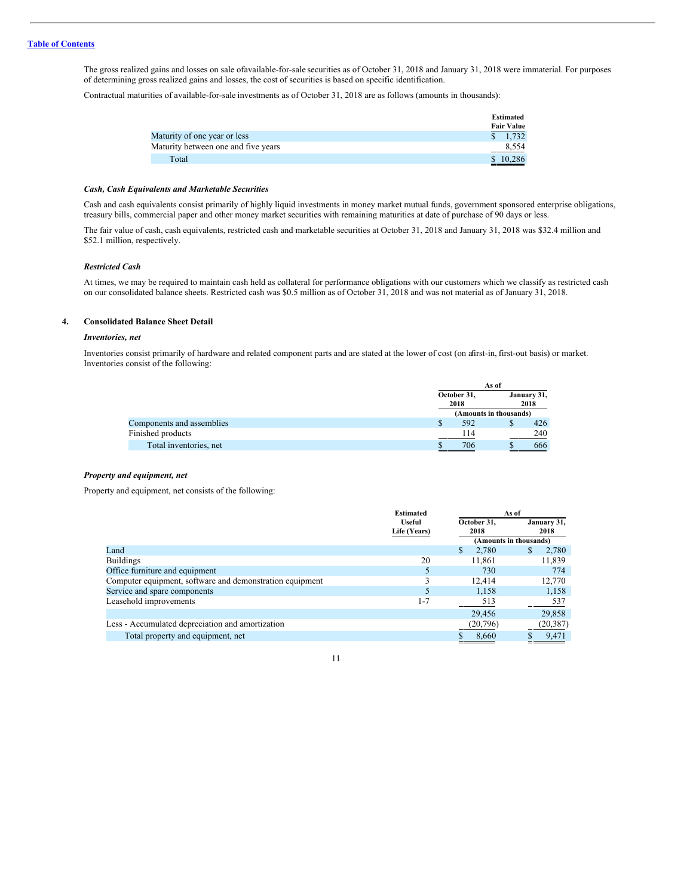The gross realized gains and losses on sale ofavailable-for-sale securities as of October 31, 2018 and January 31, 2018 were immaterial. For purposes of determining gross realized gains and losses, the cost of securities is based on specific identification.

Contractual maturities of available-for-sale investments as of October 31, 2018 are as follows (amounts in thousands):

|                                     | <b>Estimated</b>  |
|-------------------------------------|-------------------|
|                                     | <b>Fair Value</b> |
| Maturity of one year or less        | 1.732             |
| Maturity between one and five years | 8,554             |
| Total                               | \$10,286          |

## *Cash, Cash Equivalents and Marketable Securities*

Cash and cash equivalents consist primarily of highly liquid investments in money market mutual funds, government sponsored enterprise obligations, treasury bills, commercial paper and other money market securities with remaining maturities at date of purchase of 90 days or less.

The fair value of cash, cash equivalents, restricted cash and marketable securities at October 31, 2018 and January 31, 2018 was \$32.4 million and \$52.1 million, respectively.

#### *Restricted Cash*

At times, we may be required to maintain cash held as collateral for performance obligations with our customers which we classify as restricted cash on our consolidated balance sheets. Restricted cash was \$0.5 million as of October 31, 2018 and was not material as of January 31, 2018.

## **4. Consolidated Balance Sheet Detail**

## *Inventories, net*

Inventories consist primarily of hardware and related component parts and are stated at the lower of cost (on afirst-in, first-out basis) or market. Inventories consist of the following:

|                           |                     | As of                  |
|---------------------------|---------------------|------------------------|
|                           | October 31,<br>2018 | January 31,<br>2018    |
|                           |                     | (Amounts in thousands) |
| Components and assemblies | 592                 | 426                    |
| Finished products         | 114                 | 240                    |
| Total inventories, net    | 706                 | 666                    |

## *Property and equipment, net*

Property and equipment, net consists of the following:

|                                                          | <b>Estimated</b>              | As of                  |                     |
|----------------------------------------------------------|-------------------------------|------------------------|---------------------|
|                                                          | <b>Useful</b><br>Life (Years) | October 31.<br>2018    | January 31,<br>2018 |
|                                                          |                               | (Amounts in thousands) |                     |
| Land                                                     |                               | 2,780                  | S<br>2,780          |
| <b>Buildings</b>                                         | 20                            | 11,861                 | 11,839              |
| Office furniture and equipment                           |                               | 730                    | 774                 |
| Computer equipment, software and demonstration equipment |                               | 12.414                 | 12,770              |
| Service and spare components                             | 5                             | 1,158                  | 1,158               |
| Leasehold improvements                                   | $1 - 7$                       | 513                    | 537                 |
|                                                          |                               | 29,456                 | 29,858              |
| Less - Accumulated depreciation and amortization         |                               | (20, 796)              | (20, 387)           |
| Total property and equipment, net                        |                               | 8,660                  | 9,471               |

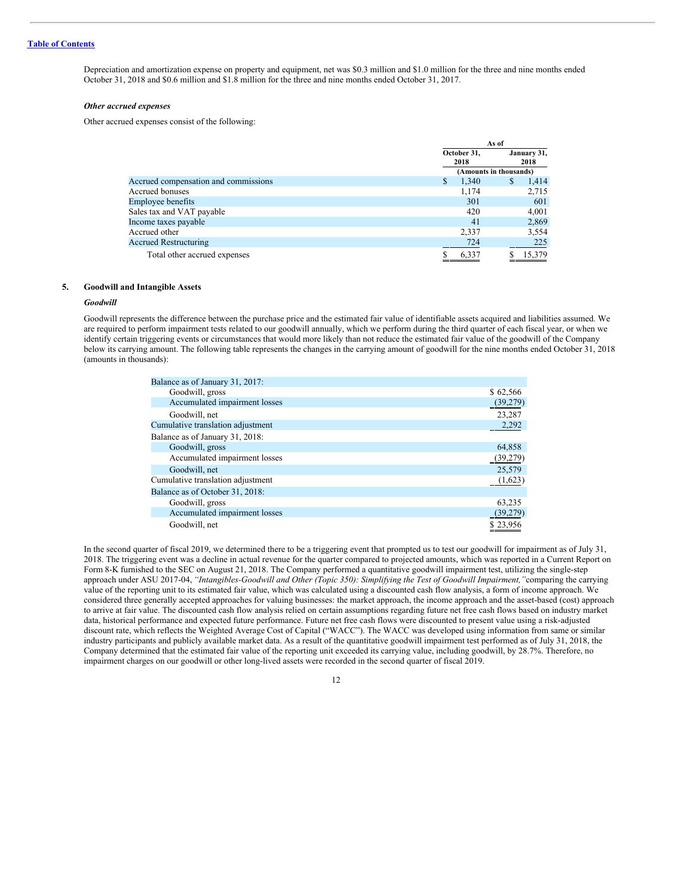Depreciation and amortization expense on property and equipment, net was \$0.3 million and \$1.0 million for the three and nine months ended October 31, 2018 and \$0.6 million and \$1.8 million for the three and nine months ended October 31, 2017.

## *Other accrued expenses*

Other accrued expenses consist of the following:

|                                      |                     | As of                  |
|--------------------------------------|---------------------|------------------------|
|                                      | October 31,<br>2018 | January 31,<br>2018    |
|                                      |                     | (Amounts in thousands) |
| Accrued compensation and commissions | \$<br>1,340         | <sup>\$</sup><br>1,414 |
| Accrued bonuses                      | 1,174               | 2,715                  |
| <b>Employee benefits</b>             | 301                 | 601                    |
| Sales tax and VAT payable            | 420                 | 4,001                  |
| Income taxes payable                 |                     | 2,869<br>41            |
| Accrued other                        | 2,337               | 3,554                  |
| <b>Accrued Restructuring</b>         | 724                 | 225                    |
| Total other accrued expenses         | 6,337               | 15,379                 |

## **5. Goodwill and Intangible Assets**

#### *Goodwill*

Goodwill represents the difference between the purchase price and the estimated fair value of identifiable assets acquired and liabilities assumed. We are required to perform impairment tests related to our goodwill annually, which we perform during the third quarter of each fiscal year, or when we identify certain triggering events or circumstances that would more likely than not reduce the estimated fair value of the goodwill of the Company below its carrying amount. The following table represents the changes in the carrying amount of goodwill for the nine months ended October 31, 2018 (amounts in thousands):

| Balance as of January 31, 2017:   |           |
|-----------------------------------|-----------|
| Goodwill, gross                   | \$62,566  |
| Accumulated impairment losses     | (39, 279) |
| Goodwill, net                     | 23,287    |
| Cumulative translation adjustment | 2,292     |
| Balance as of January 31, 2018:   |           |
| Goodwill, gross                   | 64,858    |
| Accumulated impairment losses     | (39,279)  |
| Goodwill, net                     | 25,579    |
| Cumulative translation adjustment | (1,623)   |
| Balance as of October 31, 2018:   |           |
| Goodwill, gross                   | 63.235    |
| Accumulated impairment losses     | (39,279)  |
| Goodwill, net                     | \$23,956  |

In the second quarter of fiscal 2019, we determined there to be a triggering event that prompted us to test our goodwill for impairment as of July 31, 2018. The triggering event was a decline in actual revenue for the quarter compared to projected amounts, which was reported in a Current Report on Form 8-K furnished to the SEC on August 21, 2018. The Company performed a quantitative goodwill impairment test, utilizing the single-step approach under ASU 2017-04, *"Intangibles-Goodwill and Other (Topic 350): Simplifying the Test of Goodwill Impairment,"*comparing the carrying value of the reporting unit to its estimated fair value, which was calculated using a discounted cash flow analysis, a form of income approach. We considered three generally accepted approaches for valuing businesses: the market approach, the income approach and the asset-based (cost) approach to arrive at fair value. The discounted cash flow analysis relied on certain assumptions regarding future net free cash flows based on industry market data, historical performance and expected future performance. Future net free cash flows were discounted to present value using a risk-adjusted discount rate, which reflects the Weighted Average Cost of Capital ("WACC"). The WACC was developed using information from same or similar industry participants and publicly available market data. As a result of the quantitative goodwill impairment test performed as of July 31, 2018, the Company determined that the estimated fair value of the reporting unit exceeded its carrying value, including goodwill, by 28.7%. Therefore, no impairment charges on our goodwill or other long-lived assets were recorded in the second quarter of fiscal 2019.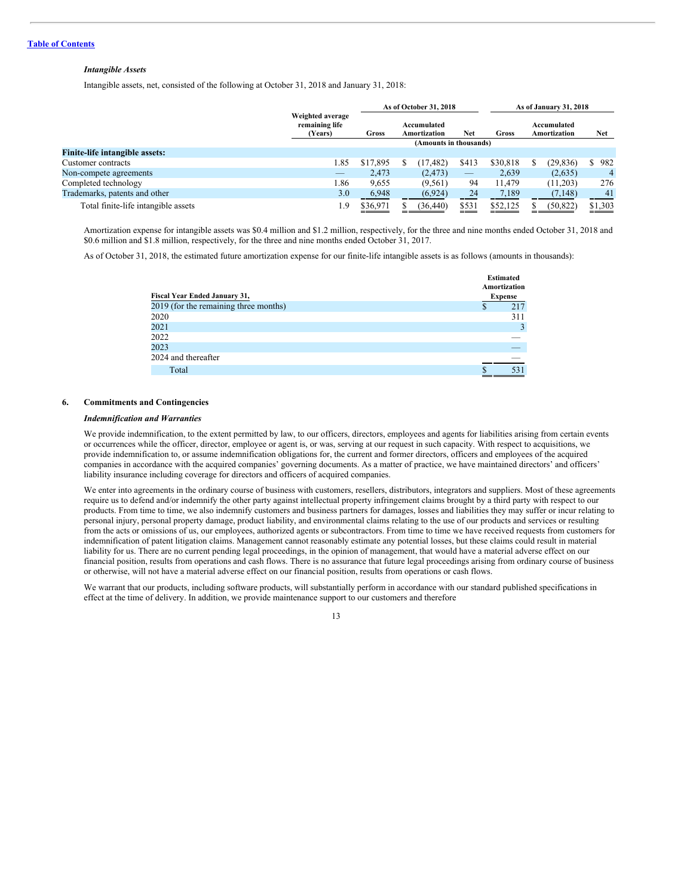## *Intangible Assets*

Intangible assets, net, consisted of the following at October 31, 2018 and January 31, 2018:

|                                     |                                               |                        | As of October 31, 2018 |                             |                          |                                      | As of January 31, 2018 |           |            |  |
|-------------------------------------|-----------------------------------------------|------------------------|------------------------|-----------------------------|--------------------------|--------------------------------------|------------------------|-----------|------------|--|
|                                     | Weighted average<br>remaining life<br>(Years) | Gross                  |                        | Accumulated<br>Amortization |                          | Accumulated<br>Amortization<br>Gross |                        |           | <b>Net</b> |  |
|                                     |                                               | (Amounts in thousands) |                        |                             |                          |                                      |                        |           |            |  |
| Finite-life intangible assets:      |                                               |                        |                        |                             |                          |                                      |                        |           |            |  |
| Customer contracts                  | 1.85                                          | \$17,895               |                        | (17.482)                    | \$413                    | \$30,818                             |                        | (29, 836) | 982<br>S   |  |
| Non-compete agreements              | $-$                                           | 2.473                  |                        | (2, 473)                    | $\overline{\phantom{a}}$ | 2.639                                |                        | (2,635)   | 4          |  |
| Completed technology                | .86                                           | 9.655                  |                        | (9, 561)                    | 94                       | 11.479                               |                        | (11,203)  | 276        |  |
| Trademarks, patents and other       | 3.0                                           | 6,948                  |                        | (6, 924)                    | 24                       | 7,189                                |                        | (7, 148)  | 41         |  |
| Total finite-life intangible assets | 1.9                                           | \$36,971               |                        | (36, 440)                   | \$531                    | \$52,125                             |                        | (50, 822) | \$1,303    |  |

Amortization expense for intangible assets was \$0.4 million and \$1.2 million, respectively, for the three and nine months ended October 31, 2018 and \$0.6 million and \$1.8 million, respectively, for the three and nine months ended October 31, 2017.

As of October 31, 2018, the estimated future amortization expense for our finite-life intangible assets is as follows (amounts in thousands):

|                                       |   | <b>Estimated</b><br>Amortization |
|---------------------------------------|---|----------------------------------|
| <b>Fiscal Year Ended January 31,</b>  |   | <b>Expense</b>                   |
| 2019 (for the remaining three months) | S | 217                              |
| 2020                                  |   | 311                              |
| 2021                                  |   | 3                                |
| 2022                                  |   |                                  |
| 2023                                  |   |                                  |
| 2024 and thereafter                   |   |                                  |
| Total                                 |   | 531                              |

## **6. Commitments and Contingencies**

## *Indemnification and Warranties*

We provide indemnification, to the extent permitted by law, to our officers, directors, employees and agents for liabilities arising from certain events or occurrences while the officer, director, employee or agent is, or was, serving at our request in such capacity. With respect to acquisitions, we provide indemnification to, or assume indemnification obligations for, the current and former directors, officers and employees of the acquired companies in accordance with the acquired companies' governing documents. As a matter of practice, we have maintained directors' and officers' liability insurance including coverage for directors and officers of acquired companies.

We enter into agreements in the ordinary course of business with customers, resellers, distributors, integrators and suppliers. Most of these agreements require us to defend and/or indemnify the other party against intellectual property infringement claims brought by a third party with respect to our products. From time to time, we also indemnify customers and business partners for damages, losses and liabilities they may suffer or incur relating to personal injury, personal property damage, product liability, and environmental claims relating to the use of our products and services or resulting from the acts or omissions of us, our employees, authorized agents or subcontractors. From time to time we have received requests from customers for indemnification of patent litigation claims. Management cannot reasonably estimate any potential losses, but these claims could result in material liability for us. There are no current pending legal proceedings, in the opinion of management, that would have a material adverse effect on our financial position, results from operations and cash flows. There is no assurance that future legal proceedings arising from ordinary course of business or otherwise, will not have a material adverse effect on our financial position, results from operations or cash flows.

We warrant that our products, including software products, will substantially perform in accordance with our standard published specifications in effect at the time of delivery. In addition, we provide maintenance support to our customers and therefore

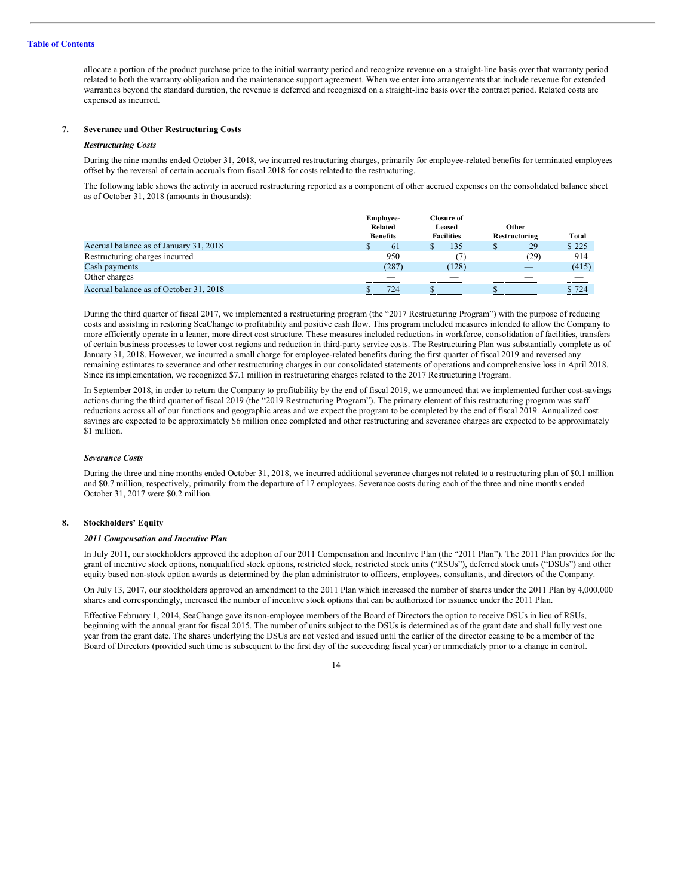allocate a portion of the product purchase price to the initial warranty period and recognize revenue on a straight-line basis over that warranty period related to both the warranty obligation and the maintenance support agreement. When we enter into arrangements that include revenue for extended warranties beyond the standard duration, the revenue is deferred and recognized on a straight-line basis over the contract period. Related costs are expensed as incurred.

## **7. Severance and Other Restructuring Costs**

#### *Restructuring Costs*

During the nine months ended October 31, 2018, we incurred restructuring charges, primarily for employee-related benefits for terminated employees offset by the reversal of certain accruals from fiscal 2018 for costs related to the restructuring.

The following table shows the activity in accrued restructuring reported as a component of other accrued expenses on the consolidated balance sheet as of October 31, 2018 (amounts in thousands):

|                                        | <b>Employee-</b><br>Related<br><b>Benefits</b> |       | <b>Closure of</b><br>Leased<br><b>Facilities</b> |       | Other<br>Restructuring |      |                       |  |
|----------------------------------------|------------------------------------------------|-------|--------------------------------------------------|-------|------------------------|------|-----------------------|--|
| Accrual balance as of January 31, 2018 |                                                | 61    |                                                  | 135   |                        | 29   | $\frac{Total}{\$225}$ |  |
| Restructuring charges incurred         |                                                | 950   |                                                  |       |                        | (29) | 914                   |  |
| Cash payments                          |                                                | (287) |                                                  | (128) |                        |      | (415)                 |  |
| Other charges                          |                                                |       |                                                  |       |                        |      |                       |  |
| Accrual balance as of October 31, 2018 |                                                | 724   |                                                  |       |                        |      | \$724                 |  |

During the third quarter of fiscal 2017, we implemented a restructuring program (the "2017 Restructuring Program") with the purpose of reducing costs and assisting in restoring SeaChange to profitability and positive cash flow. This program included measures intended to allow the Company to more efficiently operate in a leaner, more direct cost structure. These measures included reductions in workforce, consolidation of facilities, transfers of certain business processes to lower cost regions and reduction in third-party service costs. The Restructuring Plan was substantially complete as of January 31, 2018. However, we incurred a small charge for employee-related benefits during the first quarter of fiscal 2019 and reversed any remaining estimates to severance and other restructuring charges in our consolidated statements of operations and comprehensive loss in April 2018. Since its implementation, we recognized \$7.1 million in restructuring charges related to the 2017 Restructuring Program.

In September 2018, in order to return the Company to profitability by the end of fiscal 2019, we announced that we implemented further cost-savings actions during the third quarter of fiscal 2019 (the "2019 Restructuring Program"). The primary element of this restructuring program was staff reductions across all of our functions and geographic areas and we expect the program to be completed by the end of fiscal 2019. Annualized cost savings are expected to be approximately \$6 million once completed and other restructuring and severance charges are expected to be approximately \$1 million.

#### *Severance Costs*

During the three and nine months ended October 31, 2018, we incurred additional severance charges not related to a restructuring plan of \$0.1 million and \$0.7 million, respectively, primarily from the departure of 17 employees. Severance costs during each of the three and nine months ended October 31, 2017 were \$0.2 million.

## **8. Stockholders' Equity**

#### *2011 Compensation and Incentive Plan*

In July 2011, our stockholders approved the adoption of our 2011 Compensation and Incentive Plan (the "2011 Plan"). The 2011 Plan provides for the grant of incentive stock options, nonqualified stock options, restricted stock, restricted stock units ("RSUs"), deferred stock units ("DSUs") and other equity based non-stock option awards as determined by the plan administrator to officers, employees, consultants, and directors of the Company.

On July 13, 2017, our stockholders approved an amendment to the 2011 Plan which increased the number of shares under the 2011 Plan by 4,000,000 shares and correspondingly, increased the number of incentive stock options that can be authorized for issuance under the 2011 Plan.

Effective February 1, 2014, SeaChange gave its non-employee members of the Board of Directors the option to receive DSUs in lieu of RSUs, beginning with the annual grant for fiscal 2015. The number of units subject to the DSUs is determined as of the grant date and shall fully vest one year from the grant date. The shares underlying the DSUs are not vested and issued until the earlier of the director ceasing to be a member of the Board of Directors (provided such time is subsequent to the first day of the succeeding fiscal year) or immediately prior to a change in control.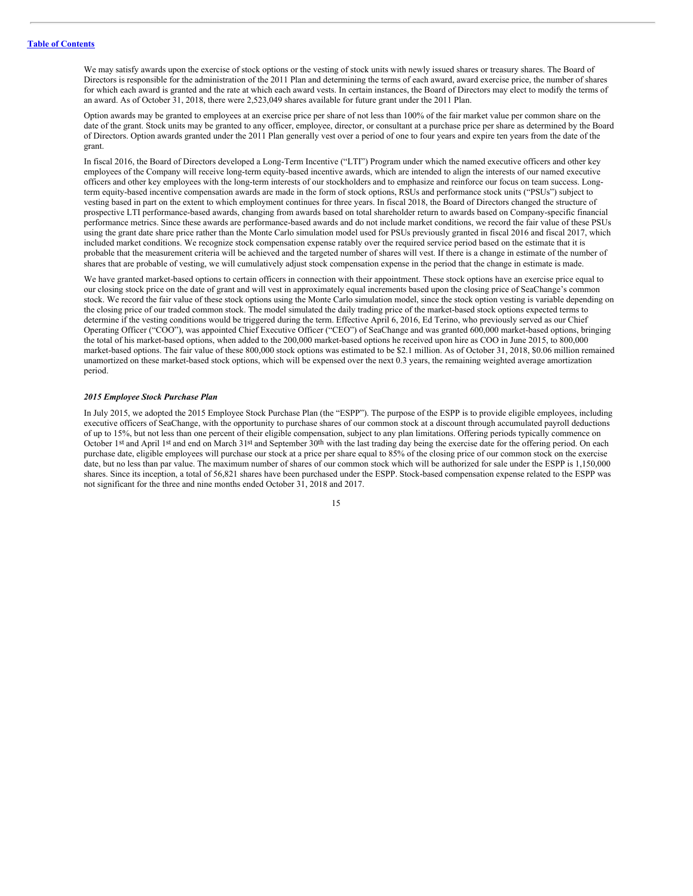We may satisfy awards upon the exercise of stock options or the vesting of stock units with newly issued shares or treasury shares. The Board of Directors is responsible for the administration of the 2011 Plan and determining the terms of each award, award exercise price, the number of shares for which each award is granted and the rate at which each award vests. In certain instances, the Board of Directors may elect to modify the terms of an award. As of October 31, 2018, there were 2,523,049 shares available for future grant under the 2011 Plan.

Option awards may be granted to employees at an exercise price per share of not less than 100% of the fair market value per common share on the date of the grant. Stock units may be granted to any officer, employee, director, or consultant at a purchase price per share as determined by the Board of Directors. Option awards granted under the 2011 Plan generally vest over a period of one to four years and expire ten years from the date of the grant.

In fiscal 2016, the Board of Directors developed a Long-Term Incentive ("LTI") Program under which the named executive officers and other key employees of the Company will receive long-term equity-based incentive awards, which are intended to align the interests of our named executive officers and other key employees with the long-term interests of our stockholders and to emphasize and reinforce our focus on team success. Longterm equity-based incentive compensation awards are made in the form of stock options, RSUs and performance stock units ("PSUs") subject to vesting based in part on the extent to which employment continues for three years. In fiscal 2018, the Board of Directors changed the structure of prospective LTI performance-based awards, changing from awards based on total shareholder return to awards based on Company-specific financial performance metrics. Since these awards are performance-based awards and do not include market conditions, we record the fair value of these PSUs using the grant date share price rather than the Monte Carlo simulation model used for PSUs previously granted in fiscal 2016 and fiscal 2017, which included market conditions. We recognize stock compensation expense ratably over the required service period based on the estimate that it is probable that the measurement criteria will be achieved and the targeted number of shares will vest. If there is a change in estimate of the number of shares that are probable of vesting, we will cumulatively adjust stock compensation expense in the period that the change in estimate is made.

We have granted market-based options to certain officers in connection with their appointment. These stock options have an exercise price equal to our closing stock price on the date of grant and will vest in approximately equal increments based upon the closing price of SeaChange's common stock. We record the fair value of these stock options using the Monte Carlo simulation model, since the stock option vesting is variable depending on the closing price of our traded common stock. The model simulated the daily trading price of the market-based stock options expected terms to determine if the vesting conditions would be triggered during the term. Effective April 6, 2016, Ed Terino, who previously served as our Chief Operating Officer ("COO"), was appointed Chief Executive Officer ("CEO") of SeaChange and was granted 600,000 market-based options, bringing the total of his market-based options, when added to the 200,000 market-based options he received upon hire as COO in June 2015, to 800,000 market-based options. The fair value of these 800,000 stock options was estimated to be \$2.1 million. As of October 31, 2018, \$0.06 million remained unamortized on these market-based stock options, which will be expensed over the next 0.3 years, the remaining weighted average amortization period.

## *2015 Employee Stock Purchase Plan*

In July 2015, we adopted the 2015 Employee Stock Purchase Plan (the "ESPP"). The purpose of the ESPP is to provide eligible employees, including executive officers of SeaChange, with the opportunity to purchase shares of our common stock at a discount through accumulated payroll deductions of up to 15%, but not less than one percent of their eligible compensation, subject to any plan limitations. Offering periods typically commence on October 1st and April 1st and end on March 31st and September 30th with the last trading day being the exercise date for the offering period. On each purchase date, eligible employees will purchase our stock at a price per share equal to 85% of the closing price of our common stock on the exercise date, but no less than par value. The maximum number of shares of our common stock which will be authorized for sale under the ESPP is 1,150,000 shares. Since its inception, a total of 56,821 shares have been purchased under the ESPP. Stock-based compensation expense related to the ESPP was not significant for the three and nine months ended October 31, 2018 and 2017.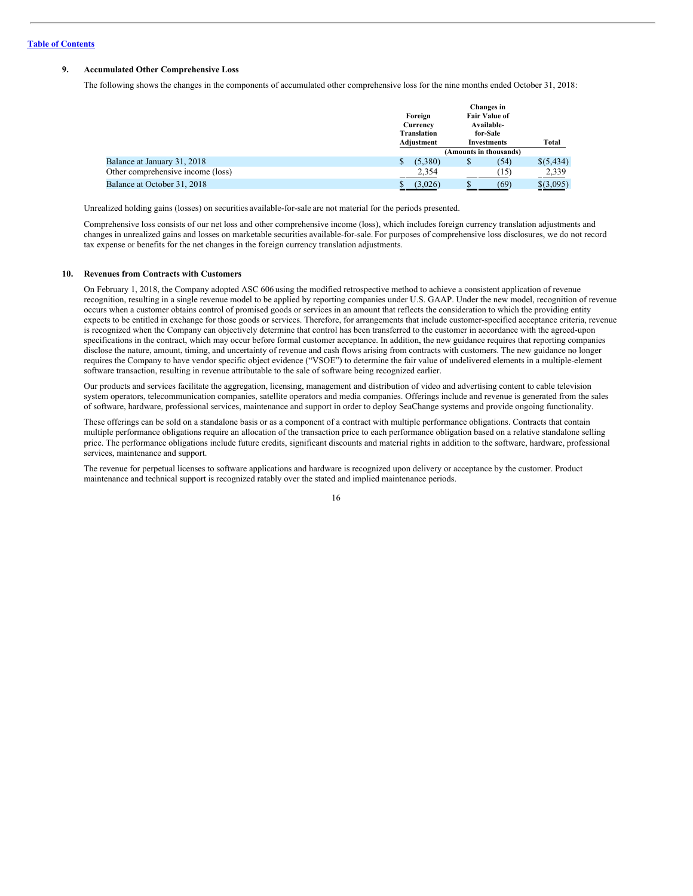## **9. Accumulated Other Comprehensive Loss**

The following shows the changes in the components of accumulated other comprehensive loss for the nine months ended October 31, 2018:

|                                   | Foreign<br>Currency<br><b>Translation</b><br>Adjustment |                        | <b>Changes</b> in<br><b>Fair Value of</b><br>Available-<br>for-Sale<br>Investments |           |
|-----------------------------------|---------------------------------------------------------|------------------------|------------------------------------------------------------------------------------|-----------|
|                                   |                                                         | (Amounts in thousands) |                                                                                    | Total     |
| Balance at January 31, 2018       | (5.380)                                                 | S                      | (54)                                                                               | \$(5,434) |
| Other comprehensive income (loss) | 2,354                                                   |                        | (15)                                                                               | 2,339     |
| Balance at October 31, 2018       | (3,026)                                                 |                        | (69)                                                                               | \$(3,095) |

Unrealized holding gains (losses) on securities available-for-sale are not material for the periods presented.

Comprehensive loss consists of our net loss and other comprehensive income (loss), which includes foreign currency translation adjustments and changes in unrealized gains and losses on marketable securities available-for-sale. For purposes of comprehensive loss disclosures, we do not record tax expense or benefits for the net changes in the foreign currency translation adjustments.

## **10. Revenues from Contracts with Customers**

On February 1, 2018, the Company adopted ASC 606 using the modified retrospective method to achieve a consistent application of revenue recognition, resulting in a single revenue model to be applied by reporting companies under U.S. GAAP. Under the new model, recognition of revenue occurs when a customer obtains control of promised goods or services in an amount that reflects the consideration to which the providing entity expects to be entitled in exchange for those goods or services. Therefore, for arrangements that include customer-specified acceptance criteria, revenue is recognized when the Company can objectively determine that control has been transferred to the customer in accordance with the agreed-upon specifications in the contract, which may occur before formal customer acceptance. In addition, the new guidance requires that reporting companies disclose the nature, amount, timing, and uncertainty of revenue and cash flows arising from contracts with customers. The new guidance no longer requires the Company to have vendor specific object evidence ("VSOE") to determine the fair value of undelivered elements in a multiple-element software transaction, resulting in revenue attributable to the sale of software being recognized earlier.

Our products and services facilitate the aggregation, licensing, management and distribution of video and advertising content to cable television system operators, telecommunication companies, satellite operators and media companies. Offerings include and revenue is generated from the sales of software, hardware, professional services, maintenance and support in order to deploy SeaChange systems and provide ongoing functionality.

These offerings can be sold on a standalone basis or as a component of a contract with multiple performance obligations. Contracts that contain multiple performance obligations require an allocation of the transaction price to each performance obligation based on a relative standalone selling price. The performance obligations include future credits, significant discounts and material rights in addition to the software, hardware, professional services, maintenance and support.

The revenue for perpetual licenses to software applications and hardware is recognized upon delivery or acceptance by the customer. Product maintenance and technical support is recognized ratably over the stated and implied maintenance periods.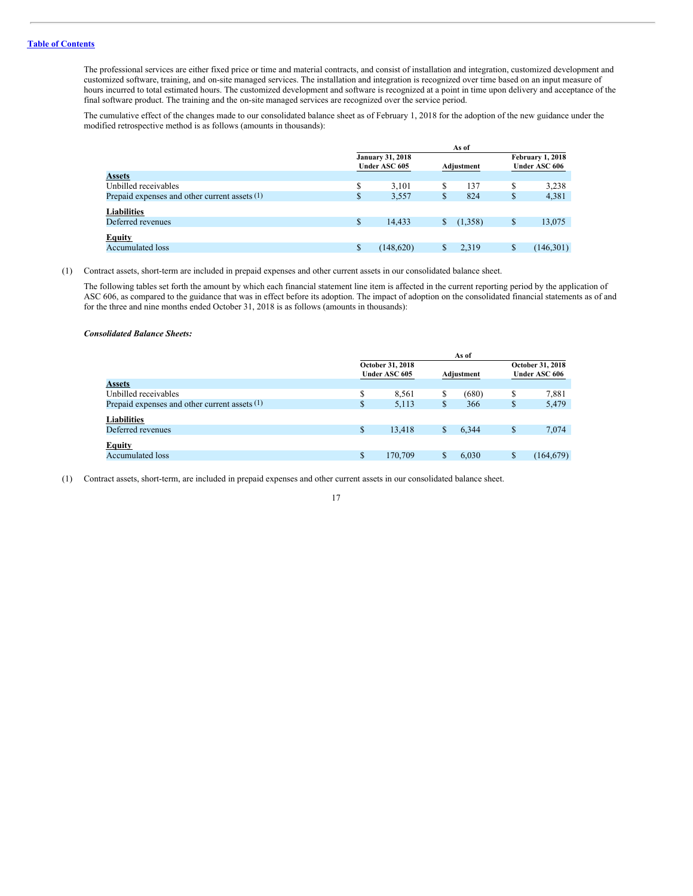The professional services are either fixed price or time and material contracts, and consist of installation and integration, customized development and customized software, training, and on-site managed services. The installation and integration is recognized over time based on an input measure of hours incurred to total estimated hours. The customized development and software is recognized at a point in time upon delivery and acceptance of the final software product. The training and the on-site managed services are recognized over the service period.

The cumulative effect of the changes made to our consolidated balance sheet as of February 1, 2018 for the adoption of the new guidance under the modified retrospective method is as follows (amounts in thousands):

|                                                 |    | As of                   |    |            |    |                  |  |  |  |
|-------------------------------------------------|----|-------------------------|----|------------|----|------------------|--|--|--|
|                                                 |    | <b>January 31, 2018</b> |    |            |    | February 1, 2018 |  |  |  |
|                                                 |    | Under ASC 605           |    | Adjustment |    | Under ASC 606    |  |  |  |
| <b>Assets</b>                                   |    |                         |    |            |    |                  |  |  |  |
| Unbilled receivables                            | S  | 3,101                   | S  | 137        |    | 3,238            |  |  |  |
| Prepaid expenses and other current assets $(1)$ | \$ | 3,557                   | \$ | 824        | \$ | 4,381            |  |  |  |
| Liabilities                                     |    |                         |    |            |    |                  |  |  |  |
| Deferred revenues                               | \$ | 14,433                  | \$ | (1,358)    | \$ | 13,075           |  |  |  |
| <b>Equity</b>                                   |    |                         |    |            |    |                  |  |  |  |
| <b>Accumulated loss</b>                         | \$ | (148,620)               | \$ | 2,319      | \$ | (146,301)        |  |  |  |
|                                                 |    |                         |    |            |    |                  |  |  |  |

(1) Contract assets, short-term are included in prepaid expenses and other current assets in our consolidated balance sheet.

The following tables set forth the amount by which each financial statement line item is affected in the current reporting period by the application of ASC 606, as compared to the guidance that was in effect before its adoption. The impact of adoption on the consolidated financial statements as of and for the three and nine months ended October 31, 2018 is as follows (amounts in thousands):

#### *Consolidated Balance Sheets:*

|                                                 | As of |                                          |    |            |                                   |            |  |  |
|-------------------------------------------------|-------|------------------------------------------|----|------------|-----------------------------------|------------|--|--|
|                                                 |       | <b>October 31, 2018</b><br>Under ASC 605 |    | Adjustment | October 31, 2018<br>Under ASC 606 |            |  |  |
| <b>Assets</b>                                   |       |                                          |    |            |                                   |            |  |  |
| Unbilled receivables                            | S     | 8,561                                    | \$ | (680)      | S                                 | 7,881      |  |  |
| Prepaid expenses and other current assets $(1)$ | \$    | 5,113                                    | \$ | 366        | \$                                | 5,479      |  |  |
| Liabilities                                     |       |                                          |    |            |                                   |            |  |  |
| Deferred revenues                               | S     | 13.418                                   | \$ | 6,344      | \$                                | 7,074      |  |  |
| <b>Equity</b>                                   |       |                                          |    |            |                                   |            |  |  |
| <b>Accumulated loss</b>                         | \$    | 170,709                                  | \$ | 6,030      | \$                                | (164, 679) |  |  |
|                                                 |       |                                          |    |            |                                   |            |  |  |

(1) Contract assets, short-term, are included in prepaid expenses and other current assets in our consolidated balance sheet.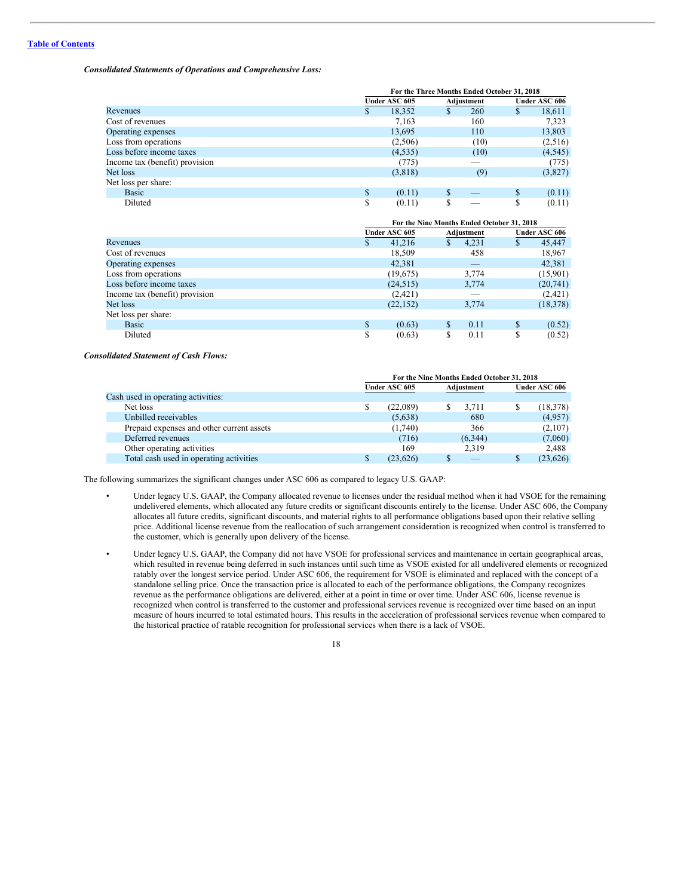## *Consolidated Statements of Operations and Comprehensive Loss:*

|                                | For the Three Months Ended October 31, 2018 |          |            |      |    |               |
|--------------------------------|---------------------------------------------|----------|------------|------|----|---------------|
|                                | Under ASC 605                               |          | Adjustment |      |    | Under ASC 606 |
| Revenues                       | S                                           | 18,352   |            | 260  | S  | 18,611        |
| Cost of revenues               |                                             | 7,163    |            | 160  |    | 7,323         |
| Operating expenses             |                                             | 13,695   |            | 110  |    | 13,803        |
| Loss from operations           |                                             | (2,506)  |            | (10) |    | (2,516)       |
| Loss before income taxes       |                                             | (4, 535) |            | (10) |    | (4, 545)      |
| Income tax (benefit) provision |                                             | (775)    |            | __   |    | (775)         |
| Net loss                       |                                             | (3,818)  |            | (9)  |    | (3,827)       |
| Net loss per share:            |                                             |          |            |      |    |               |
| <b>Basic</b>                   | \$                                          | (0.11)   | S          |      | S  | (0.11)        |
| Diluted                        | \$                                          | (0.11)   | S          |      | \$ | (0.11)        |

|                                |    | For the Nine Months Ended October 31, 2018 |    |            |   |               |  |
|--------------------------------|----|--------------------------------------------|----|------------|---|---------------|--|
|                                |    | Under ASC 605                              |    | Adjustment |   | Under ASC 606 |  |
| Revenues                       | S  | 41.216                                     | S  | 4,231      | S | 45,447        |  |
| Cost of revenues               |    | 18.509                                     |    | 458        |   | 18,967        |  |
| Operating expenses             |    | 42,381                                     |    | _          |   | 42,381        |  |
| Loss from operations           |    | (19,675)                                   |    | 3,774      |   | (15,901)      |  |
| Loss before income taxes       |    | (24, 515)                                  |    | 3,774      |   | (20,741)      |  |
| Income tax (benefit) provision |    | (2,421)                                    |    | _          |   | (2,421)       |  |
| Net loss                       |    | (22, 152)                                  |    | 3,774      |   | (18, 378)     |  |
| Net loss per share:            |    |                                            |    |            |   |               |  |
| <b>Basic</b>                   | \$ | (0.63)                                     | \$ | 0.11       | S | (0.52)        |  |
| Diluted                        | \$ | (0.63)                                     |    | 0.11       | S | (0.52)        |  |

## *Consolidated Statement of Cash Flows:*

|                                           | For the Nine Months Ended October 31, 2018 |          |            |          |   |               |  |  |
|-------------------------------------------|--------------------------------------------|----------|------------|----------|---|---------------|--|--|
|                                           | Under ASC 605                              |          | Adjustment |          |   | Under ASC 606 |  |  |
| Cash used in operating activities:        |                                            |          |            |          |   |               |  |  |
| Net loss                                  | S                                          | (22,089) |            | 3.711    | S | (18,378)      |  |  |
| Unbilled receivables                      |                                            | (5,638)  |            | 680      |   | (4,957)       |  |  |
| Prepaid expenses and other current assets |                                            | (1,740)  |            | 366      |   | (2,107)       |  |  |
| Deferred revenues                         |                                            | (716)    |            | (6, 344) |   | (7,060)       |  |  |
| Other operating activities                |                                            | 169      |            | 2.319    |   | 2.488         |  |  |
| Total cash used in operating activities   |                                            | (23,626) |            |          |   | (23, 626)     |  |  |

The following summarizes the significant changes under ASC 606 as compared to legacy U.S. GAAP:

- Under legacy U.S. GAAP, the Company allocated revenue to licenses under the residual method when it had VSOE for the remaining undelivered elements, which allocated any future credits or significant discounts entirely to the license. Under ASC 606, the Company allocates all future credits, significant discounts, and material rights to all performance obligations based upon their relative selling price. Additional license revenue from the reallocation of such arrangement consideration is recognized when control is transferred to the customer, which is generally upon delivery of the license.
- Under legacy U.S. GAAP, the Company did not have VSOE for professional services and maintenance in certain geographical areas, which resulted in revenue being deferred in such instances until such time as VSOE existed for all undelivered elements or recognized ratably over the longest service period. Under ASC 606, the requirement for VSOE is eliminated and replaced with the concept of a standalone selling price. Once the transaction price is allocated to each of the performance obligations, the Company recognizes revenue as the performance obligations are delivered, either at a point in time or over time. Under ASC 606, license revenue is recognized when control is transferred to the customer and professional services revenue is recognized over time based on an input measure of hours incurred to total estimated hours. This results in the acceleration of professional services revenue when compared to the historical practice of ratable recognition for professional services when there is a lack of VSOE.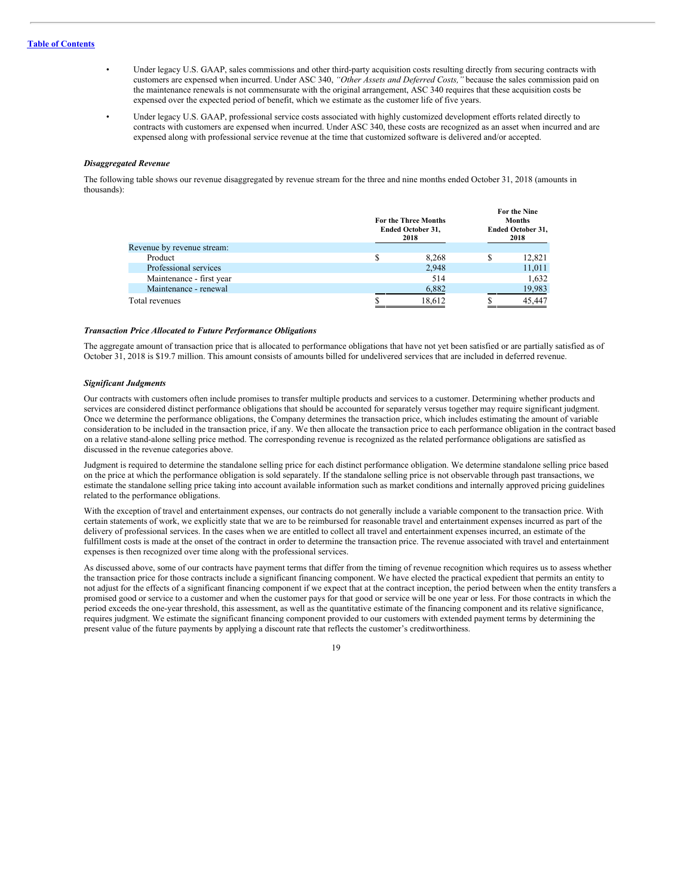- Under legacy U.S. GAAP, sales commissions and other third-party acquisition costs resulting directly from securing contracts with customers are expensed when incurred. Under ASC 340, *"Other Assets and Deferred Costs,"* because the sales commission paid on the maintenance renewals is not commensurate with the original arrangement, ASC 340 requires that these acquisition costs be expensed over the expected period of benefit, which we estimate as the customer life of five years.
- Under legacy U.S. GAAP, professional service costs associated with highly customized development efforts related directly to contracts with customers are expensed when incurred. Under ASC 340, these costs are recognized as an asset when incurred and are expensed along with professional service revenue at the time that customized software is delivered and/or accepted.

#### *Disaggregated Revenue*

The following table shows our revenue disaggregated by revenue stream for the three and nine months ended October 31, 2018 (amounts in thousands):

|                            | <b>For the Three Months</b><br><b>Ended October 31,</b><br>2018 |   | For the Nine<br><b>Months</b><br>Ended October 31,<br>2018 |
|----------------------------|-----------------------------------------------------------------|---|------------------------------------------------------------|
| Revenue by revenue stream: |                                                                 |   |                                                            |
| Product                    | 8,268                                                           | S | 12,821                                                     |
| Professional services      | 2,948                                                           |   | 11,011                                                     |
| Maintenance - first year   | 514                                                             |   | 1,632                                                      |
| Maintenance - renewal      | 6,882                                                           |   | 19,983                                                     |
| Total revenues             | 18,612                                                          |   | 45.447                                                     |

#### *Transaction Price Allocated to Future Performance Obligations*

The aggregate amount of transaction price that is allocated to performance obligations that have not yet been satisfied or are partially satisfied as of October 31, 2018 is \$19.7 million. This amount consists of amounts billed for undelivered services that are included in deferred revenue.

#### *Significant Judgments*

Our contracts with customers often include promises to transfer multiple products and services to a customer. Determining whether products and services are considered distinct performance obligations that should be accounted for separately versus together may require significant judgment. Once we determine the performance obligations, the Company determines the transaction price, which includes estimating the amount of variable consideration to be included in the transaction price, if any. We then allocate the transaction price to each performance obligation in the contract based on a relative stand-alone selling price method. The corresponding revenue is recognized as the related performance obligations are satisfied as discussed in the revenue categories above.

Judgment is required to determine the standalone selling price for each distinct performance obligation. We determine standalone selling price based on the price at which the performance obligation is sold separately. If the standalone selling price is not observable through past transactions, we estimate the standalone selling price taking into account available information such as market conditions and internally approved pricing guidelines related to the performance obligations.

With the exception of travel and entertainment expenses, our contracts do not generally include a variable component to the transaction price. With certain statements of work, we explicitly state that we are to be reimbursed for reasonable travel and entertainment expenses incurred as part of the delivery of professional services. In the cases when we are entitled to collect all travel and entertainment expenses incurred, an estimate of the fulfillment costs is made at the onset of the contract in order to determine the transaction price. The revenue associated with travel and entertainment expenses is then recognized over time along with the professional services.

As discussed above, some of our contracts have payment terms that differ from the timing of revenue recognition which requires us to assess whether the transaction price for those contracts include a significant financing component. We have elected the practical expedient that permits an entity to not adjust for the effects of a significant financing component if we expect that at the contract inception, the period between when the entity transfers a promised good or service to a customer and when the customer pays for that good or service will be one year or less. For those contracts in which the period exceeds the one-year threshold, this assessment, as well as the quantitative estimate of the financing component and its relative significance, requires judgment. We estimate the significant financing component provided to our customers with extended payment terms by determining the present value of the future payments by applying a discount rate that reflects the customer's creditworthiness.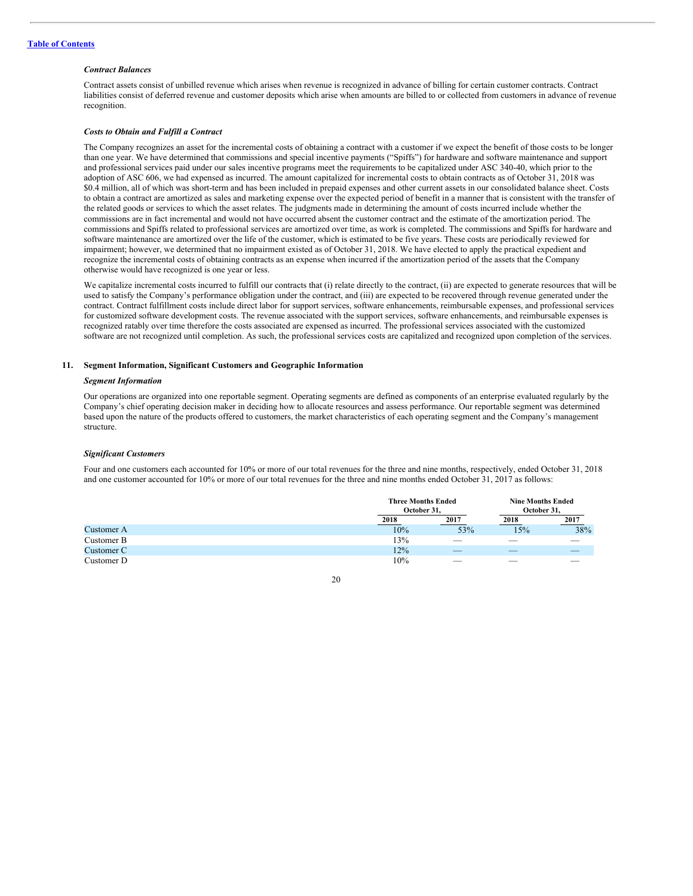## *Contract Balances*

Contract assets consist of unbilled revenue which arises when revenue is recognized in advance of billing for certain customer contracts. Contract liabilities consist of deferred revenue and customer deposits which arise when amounts are billed to or collected from customers in advance of revenue recognition.

## *Costs to Obtain and Fulfill a Contract*

The Company recognizes an asset for the incremental costs of obtaining a contract with a customer if we expect the benefit of those costs to be longer than one year. We have determined that commissions and special incentive payments ("Spiffs") for hardware and software maintenance and support and professional services paid under our sales incentive programs meet the requirements to be capitalized under ASC 340-40, which prior to the adoption of ASC 606, we had expensed as incurred. The amount capitalized for incremental costs to obtain contracts as of October 31, 2018 was \$0.4 million, all of which was short-term and has been included in prepaid expenses and other current assets in our consolidated balance sheet. Costs to obtain a contract are amortized as sales and marketing expense over the expected period of benefit in a manner that is consistent with the transfer of the related goods or services to which the asset relates. The judgments made in determining the amount of costs incurred include whether the commissions are in fact incremental and would not have occurred absent the customer contract and the estimate of the amortization period. The commissions and Spiffs related to professional services are amortized over time, as work is completed. The commissions and Spiffs for hardware and software maintenance are amortized over the life of the customer, which is estimated to be five years. These costs are periodically reviewed for impairment; however, we determined that no impairment existed as of October 31, 2018. We have elected to apply the practical expedient and recognize the incremental costs of obtaining contracts as an expense when incurred if the amortization period of the assets that the Company otherwise would have recognized is one year or less.

We capitalize incremental costs incurred to fulfill our contracts that (i) relate directly to the contract, (ii) are expected to generate resources that will be used to satisfy the Company's performance obligation under the contract, and (iii) are expected to be recovered through revenue generated under the contract. Contract fulfillment costs include direct labor for support services, software enhancements, reimbursable expenses, and professional services for customized software development costs. The revenue associated with the support services, software enhancements, and reimbursable expenses is recognized ratably over time therefore the costs associated are expensed as incurred. The professional services associated with the customized software are not recognized until completion. As such, the professional services costs are capitalized and recognized upon completion of the services.

## **11. Segment Information, Significant Customers and Geographic Information**

## *Segment Information*

Our operations are organized into one reportable segment. Operating segments are defined as components of an enterprise evaluated regularly by the Company's chief operating decision maker in deciding how to allocate resources and assess performance. Our reportable segment was determined based upon the nature of the products offered to customers, the market characteristics of each operating segment and the Company's management structure.

## *Significant Customers*

Four and one customers each accounted for 10% or more of our total revenues for the three and nine months, respectively, ended October 31, 2018 and one customer accounted for 10% or more of our total revenues for the three and nine months ended October 31, 2017 as follows:

|            |      | <b>Three Months Ended</b><br>October 31. |                          | <b>Nine Months Ended</b><br>October 31. |
|------------|------|------------------------------------------|--------------------------|-----------------------------------------|
|            | 2018 | 2017                                     | 2018                     | 2017                                    |
| Customer A | 10%  | 53%                                      | l 5%                     | 38%                                     |
| Customer B | 13%  | $\overline{\phantom{a}}$                 | -                        | $-$                                     |
| Customer C | 12%  | $\overline{\phantom{a}}$                 | $\overline{\phantom{a}}$ | $\overline{\phantom{a}}$                |
| Customer D | 10%  | $\overline{\phantom{a}}$                 | $\overline{\phantom{a}}$ | $\sim$                                  |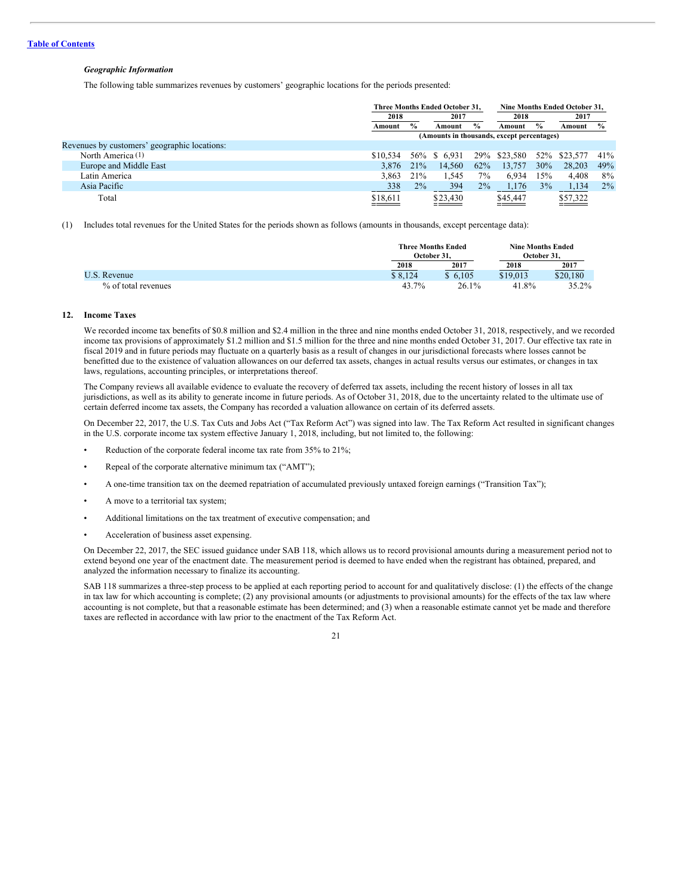## *Geographic Information*

The following table summarizes revenues by customers' geographic locations for the periods presented:

|                                              |                                            | <b>Three Months Ended October 31.</b> |                 |               |                    |               | Nine Months Ended October 31. |               |  |  |
|----------------------------------------------|--------------------------------------------|---------------------------------------|-----------------|---------------|--------------------|---------------|-------------------------------|---------------|--|--|
|                                              | 2018                                       | 2017                                  |                 |               |                    | 2017          |                               |               |  |  |
|                                              | Amount                                     | $\frac{0}{0}$                         | Amount          | $\frac{0}{0}$ | Amount             | $\frac{0}{0}$ | Amount                        | $\frac{0}{0}$ |  |  |
|                                              | (Amounts in thousands, except percentages) |                                       |                 |               |                    |               |                               |               |  |  |
| Revenues by customers' geographic locations: |                                            |                                       |                 |               |                    |               |                               |               |  |  |
| North America (1)                            | \$10,534                                   |                                       | 56\% \$ 6.931   | 29%           | \$23,580           | 52%           | \$23.577                      | 41%           |  |  |
| Europe and Middle East                       | 3.876                                      | 21%                                   | 14.560          | 62%           | 13.757             | 30%           | 28,203                        | 49%           |  |  |
| Latin America                                | 3.863                                      | 21%                                   | 1.545           | $7\%$         | 6.934              | 15%           | 4.408                         | 8%            |  |  |
| Asia Pacific                                 | 338                                        | $2\%$                                 | 394             | $2\%$         | 1,176              | $3\%$         | 1,134                         | $2\%$         |  |  |
| Total                                        | \$18,611<br>_____                          |                                       | \$23,430<br>___ |               | \$45,447<br>______ |               | \$57,322<br>____              |               |  |  |

(1) Includes total revenues for the United States for the periods shown as follows (amounts in thousands, except percentage data):

|                     | <b>Three Months Ended</b> |         | <b>Nine Months Ended</b><br>October 31. |          |  |
|---------------------|---------------------------|---------|-----------------------------------------|----------|--|
|                     | October 31.               |         |                                         |          |  |
|                     | 2018                      | 2017    | 2018                                    | 2017     |  |
| U.S. Revenue        | \$8.124                   | \$6.105 | \$19.013                                | \$20,180 |  |
| % of total revenues | 43.7%                     | 26.1%   | 41.8%                                   | 35.2%    |  |

## **12. Income Taxes**

We recorded income tax benefits of \$0.8 million and \$2.4 million in the three and nine months ended October 31, 2018, respectively, and we recorded income tax provisions of approximately \$1.2 million and \$1.5 million for the three and nine months ended October 31, 2017. Our effective tax rate in fiscal 2019 and in future periods may fluctuate on a quarterly basis as a result of changes in our jurisdictional forecasts where losses cannot be benefitted due to the existence of valuation allowances on our deferred tax assets, changes in actual results versus our estimates, or changes in tax laws, regulations, accounting principles, or interpretations thereof.

The Company reviews all available evidence to evaluate the recovery of deferred tax assets, including the recent history of losses in all tax jurisdictions, as well as its ability to generate income in future periods. As of October 31, 2018, due to the uncertainty related to the ultimate use of certain deferred income tax assets, the Company has recorded a valuation allowance on certain of its deferred assets.

On December 22, 2017, the U.S. Tax Cuts and Jobs Act ("Tax Reform Act") was signed into law. The Tax Reform Act resulted in significant changes in the U.S. corporate income tax system effective January 1, 2018, including, but not limited to, the following:

- Reduction of the corporate federal income tax rate from 35% to 21%;
- Repeal of the corporate alternative minimum tax ("AMT");
- A one-time transition tax on the deemed repatriation of accumulated previously untaxed foreign earnings ("Transition Tax");
- A move to a territorial tax system;
- Additional limitations on the tax treatment of executive compensation; and
- Acceleration of business asset expensing.

On December 22, 2017, the SEC issued guidance under SAB 118, which allows us to record provisional amounts during a measurement period not to extend beyond one year of the enactment date. The measurement period is deemed to have ended when the registrant has obtained, prepared, and analyzed the information necessary to finalize its accounting.

SAB 118 summarizes a three-step process to be applied at each reporting period to account for and qualitatively disclose: (1) the effects of the change in tax law for which accounting is complete; (2) any provisional amounts (or adjustments to provisional amounts) for the effects of the tax law where accounting is not complete, but that a reasonable estimate has been determined; and (3) when a reasonable estimate cannot yet be made and therefore taxes are reflected in accordance with law prior to the enactment of the Tax Reform Act.

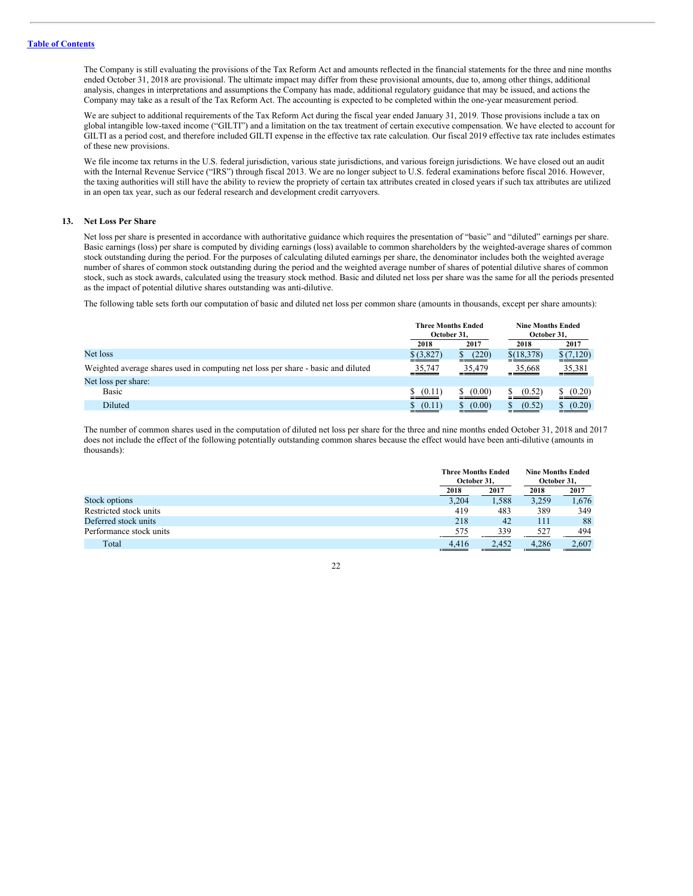The Company is still evaluating the provisions of the Tax Reform Act and amounts reflected in the financial statements for the three and nine months ended October 31, 2018 are provisional. The ultimate impact may differ from these provisional amounts, due to, among other things, additional analysis, changes in interpretations and assumptions the Company has made, additional regulatory guidance that may be issued, and actions the Company may take as a result of the Tax Reform Act. The accounting is expected to be completed within the one-year measurement period.

We are subject to additional requirements of the Tax Reform Act during the fiscal year ended January 31, 2019. Those provisions include a tax on global intangible low-taxed income ("GILTI") and a limitation on the tax treatment of certain executive compensation. We have elected to account for GILTI as a period cost, and therefore included GILTI expense in the effective tax rate calculation. Our fiscal 2019 effective tax rate includes estimates of these new provisions.

We file income tax returns in the U.S. federal jurisdiction, various state jurisdictions, and various foreign jurisdictions. We have closed out an audit with the Internal Revenue Service ("IRS") through fiscal 2013. We are no longer subject to U.S. federal examinations before fiscal 2016. However, the taxing authorities will still have the ability to review the propriety of certain tax attributes created in closed years if such tax attributes are utilized in an open tax year, such as our federal research and development credit carryovers.

## **13. Net Loss Per Share**

Net loss per share is presented in accordance with authoritative guidance which requires the presentation of "basic" and "diluted" earnings per share. Basic earnings (loss) per share is computed by dividing earnings (loss) available to common shareholders by the weighted-average shares of common stock outstanding during the period. For the purposes of calculating diluted earnings per share, the denominator includes both the weighted average number of shares of common stock outstanding during the period and the weighted average number of shares of potential dilutive shares of common stock, such as stock awards, calculated using the treasury stock method. Basic and diluted net loss per share was the same for all the periods presented as the impact of potential dilutive shares outstanding was anti-dilutive.

The following table sets forth our computation of basic and diluted net loss per common share (amounts in thousands, except per share amounts):

|                                                                                  | <b>Three Months Ended</b><br>October 31. |                        | <b>Nine Months Ended</b><br>October 31. |           |  |
|----------------------------------------------------------------------------------|------------------------------------------|------------------------|-----------------------------------------|-----------|--|
|                                                                                  | 2018                                     | 2017                   | 2018                                    | 2017      |  |
| Net loss                                                                         | \$ (3,827)                               | (220)                  | \$(18,378)                              | \$(7,120) |  |
| Weighted average shares used in computing net loss per share - basic and diluted | 35,747                                   | 35,479                 | 35,668                                  | 35,381    |  |
| Net loss per share:                                                              |                                          |                        |                                         |           |  |
| Basic                                                                            | (0.11)                                   | (0.00)                 | (0.52)                                  | \$ (0.20) |  |
| Diluted                                                                          | (0.11)<br>S.                             | (0.00)<br><sup>S</sup> | (0.52)<br>S                             | (0.20)    |  |

The number of common shares used in the computation of diluted net loss per share for the three and nine months ended October 31, 2018 and 2017 does not include the effect of the following potentially outstanding common shares because the effect would have been anti-dilutive (amounts in thousands):

|                         | <b>Three Months Ended</b> |       | <b>Nine Months Ended</b> |       |  |
|-------------------------|---------------------------|-------|--------------------------|-------|--|
|                         | October 31.               |       | October 31.              |       |  |
|                         | 2018                      | 2017  | 2018                     | 2017  |  |
| Stock options           | 3.204                     | 1.588 | 3.259                    | 1,676 |  |
| Restricted stock units  | 419                       | 483   | 389                      | 349   |  |
| Deferred stock units    | 218                       | 42    | 111                      | 88    |  |
| Performance stock units | 575                       | 339   | 527                      | 494   |  |
| Total                   | 4.416                     | 2.452 | 4.286                    | 2.607 |  |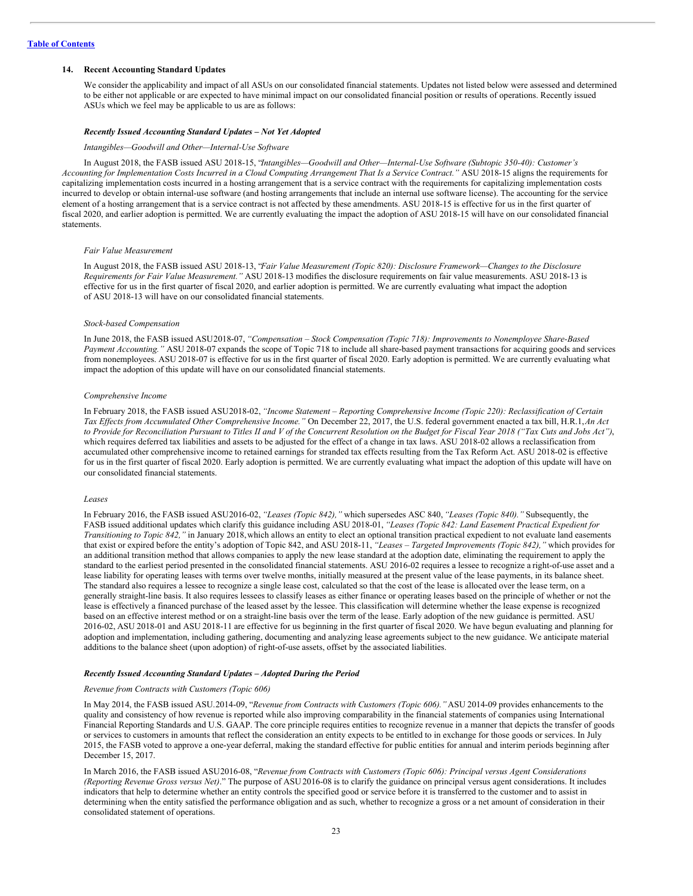## **14. Recent Accounting Standard Updates**

We consider the applicability and impact of all ASUs on our consolidated financial statements. Updates not listed below were assessed and determined to be either not applicable or are expected to have minimal impact on our consolidated financial position or results of operations. Recently issued ASUs which we feel may be applicable to us are as follows:

## *Recently Issued Accounting Standard Updates – Not Yet Adopted*

## *Intangibles—Goodwill and Other—Internal-Use Software*

In August 2018, the FASB issued ASU 2018-15, "*Intangibles—Goodwill and Other—Internal-Use Software (Subtopic 350-40): Customer's* Accounting for Implementation Costs Incurred in a Cloud Computing Arrangement That Is a Service Contract." ASU 2018-15 aligns the requirements for capitalizing implementation costs incurred in a hosting arrangement that is a service contract with the requirements for capitalizing implementation costs incurred to develop or obtain internal-use software (and hosting arrangements that include an internal use software license). The accounting for the service element of a hosting arrangement that is a service contract is not affected by these amendments. ASU 2018-15 is effective for us in the first quarter of fiscal 2020, and earlier adoption is permitted. We are currently evaluating the impact the adoption of ASU 2018-15 will have on our consolidated financial statements.

#### *Fair Value Measurement*

In August 2018, the FASB issued ASU 2018-13, "*Fair Value Measurement (Topic 820): Disclosure Framework—Changes to the Disclosure Requirements for Fair Value Measurement."* ASU 2018-13 modifies the disclosure requirements on fair value measurements. ASU 2018-13 is effective for us in the first quarter of fiscal 2020, and earlier adoption is permitted. We are currently evaluating what impact the adoption of ASU 2018-13 will have on our consolidated financial statements.

#### *Stock-based Compensation*

In June 2018, the FASB issued ASU2018-07, *"Compensation – Stock Compensation (Topic 718): Improvements to Nonemployee Share-Based Payment Accounting."* ASU 2018-07 expands the scope of Topic 718 to include all share-based payment transactions for acquiring goods and services from nonemployees. ASU 2018-07 is effective for us in the first quarter of fiscal 2020. Early adoption is permitted. We are currently evaluating what impact the adoption of this update will have on our consolidated financial statements.

#### *Comprehensive Income*

In February 2018, the FASB issued ASU2018-02, *"Income Statement – Reporting Comprehensive Income (Topic 220): Reclassification of Certain Tax Ef ects from Accumulated Other Comprehensive Income."* On December 22, 2017, the U.S. federal government enacted a tax bill, H.R.1,*An Act* to Provide for Reconciliation Pursuant to Titles II and V of the Concurrent Resolution on the Budget for Fiscal Year 2018 ("Tax Cuts and Jobs Act"), which requires deferred tax liabilities and assets to be adjusted for the effect of a change in tax laws. ASU 2018-02 allows a reclassification from accumulated other comprehensive income to retained earnings for stranded tax effects resulting from the Tax Reform Act. ASU 2018-02 is effective for us in the first quarter of fiscal 2020. Early adoption is permitted. We are currently evaluating what impact the adoption of this update will have on our consolidated financial statements.

#### *Leases*

In February 2016, the FASB issued ASU2016-02, *"Leases (Topic 842),"* which supersedes ASC 840, *"Leases (Topic 840)."* Subsequently, the FASB issued additional updates which clarify this guidance including ASU 2018-01, *"Leases (Topic 842: Land Easement Practical Expedient for Transitioning to Topic 842*," in January 2018, which allows an entity to elect an optional transition practical expedient to not evaluate land easements that exist or expired before the entity's adoption of Topic 842, and ASU 2018-11, *"Leases – Targeted Improvements (Topic 842),"* which provides for an additional transition method that allows companies to apply the new lease standard at the adoption date, eliminating the requirement to apply the standard to the earliest period presented in the consolidated financial statements. ASU 2016-02 requires a lessee to recognize a right-of-use asset and a lease liability for operating leases with terms over twelve months, initially measured at the present value of the lease payments, in its balance sheet. The standard also requires a lessee to recognize a single lease cost, calculated so that the cost of the lease is allocated over the lease term, on a generally straight-line basis. It also requires lessees to classify leases as either finance or operating leases based on the principle of whether or not the lease is effectively a financed purchase of the leased asset by the lessee. This classification will determine whether the lease expense is recognized based on an effective interest method or on a straight-line basis over the term of the lease. Early adoption of the new guidance is permitted. ASU 2016-02, ASU 2018-01 and ASU 2018-11 are effective for us beginning in the first quarter of fiscal 2020. We have begun evaluating and planning for adoption and implementation, including gathering, documenting and analyzing lease agreements subject to the new guidance. We anticipate material additions to the balance sheet (upon adoption) of right-of-use assets, offset by the associated liabilities.

#### *Recently Issued Accounting Standard Updates – Adopted During the Period*

## *Revenue from Contracts with Customers (Topic 606)*

In May 2014, the FASB issued ASU.2014-09, "*Revenue from Contracts with Customers (Topic 606)."* ASU 2014-09 provides enhancements to the quality and consistency of how revenue is reported while also improving comparability in the financial statements of companies using International Financial Reporting Standards and U.S. GAAP. The core principle requires entities to recognize revenue in a manner that depicts the transfer of goods or services to customers in amounts that reflect the consideration an entity expects to be entitled to in exchange for those goods or services. In July 2015, the FASB voted to approve a one-year deferral, making the standard effective for public entities for annual and interim periods beginning after December 15, 2017.

In March 2016, the FASB issued ASU2016-08, "*Revenue from Contracts with Customers (Topic 606): Principal versus Agent Considerations (Reporting Revenue Gross versus Net)*." The purpose of ASU 2016-08 is to clarify the guidance on principal versus agent considerations. It includes indicators that help to determine whether an entity controls the specified good or service before it is transferred to the customer and to assist in determining when the entity satisfied the performance obligation and as such, whether to recognize a gross or a net amount of consideration in their consolidated statement of operations.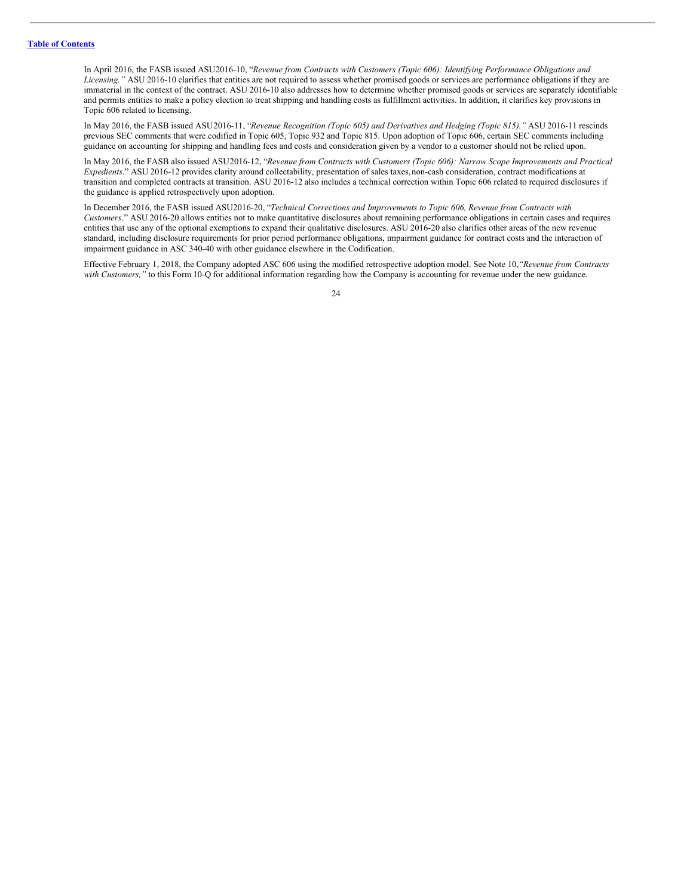In April 2016, the FASB issued ASU2016-10, "*Revenue from Contracts with Customers (Topic 606): Identifying Performance Obligations and Licensing."* ASU 2016-10 clarifies that entities are not required to assess whether promised goods or services are performance obligations if they are immaterial in the context of the contract. ASU 2016-10 also addresses how to determine whether promised goods or services are separately identifiable and permits entities to make a policy election to treat shipping and handling costs as fulfillment activities. In addition, it clarifies key provisions in Topic 606 related to licensing.

In May 2016, the FASB issued ASU2016-11, "*Revenue Recognition (Topic 605) and Derivatives and Hedging (Topic 815)."* ASU 2016-11 rescinds previous SEC comments that were codified in Topic 605, Topic 932 and Topic 815. Upon adoption of Topic 606, certain SEC comments including guidance on accounting for shipping and handling fees and costs and consideration given by a vendor to a customer should not be relied upon.

In May 2016, the FASB also issued ASU2016-12, "*Revenue from Contracts with Customers (Topic 606): Narrow Scope Improvements and Practical Expedients*." ASU 2016-12 provides clarity around collectability, presentation of sales taxes, non-cash consideration, contract modifications at transition and completed contracts at transition. ASU 2016-12 also includes a technical correction within Topic 606 related to required disclosures if the guidance is applied retrospectively upon adoption.

In December 2016, the FASB issued ASU2016-20, "*Technical Corrections and Improvements to Topic 606, Revenue from Contracts with Customers*." ASU 2016-20 allows entities not to make quantitative disclosures about remaining performance obligations in certain cases and requires entities that use any of the optional exemptions to expand their qualitative disclosures. ASU 2016-20 also clarifies other areas of the new revenue standard, including disclosure requirements for prior period performance obligations, impairment guidance for contract costs and the interaction of impairment guidance in ASC 340-40 with other guidance elsewhere in the Codification.

Effective February 1, 2018, the Company adopted ASC 606 using the modified retrospective adoption model. See Note 10,*"Revenue from Contracts* with *Customers*," to this Form 10-Q for additional information regarding how the Company is accounting for revenue under the new guidance.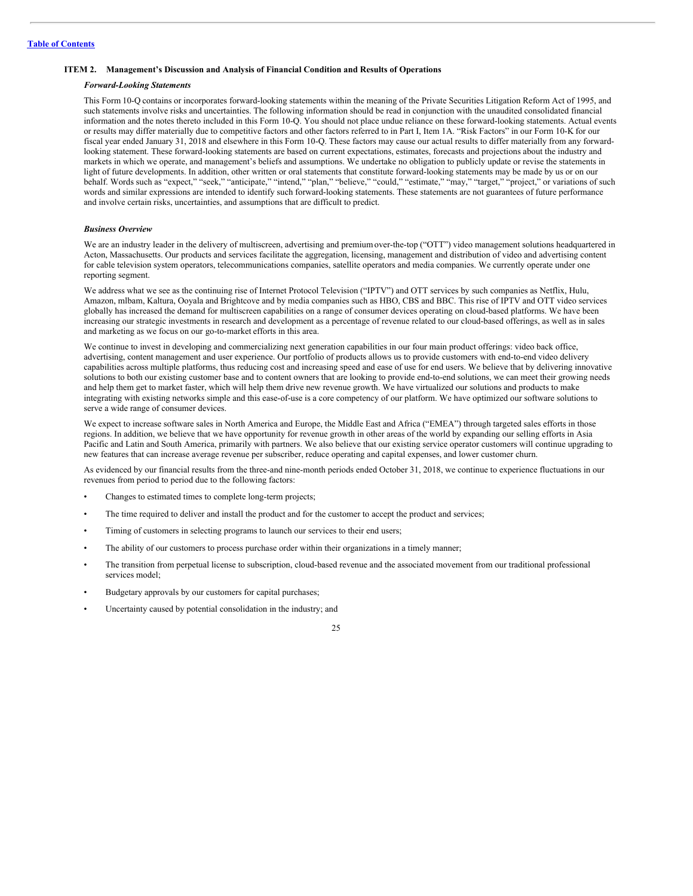## <span id="page-27-0"></span>**ITEM 2. Management's Discussion and Analysis of Financial Condition and Results of Operations**

#### *Forward-Looking Statements*

This Form 10-Q contains or incorporates forward-looking statements within the meaning of the Private Securities Litigation Reform Act of 1995, and such statements involve risks and uncertainties. The following information should be read in conjunction with the unaudited consolidated financial information and the notes thereto included in this Form 10-Q. You should not place undue reliance on these forward-looking statements. Actual events or results may differ materially due to competitive factors and other factors referred to in Part I, Item 1A. "Risk Factors" in our Form 10-K for our fiscal year ended January 31, 2018 and elsewhere in this Form 10-Q. These factors may cause our actual results to differ materially from any forwardlooking statement. These forward-looking statements are based on current expectations, estimates, forecasts and projections about the industry and markets in which we operate, and management's beliefs and assumptions. We undertake no obligation to publicly update or revise the statements in light of future developments. In addition, other written or oral statements that constitute forward-looking statements may be made by us or on our behalf. Words such as "expect," "seek," "anticipate," "intend," "plan," "believe," "could," "estimate," "may," "target," i'project," or variations of such words and similar expressions are intended to identify such forward-looking statements. These statements are not guarantees of future performance and involve certain risks, uncertainties, and assumptions that are difficult to predict.

#### *Business Overview*

We are an industry leader in the delivery of multiscreen, advertising and premium over-the-top ("OTT") video management solutions headquartered in Acton, Massachusetts. Our products and services facilitate the aggregation, licensing, management and distribution of video and advertising content for cable television system operators, telecommunications companies, satellite operators and media companies. We currently operate under one reporting segment.

We address what we see as the continuing rise of Internet Protocol Television ("IPTV") and OTT services by such companies as Netflix, Hulu, Amazon, mlbam, Kaltura, Ooyala and Brightcove and by media companies such as HBO, CBS and BBC. This rise of IPTV and OTT video services globally has increased the demand for multiscreen capabilities on a range of consumer devices operating on cloud-based platforms. We have been increasing our strategic investments in research and development as a percentage of revenue related to our cloud-based offerings, as well as in sales and marketing as we focus on our go-to-market efforts in this area.

We continue to invest in developing and commercializing next generation capabilities in our four main product offerings: video back office, advertising, content management and user experience. Our portfolio of products allows us to provide customers with end-to-end video delivery capabilities across multiple platforms, thus reducing cost and increasing speed and ease of use for end users. We believe that by delivering innovative solutions to both our existing customer base and to content owners that are looking to provide end-to-end solutions, we can meet their growing needs and help them get to market faster, which will help them drive new revenue growth. We have virtualized our solutions and products to make integrating with existing networks simple and this ease-of-use is a core competency of our platform. We have optimized our software solutions to serve a wide range of consumer devices.

We expect to increase software sales in North America and Europe, the Middle East and Africa ("EMEA") through targeted sales efforts in those regions. In addition, we believe that we have opportunity for revenue growth in other areas of the world by expanding our selling efforts in Asia Pacific and Latin and South America, primarily with partners. We also believe that our existing service operator customers will continue upgrading to new features that can increase average revenue per subscriber, reduce operating and capital expenses, and lower customer churn.

As evidenced by our financial results from the three-and nine-month periods ended October 31, 2018, we continue to experience fluctuations in our revenues from period to period due to the following factors:

- Changes to estimated times to complete long-term projects;
- The time required to deliver and install the product and for the customer to accept the product and services;
- Timing of customers in selecting programs to launch our services to their end users;
- The ability of our customers to process purchase order within their organizations in a timely manner;
- The transition from perpetual license to subscription, cloud-based revenue and the associated movement from our traditional professional services model;
- Budgetary approvals by our customers for capital purchases;
- Uncertainty caused by potential consolidation in the industry; and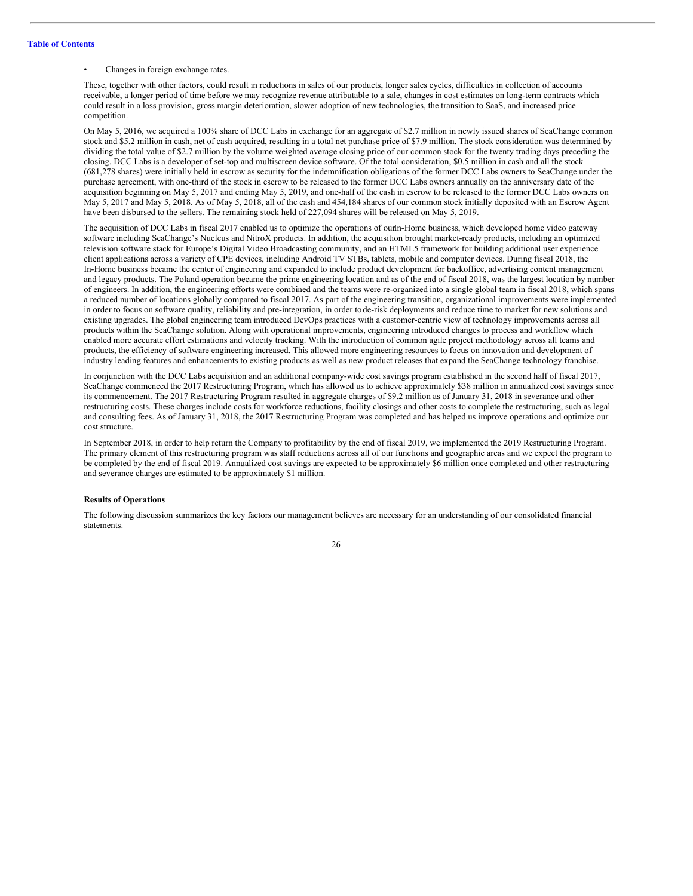## Changes in foreign exchange rates.

These, together with other factors, could result in reductions in sales of our products, longer sales cycles, difficulties in collection of accounts receivable, a longer period of time before we may recognize revenue attributable to a sale, changes in cost estimates on long-term contracts which could result in a loss provision, gross margin deterioration, slower adoption of new technologies, the transition to SaaS, and increased price competition.

On May 5, 2016, we acquired a 100% share of DCC Labs in exchange for an aggregate of \$2.7 million in newly issued shares of SeaChange common stock and \$5.2 million in cash, net of cash acquired, resulting in a total net purchase price of \$7.9 million. The stock consideration was determined by dividing the total value of \$2.7 million by the volume weighted average closing price of our common stock for the twenty trading days preceding the closing. DCC Labs is a developer of set-top and multiscreen device software. Of the total consideration, \$0.5 million in cash and all the stock (681,278 shares) were initially held in escrow as security for the indemnification obligations of the former DCC Labs owners to SeaChange under the purchase agreement, with one-third of the stock in escrow to be released to the former DCC Labs owners annually on the anniversary date of the acquisition beginning on May 5, 2017 and ending May 5, 2019, and one-half of the cash in escrow to be released to the former DCC Labs owners on May 5, 2017 and May 5, 2018. As of May 5, 2018, all of the cash and 454,184 shares of our common stock initially deposited with an Escrow Agent have been disbursed to the sellers. The remaining stock held of 227,094 shares will be released on May 5, 2019.

The acquisition of DCC Labs in fiscal 2017 enabled us to optimize the operations of ourIn-Home business, which developed home video gateway software including SeaChange's Nucleus and NitroX products. In addition, the acquisition brought market-ready products, including an optimized television software stack for Europe's Digital Video Broadcasting community, and an HTML5 framework for building additional user experience client applications across a variety of CPE devices, including Android TV STBs, tablets, mobile and computer devices. During fiscal 2018, the In-Home business became the center of engineering and expanded to include product development for backoffice, advertising content management and legacy products. The Poland operation became the prime engineering location and as of the end of fiscal 2018, was the largest location by number of engineers. In addition, the engineering efforts were combined and the teams were re-organized into a single global team in fiscal 2018, which spans a reduced number of locations globally compared to fiscal 2017. As part of the engineering transition, organizational improvements were implemented in order to focus on software quality, reliability and pre-integration, in order to de-risk deployments and reduce time to market for new solutions and existing upgrades. The global engineering team introduced DevOps practices with a customer-centric view of technology improvements across all products within the SeaChange solution. Along with operational improvements, engineering introduced changes to process and workflow which enabled more accurate effort estimations and velocity tracking. With the introduction of common agile project methodology across all teams and products, the efficiency of software engineering increased. This allowed more engineering resources to focus on innovation and development of industry leading features and enhancements to existing products as well as new product releases that expand the SeaChange technology franchise.

In conjunction with the DCC Labs acquisition and an additional company-wide cost savings program established in the second half of fiscal 2017, SeaChange commenced the 2017 Restructuring Program, which has allowed us to achieve approximately \$38 million in annualized cost savings since its commencement. The 2017 Restructuring Program resulted in aggregate charges of \$9.2 million as of January 31, 2018 in severance and other restructuring costs. These charges include costs for workforce reductions, facility closings and other costs to complete the restructuring, such as legal and consulting fees. As of January 31, 2018, the 2017 Restructuring Program was completed and has helped us improve operations and optimize our cost structure.

In September 2018, in order to help return the Company to profitability by the end of fiscal 2019, we implemented the 2019 Restructuring Program. The primary element of this restructuring program was staff reductions across all of our functions and geographic areas and we expect the program to be completed by the end of fiscal 2019. Annualized cost savings are expected to be approximately \$6 million once completed and other restructuring and severance charges are estimated to be approximately \$1 million.

## **Results of Operations**

The following discussion summarizes the key factors our management believes are necessary for an understanding of our consolidated financial statements.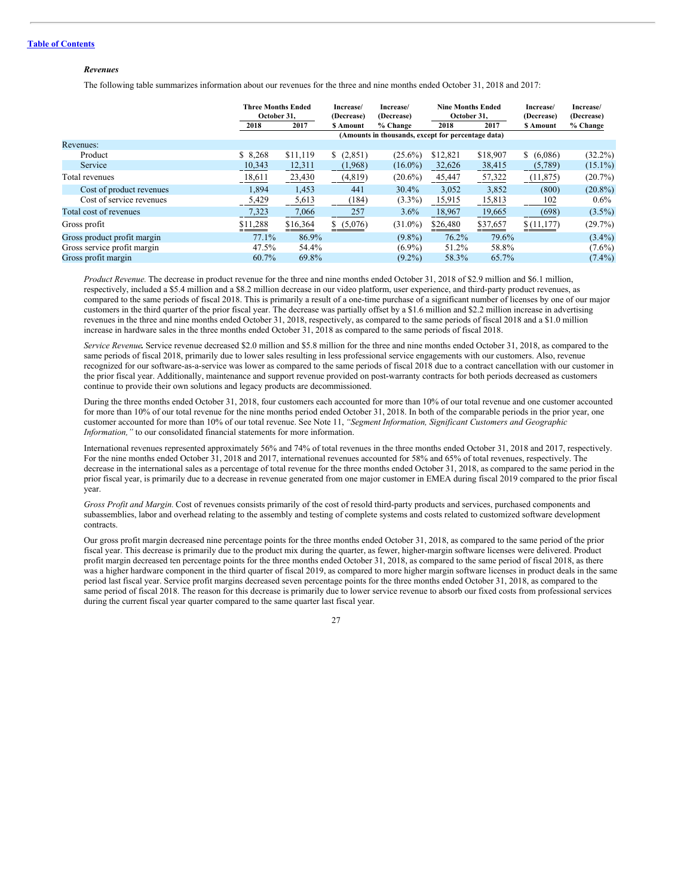## *Revenues*

The following table summarizes information about our revenues for the three and nine months ended October 31, 2018 and 2017:

|                             | <b>Three Months Ended</b><br>October 31, |                                                    | Increase/<br>Increase/<br>(Decrease)<br>(Decrease) |            | <b>Nine Months Ended</b><br>October 31, |          | Increase/<br>(Decrease) | Increase/<br>(Decrease) |  |  |
|-----------------------------|------------------------------------------|----------------------------------------------------|----------------------------------------------------|------------|-----------------------------------------|----------|-------------------------|-------------------------|--|--|
|                             | 2018                                     | 2017                                               | <b>S</b> Amount                                    | % Change   | 2018                                    | 2017     | <b>S</b> Amount         | % Change                |  |  |
|                             |                                          | (Amounts in thousands, except for percentage data) |                                                    |            |                                         |          |                         |                         |  |  |
| Revenues:                   |                                          |                                                    |                                                    |            |                                         |          |                         |                         |  |  |
| Product                     | \$ 8.268                                 | \$11.119                                           | (2,851)                                            | $(25.6\%)$ | \$12,821                                | \$18,907 | \$ (6,086)              | $(32.2\%)$              |  |  |
| Service                     | 10,343                                   | 12,311                                             | (1,968)                                            | $(16.0\%)$ | 32,626                                  | 38,415   | (5,789)                 | $(15.1\%)$              |  |  |
| Total revenues              | 18,611                                   | 23,430                                             | (4,819)                                            | $(20.6\%)$ | 45,447                                  | 57,322   | (11, 875)               | (20.7%)                 |  |  |
| Cost of product revenues    | 1,894                                    | 1,453                                              | 441                                                | 30.4%      | 3,052                                   | 3,852    | (800)                   | $(20.8\%)$              |  |  |
| Cost of service revenues    | 5,429                                    | 5,613                                              | (184)                                              | $(3.3\%)$  | 15,915                                  | 15,813   | 102                     | $0.6\%$                 |  |  |
| Total cost of revenues      | 7,323                                    | 7,066                                              | 257                                                | 3.6%       | 18,967                                  | 19,665   | (698)                   | $(3.5\%)$               |  |  |
| Gross profit                | \$11,288                                 | \$16,364                                           | \$ (5,076)                                         | $(31.0\%)$ | \$26,480                                | \$37,657 | \$(11,177)              | (29.7%)                 |  |  |
| Gross product profit margin | 77.1%                                    | 86.9%                                              |                                                    | $(9.8\%)$  | 76.2%                                   | 79.6%    |                         | $(3.4\%)$               |  |  |
| Gross service profit margin | 47.5%                                    | 54.4%                                              |                                                    | $(6.9\%)$  | 51.2%                                   | 58.8%    |                         | $(7.6\%)$               |  |  |
| Gross profit margin         | 60.7%                                    | 69.8%                                              |                                                    | $(9.2\%)$  | 58.3%                                   | 65.7%    |                         | $(7.4\%)$               |  |  |

*Product Revenue.* The decrease in product revenue for the three and nine months ended October 31, 2018 of \$2.9 million and \$6.1 million, respectively, included a \$5.4 million and a \$8.2 million decrease in our video platform, user experience, and third-party product revenues, as compared to the same periods of fiscal 2018. This is primarily a result of a one-time purchase of a significant number of licenses by one of our major customers in the third quarter of the prior fiscal year. The decrease was partially offset by a \$1.6 million and \$2.2 million increase in advertising revenues in the three and nine months ended October 31, 2018, respectively, as compared to the same periods of fiscal 2018 and a \$1.0 million increase in hardware sales in the three months ended October 31, 2018 as compared to the same periods of fiscal 2018.

*Service Revenue.* Service revenue decreased \$2.0 million and \$5.8 million for the three and nine months ended October 31, 2018, as compared to the same periods of fiscal 2018, primarily due to lower sales resulting in less professional service engagements with our customers. Also, revenue recognized for our software-as-a-service was lower as compared to the same periods of fiscal 2018 due to a contract cancellation with our customer in the prior fiscal year. Additionally, maintenance and support revenue provided on post-warranty contracts for both periods decreased as customers continue to provide their own solutions and legacy products are decommissioned.

During the three months ended October 31, 2018, four customers each accounted for more than 10% of our total revenue and one customer accounted for more than 10% of our total revenue for the nine months period ended October 31, 2018. In both of the comparable periods in the prior year, one customer accounted for more than 10% of our total revenue. See Note 11, *"Segment Information, Significant Customers and Geographic Information,"* to our consolidated financial statements for more information.

International revenues represented approximately 56% and 74% of total revenues in the three months ended October 31, 2018 and 2017, respectively. For the nine months ended October 31, 2018 and 2017, international revenues accounted for 58% and 65% of total revenues, respectively. The decrease in the international sales as a percentage of total revenue for the three months ended October 31, 2018, as compared to the same period in the prior fiscal year, is primarily due to a decrease in revenue generated from one major customer in EMEA during fiscal 2019 compared to the prior fiscal year.

*Gross Profit and Margin.* Cost of revenues consists primarily of the cost of resold third-party products and services, purchased components and subassemblies, labor and overhead relating to the assembly and testing of complete systems and costs related to customized software development contracts.

Our gross profit margin decreased nine percentage points for the three months ended October 31, 2018, as compared to the same period of the prior fiscal year. This decrease is primarily due to the product mix during the quarter, as fewer, higher-margin software licenses were delivered. Product profit margin decreased ten percentage points for the three months ended October 31, 2018, as compared to the same period of fiscal 2018, as there was a higher hardware component in the third quarter of fiscal 2019, as compared to more higher margin software licenses in product deals in the same period last fiscal year. Service profit margins decreased seven percentage points for the three months ended October 31, 2018, as compared to the same period of fiscal 2018. The reason for this decrease is primarily due to lower service revenue to absorb our fixed costs from professional services during the current fiscal year quarter compared to the same quarter last fiscal year.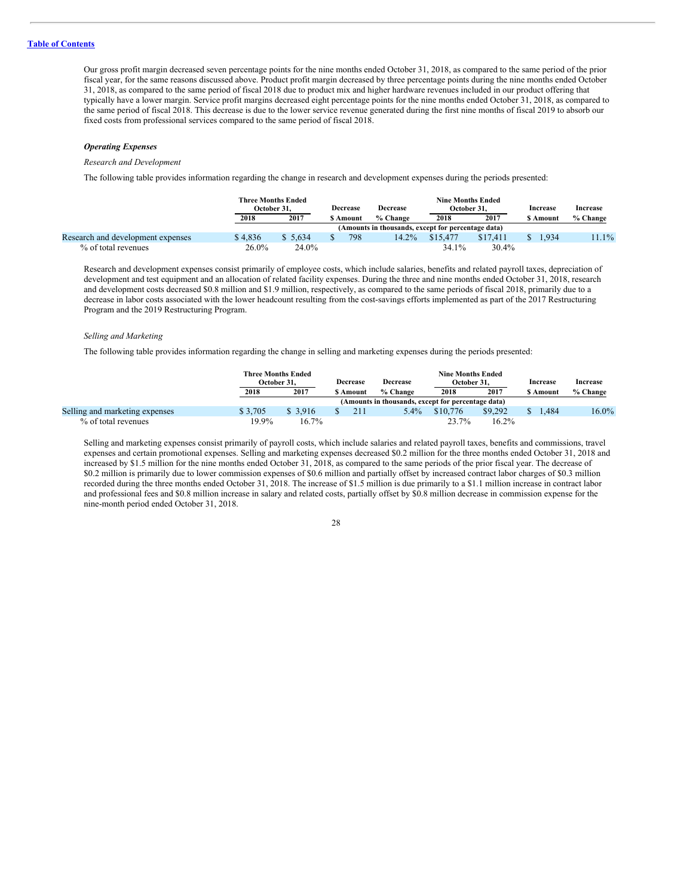Our gross profit margin decreased seven percentage points for the nine months ended October 31, 2018, as compared to the same period of the prior fiscal year, for the same reasons discussed above. Product profit margin decreased by three percentage points during the nine months ended October 31, 2018, as compared to the same period of fiscal 2018 due to product mix and higher hardware revenues included in our product offering that typically have a lower margin. Service profit margins decreased eight percentage points for the nine months ended October 31, 2018, as compared to the same period of fiscal 2018. This decrease is due to the lower service revenue generated during the first nine months of fiscal 2019 to absorb our fixed costs from professional services compared to the same period of fiscal 2018.

#### *Operating Expenses*

## *Research and Development*

The following table provides information regarding the change in research and development expenses during the periods presented:

|                                   | <b>Three Months Ended</b><br>October 31. |         | <b>Decrease</b> | <b>Decrease</b>                                    | <b>Nine Months Ended</b><br>October 31. |          | Increase | Increase |
|-----------------------------------|------------------------------------------|---------|-----------------|----------------------------------------------------|-----------------------------------------|----------|----------|----------|
|                                   | 2018                                     | 2017    | <b>S</b> Amount | % Change                                           | 2018                                    | 2017     | S Amount | % Change |
|                                   |                                          |         |                 | (Amounts in thousands, except for percentage data) |                                         |          |          |          |
| Research and development expenses | \$4.836                                  | \$5.634 | 798             | $14.2\%$                                           | \$15,477                                | \$17.411 | .934     | $11.1\%$ |
| % of total revenues               | $26.0\%$                                 | 24.0%   |                 |                                                    | 34.1%                                   | 30.4%    |          |          |

Research and development expenses consist primarily of employee costs, which include salaries, benefits and related payroll taxes, depreciation of development and test equipment and an allocation of related facility expenses. During the three and nine months ended October 31, 2018, research and development costs decreased \$0.8 million and \$1.9 million, respectively, as compared to the same periods of fiscal 2018, primarily due to a decrease in labor costs associated with the lower headcount resulting from the cost-savings efforts implemented as part of the 2017 Restructuring Program and the 2019 Restructuring Program.

#### *Selling and Marketing*

The following table provides information regarding the change in selling and marketing expenses during the periods presented:

|                                | Three Months Ended |         |                                    |  |                                                    | <b>Nine Months Ended</b> |          |          |          |          |
|--------------------------------|--------------------|---------|------------------------------------|--|----------------------------------------------------|--------------------------|----------|----------|----------|----------|
|                                | October 31.        |         | <b>Decrease</b><br><b>Decrease</b> |  |                                                    | October 31.              |          | Increase | Increase |          |
|                                | 2018               | 2017    | 6 Amount                           |  | % Change                                           | 2018                     | 2017     |          | 5 Amount | % Change |
|                                |                    |         |                                    |  | (Amounts in thousands, except for percentage data) |                          |          |          |          |          |
| Selling and marketing expenses | \$3.705            | \$3.916 | 211                                |  | 5.4%                                               | \$10.776                 | \$9,292  |          | .484     | $16.0\%$ |
| % of total revenues            | 19.9%              | 16.7%   |                                    |  |                                                    | 23.7%                    | $16.2\%$ |          |          |          |

Selling and marketing expenses consist primarily of payroll costs, which include salaries and related payroll taxes, benefits and commissions, travel expenses and certain promotional expenses. Selling and marketing expenses decreased \$0.2 million for the three months ended October 31, 2018 and increased by \$1.5 million for the nine months ended October 31, 2018, as compared to the same periods of the prior fiscal year. The decrease of \$0.2 million is primarily due to lower commission expenses of \$0.6 million and partially offset by increased contract labor charges of \$0.3 million recorded during the three months ended October 31, 2018. The increase of \$1.5 million is due primarily to a \$1.1 million increase in contract labor and professional fees and \$0.8 million increase in salary and related costs, partially offset by \$0.8 million decrease in commission expense for the nine-month period ended October 31, 2018.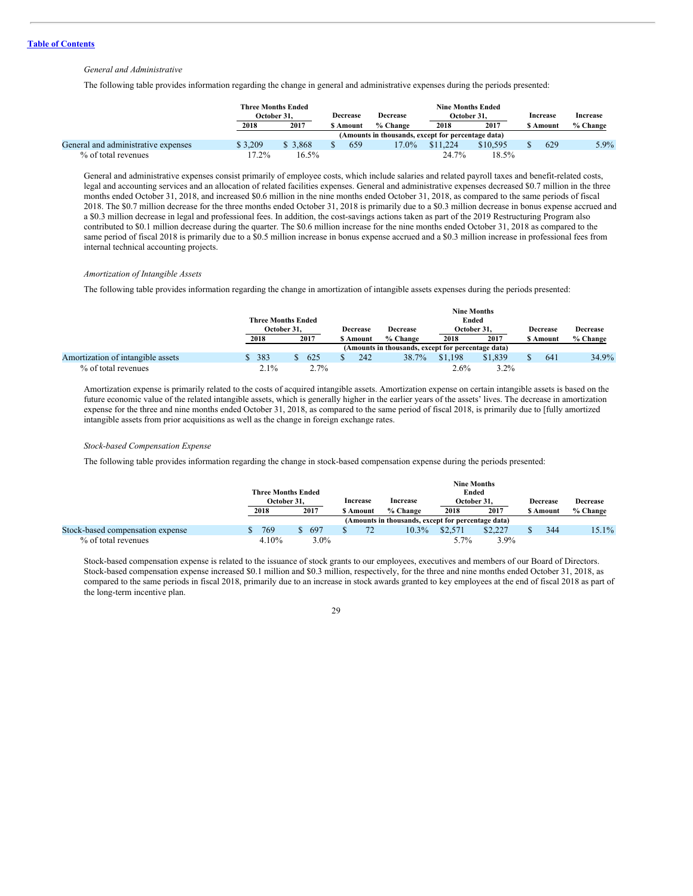## *General and Administrative*

The following table provides information regarding the change in general and administrative expenses during the periods presented:

|                                     |          | <b>Three Months Ended</b><br><b>Decrease</b><br>October 31. |        |     | <b>Nine Months Ended</b><br><b>Decrease</b><br>October 31. |          |          | Increase |          | Increase |
|-------------------------------------|----------|-------------------------------------------------------------|--------|-----|------------------------------------------------------------|----------|----------|----------|----------|----------|
|                                     | 2018     | 2017                                                        | Amount |     | % Change                                                   | 2018     | 2017     |          | s Amount | % Change |
|                                     |          |                                                             |        |     | (Amounts in thousands, except for percentage data)         |          |          |          |          |          |
| General and administrative expenses | \$3.209  | \$3.868                                                     |        | 659 | $17.0\%$                                                   | \$11,224 | \$10,595 |          | 629      | 5.9%     |
| % of total revenues                 | $17.2\%$ | 16.5%                                                       |        |     |                                                            | 24.7%    | 18.5%    |          |          |          |

General and administrative expenses consist primarily of employee costs, which include salaries and related payroll taxes and benefit-related costs, legal and accounting services and an allocation of related facilities expenses. General and administrative expenses decreased \$0.7 million in the three months ended October 31, 2018, and increased \$0.6 million in the nine months ended October 31, 2018, as compared to the same periods of fiscal 2018. The \$0.7 million decrease for the three months ended October 31, 2018 is primarily due to a \$0.3 million decrease in bonus expense accrued and a \$0.3 million decrease in legal and professional fees. In addition, the cost-savings actions taken as part of the 2019 Restructuring Program also contributed to \$0.1 million decrease during the quarter. The \$0.6 million increase for the nine months ended October 31, 2018 as compared to the same period of fiscal 2018 is primarily due to a \$0.5 million increase in bonus expense accrued and a \$0.3 million increase in professional fees from internal technical accounting projects.

## *Amortization of Intangible Assets*

The following table provides information regarding the change in amortization of intangible assets expenses during the periods presented:

|                                   |                           |                                |                 |                                                    | <b>Nine Months</b> |         |                 |                 |
|-----------------------------------|---------------------------|--------------------------------|-----------------|----------------------------------------------------|--------------------|---------|-----------------|-----------------|
|                                   | <b>Three Months Ended</b> |                                |                 |                                                    | Ended              |         |                 |                 |
|                                   |                           | October 31.<br><b>Decrease</b> |                 | October 31.<br><b>Decrease</b>                     |                    |         | <b>Decrease</b> | <b>Decrease</b> |
|                                   | 2018                      | 2017                           | <b>S</b> Amount | % Change                                           | 2018               | 2017    | <b>S</b> Amount | % Change        |
|                                   |                           |                                |                 | (Amounts in thousands, except for percentage data) |                    |         |                 |                 |
| Amortization of intangible assets | 383                       | 625                            | 242             | 38.7%                                              | \$1.198            | \$1,839 | 641             | 34.9%           |
| % of total revenues               | $2.1\%$                   | 2.7%                           |                 |                                                    | $2.6\%$            | $3.2\%$ |                 |                 |

Amortization expense is primarily related to the costs of acquired intangible assets. Amortization expense on certain intangible assets is based on the future economic value of the related intangible assets, which is generally higher in the earlier years of the assets' lives. The decrease in amortization expense for the three and nine months ended October 31, 2018, as compared to the same period of fiscal 2018, is primarily due to [fully amortized intangible assets from prior acquisitions as well as the change in foreign exchange rates.

## *Stock-based Compensation Expense*

The following table provides information regarding the change in stock-based compensation expense during the periods presented:

|                                  |      | <b>Three Months Ended</b> |  |         |                 |    |                                                    |         | Ended       | <b>Nine Months</b> |                 |                 |                 |
|----------------------------------|------|---------------------------|--|---------|-----------------|----|----------------------------------------------------|---------|-------------|--------------------|-----------------|-----------------|-----------------|
|                                  |      | October 31.               |  |         | Increase        |    | Increase                                           |         | October 31. |                    | <b>Decrease</b> |                 | <b>Decrease</b> |
|                                  | 2018 |                           |  | 2017    | <b>S</b> Amount |    | % Change                                           | 2018    |             | 2017               |                 | <b>S</b> Amount | % Change        |
|                                  |      |                           |  |         |                 |    | (Amounts in thousands, except for percentage data) |         |             |                    |                 |                 |                 |
| Stock-based compensation expense |      | 769                       |  | 697     |                 | 72 | $10.3\%$                                           | \$2,571 |             | \$2,227            |                 | 344             | 15.1%           |
| % of total revenues              |      | 4.10%                     |  | $3.0\%$ |                 |    |                                                    |         | 5.7%        | $3.9\%$            |                 |                 |                 |

Stock-based compensation expense is related to the issuance of stock grants to our employees, executives and members of our Board of Directors. Stock-based compensation expense increased \$0.1 million and \$0.3 million, respectively, for the three and nine months ended October 31, 2018, as compared to the same periods in fiscal 2018, primarily due to an increase in stock awards granted to key employees at the end of fiscal 2018 as part of the long-term incentive plan.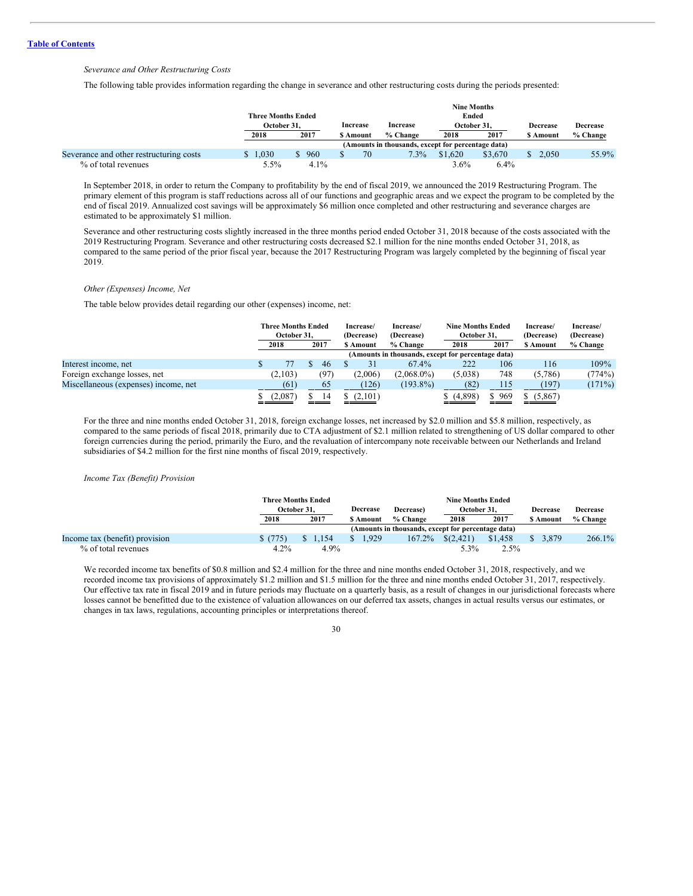## *Severance and Other Restructuring Costs*

The following table provides information regarding the change in severance and other restructuring costs during the periods presented:

|                                         | <b>Three Months Ended</b> |      |          |                                                    | <b>Nine Months</b><br>Ended |         |                 |                 |
|-----------------------------------------|---------------------------|------|----------|----------------------------------------------------|-----------------------------|---------|-----------------|-----------------|
|                                         | October 31.               |      | Increase | Increase                                           | October 31.                 |         | <b>Decrease</b> | <b>Decrease</b> |
|                                         | 2018                      | 2017 | § Amount | % Change                                           | 2018                        | 2017    | S Amount        | % Change        |
|                                         |                           |      |          | (Amounts in thousands, except for percentage data) |                             |         |                 |                 |
| Severance and other restructuring costs | 1.030                     | 960  | 70       | $7.3\%$                                            | \$1,620                     | \$3,670 | 2.050           | 55.9%           |
| % of total revenues                     | $5.5\%$                   | 4.1% |          |                                                    | $3.6\%$                     | 6.4%    |                 |                 |

In September 2018, in order to return the Company to profitability by the end of fiscal 2019, we announced the 2019 Restructuring Program. The primary element of this program is staff reductions across all of our functions and geographic areas and we expect the program to be completed by the end of fiscal 2019. Annualized cost savings will be approximately \$6 million once completed and other restructuring and severance charges are estimated to be approximately \$1 million.

Severance and other restructuring costs slightly increased in the three months period ended October 31, 2018 because of the costs associated with the 2019 Restructuring Program. Severance and other restructuring costs decreased \$2.1 million for the nine months ended October 31, 2018, as compared to the same period of the prior fiscal year, because the 2017 Restructuring Program was largely completed by the beginning of fiscal year 2019.

#### *Other (Expenses) Income, Net*

The table below provides detail regarding our other (expenses) income, net:

|                                      | <b>Three Months Ended</b><br>October 31. |      | Increase/<br>(Decrease) | Increase/<br>(Decrease)                            | <b>Nine Months Ended</b><br>October 31. |      | Increase/<br>(Decrease) | Increase/<br>(Decrease) |
|--------------------------------------|------------------------------------------|------|-------------------------|----------------------------------------------------|-----------------------------------------|------|-------------------------|-------------------------|
|                                      | 2018                                     | 2017 | <b>S</b> Amount         | % Change                                           | 2018                                    | 2017 | <b>S</b> Amount         | % Change                |
|                                      |                                          |      |                         | (Amounts in thousands, except for percentage data) |                                         |      |                         |                         |
| Interest income, net                 |                                          | 46   | 31                      | 67.4%                                              | 222                                     | 106  | 116                     | 109%                    |
| Foreign exchange losses, net         | (2,103)                                  | (97) | (2,006)                 | $(2,068.0\%)$                                      | (5,038)                                 | 748  | (5,786)                 | (774%)                  |
| Miscellaneous (expenses) income, net | (61)                                     | 65   | (126)                   | $(193.8\%)$                                        | (82)                                    | 115  | (197)                   | (171%)                  |
|                                      | (2.087)                                  |      | (2,101)                 |                                                    | (4,898)                                 | 969  | (5,867)                 |                         |

For the three and nine months ended October 31, 2018, foreign exchange losses, net increased by \$2.0 million and \$5.8 million, respectively, as compared to the same periods of fiscal 2018, primarily due to CTA adjustment of \$2.1 million related to strengthening of US dollar compared to other foreign currencies during the period, primarily the Euro, and the revaluation of intercompany note receivable between our Netherlands and Ireland subsidiaries of \$4.2 million for the first nine months of fiscal 2019, respectively.

*Income Tax (Benefit) Provision*

|                                | <b>Three Months Ended</b> |      |                 |                                                    | <b>Nine Months Ended</b> |         |                 |                 |
|--------------------------------|---------------------------|------|-----------------|----------------------------------------------------|--------------------------|---------|-----------------|-----------------|
|                                | October 31.               |      | <b>Decrease</b> | Decrease)                                          | October 31.              |         | <b>Decrease</b> | <b>Decrease</b> |
|                                | 2018                      | 2017 | s Amount        | % Change                                           | 2018                     | 2017    | <b>S</b> Amount | % Change        |
|                                |                           |      |                 | (Amounts in thousands, except for percentage data) |                          |         |                 |                 |
| Income tax (benefit) provision | \$(775)                   | .154 | .929            | 167.2%                                             | \$(2,421)                | \$1,458 | 3.879           | 266.1%          |
| % of total revenues            | $4.2\%$                   | 4.9% |                 |                                                    | $5.3\%$                  | $2.5\%$ |                 |                 |

We recorded income tax benefits of \$0.8 million and \$2.4 million for the three and nine months ended October 31, 2018, respectively, and we recorded income tax provisions of approximately \$1.2 million and \$1.5 million for the three and nine months ended October 31, 2017, respectively. Our effective tax rate in fiscal 2019 and in future periods may fluctuate on a quarterly basis, as a result of changes in our jurisdictional forecasts where losses cannot be benefitted due to the existence of valuation allowances on our deferred tax assets, changes in actual results versus our estimates, or changes in tax laws, regulations, accounting principles or interpretations thereof.

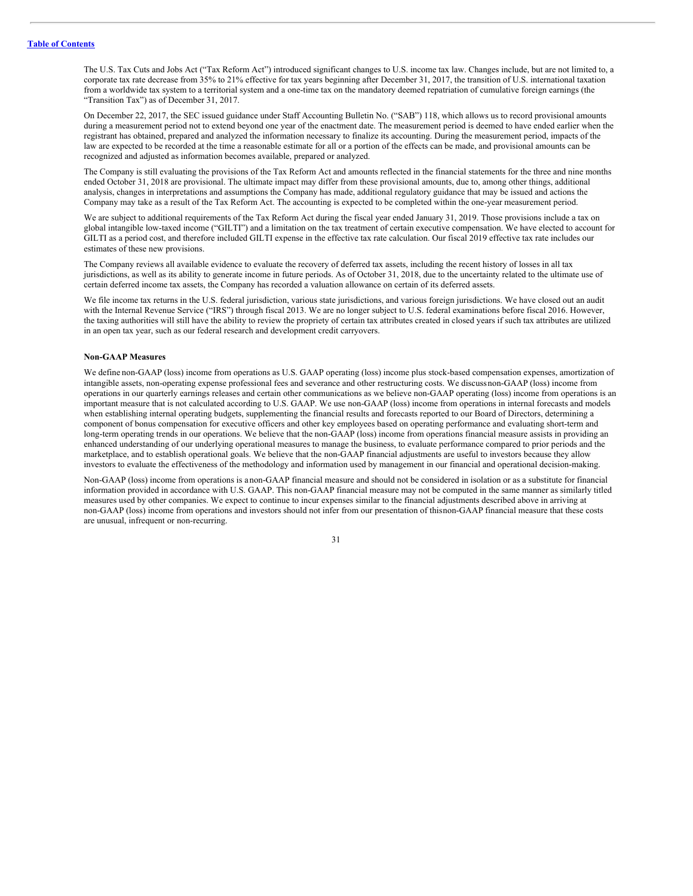The U.S. Tax Cuts and Jobs Act ("Tax Reform Act") introduced significant changes to U.S. income tax law. Changes include, but are not limited to, a corporate tax rate decrease from 35% to 21% effective for tax years beginning after December 31, 2017, the transition of U.S. international taxation from a worldwide tax system to a territorial system and a one-time tax on the mandatory deemed repatriation of cumulative foreign earnings (the "Transition Tax") as of December 31, 2017.

On December 22, 2017, the SEC issued guidance under Staff Accounting Bulletin No. ("SAB") 118, which allows us to record provisional amounts during a measurement period not to extend beyond one year of the enactment date. The measurement period is deemed to have ended earlier when the registrant has obtained, prepared and analyzed the information necessary to finalize its accounting. During the measurement period, impacts of the law are expected to be recorded at the time a reasonable estimate for all or a portion of the effects can be made, and provisional amounts can be recognized and adjusted as information becomes available, prepared or analyzed.

The Company is still evaluating the provisions of the Tax Reform Act and amounts reflected in the financial statements for the three and nine months ended October 31, 2018 are provisional. The ultimate impact may differ from these provisional amounts, due to, among other things, additional analysis, changes in interpretations and assumptions the Company has made, additional regulatory guidance that may be issued and actions the Company may take as a result of the Tax Reform Act. The accounting is expected to be completed within the one-year measurement period.

We are subject to additional requirements of the Tax Reform Act during the fiscal year ended January 31, 2019. Those provisions include a tax on global intangible low-taxed income ("GILTI") and a limitation on the tax treatment of certain executive compensation. We have elected to account for GILTI as a period cost, and therefore included GILTI expense in the effective tax rate calculation. Our fiscal 2019 effective tax rate includes our estimates of these new provisions.

The Company reviews all available evidence to evaluate the recovery of deferred tax assets, including the recent history of losses in all tax jurisdictions, as well as its ability to generate income in future periods. As of October 31, 2018, due to the uncertainty related to the ultimate use of certain deferred income tax assets, the Company has recorded a valuation allowance on certain of its deferred assets.

We file income tax returns in the U.S. federal jurisdiction, various state jurisdictions, and various foreign jurisdictions. We have closed out an audit with the Internal Revenue Service ("IRS") through fiscal 2013. We are no longer subject to U.S. federal examinations before fiscal 2016. However, the taxing authorities will still have the ability to review the propriety of certain tax attributes created in closed years if such tax attributes are utilized in an open tax year, such as our federal research and development credit carryovers.

#### **Non-GAAP Measures**

We define non-GAAP (loss) income from operations as U.S. GAAP operating (loss) income plus stock-based compensation expenses, amortization of intangible assets, non-operating expense professional fees and severance and other restructuring costs. We discussnon-GAAP (loss) income from operations in our quarterly earnings releases and certain other communications as we believe non-GAAP operating (loss) income from operations is an important measure that is not calculated according to U.S. GAAP. We use non-GAAP (loss) income from operations in internal forecasts and models when establishing internal operating budgets, supplementing the financial results and forecasts reported to our Board of Directors, determining a component of bonus compensation for executive officers and other key employees based on operating performance and evaluating short-term and long-term operating trends in our operations. We believe that the non-GAAP (loss) income from operations financial measure assists in providing an enhanced understanding of our underlying operational measures to manage the business, to evaluate performance compared to prior periods and the marketplace, and to establish operational goals. We believe that the non-GAAP financial adjustments are useful to investors because they allow investors to evaluate the effectiveness of the methodology and information used by management in our financial and operational decision-making.

Non-GAAP (loss) income from operations is a non-GAAP financial measure and should not be considered in isolation or as a substitute for financial information provided in accordance with U.S. GAAP. This non-GAAP financial measure may not be computed in the same manner as similarly titled measures used by other companies. We expect to continue to incur expenses similar to the financial adjustments described above in arriving at non-GAAP (loss) income from operations and investors should not infer from our presentation of thisnon-GAAP financial measure that these costs are unusual, infrequent or non-recurring.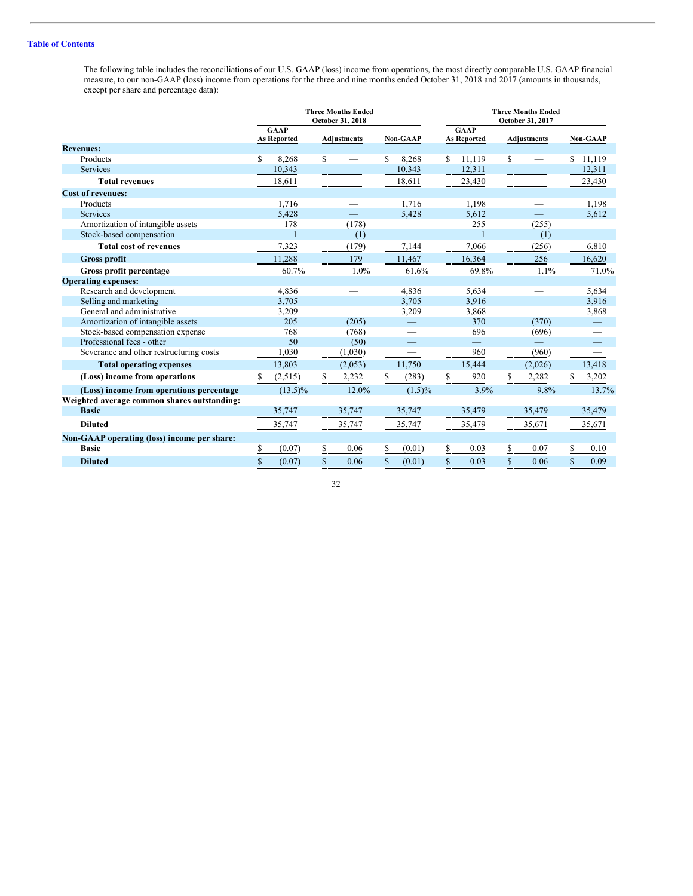The following table includes the reconciliations of our U.S. GAAP (loss) income from operations, the most directly comparable U.S. GAAP financial measure, to our non-GAAP (loss) income from operations for the three and nine months ended October 31, 2018 and 2017 (amounts in thousands, except per share and percentage data):

|                                             |     |                                   |         | <b>Three Months Ended</b><br>October 31, 2018 |    |           |         |                                   |             | <b>Three Months Ended</b><br>October 31, 2017 |         |                                 |
|---------------------------------------------|-----|-----------------------------------|---------|-----------------------------------------------|----|-----------|---------|-----------------------------------|-------------|-----------------------------------------------|---------|---------------------------------|
|                                             |     | <b>GAAP</b><br><b>As Reported</b> |         | <b>Adjustments</b>                            |    | Non-GAAP  |         | <b>GAAP</b><br><b>As Reported</b> |             | <b>Adjustments</b>                            |         | Non-GAAP                        |
| <b>Revenues:</b>                            |     |                                   |         |                                               |    |           |         |                                   |             |                                               |         |                                 |
| Products                                    | \$. | 8,268                             | S       |                                               | S  | 8,268     | S.      | 11,119                            | S           |                                               | S       | 11,119                          |
| <b>Services</b>                             |     | 10,343                            |         |                                               |    | 10,343    |         | 12,311                            |             |                                               |         | 12,311                          |
| <b>Total revenues</b>                       |     | 18,611                            |         |                                               |    | 18,611    |         | 23,430                            |             |                                               |         | 23,430                          |
| <b>Cost of revenues:</b>                    |     |                                   |         |                                               |    |           |         |                                   |             |                                               |         |                                 |
| Products                                    |     | 1,716                             |         |                                               |    | 1,716     |         | 1,198                             |             |                                               |         | 1,198                           |
| <b>Services</b>                             |     | 5,428                             |         |                                               |    | 5,428     |         | 5,612                             |             |                                               |         | 5,612                           |
| Amortization of intangible assets           |     | 178                               |         | (178)                                         |    |           |         | 255                               |             | (255)                                         |         |                                 |
| Stock-based compensation                    |     |                                   |         | (1)                                           |    |           |         |                                   |             | (1)                                           |         | $\hspace{0.1mm}-\hspace{0.1mm}$ |
| <b>Total cost of revenues</b>               |     | 7,323                             |         | (179)                                         |    | 7,144     |         | 7,066                             |             | (256)                                         |         | 6,810                           |
| <b>Gross profit</b>                         |     | 11,288                            |         | 179                                           |    | 11,467    |         | 16,364                            |             | 256                                           |         | 16,620                          |
| Gross profit percentage                     |     | 60.7%                             |         | 1.0%                                          |    | 61.6%     |         | 69.8%                             |             | 1.1%                                          |         | 71.0%                           |
| <b>Operating expenses:</b>                  |     |                                   |         |                                               |    |           |         |                                   |             |                                               |         |                                 |
| Research and development                    |     | 4,836                             |         |                                               |    | 4,836     |         | 5,634                             |             |                                               |         | 5,634                           |
| Selling and marketing                       |     | 3,705                             |         |                                               |    | 3,705     |         | 3,916                             |             |                                               |         | 3,916                           |
| General and administrative                  |     | 3,209                             |         |                                               |    | 3,209     |         | 3,868                             |             |                                               |         | 3,868                           |
| Amortization of intangible assets           |     | 205                               |         | (205)                                         |    |           |         | 370                               |             | (370)                                         |         |                                 |
| Stock-based compensation expense            |     | 768                               |         | (768)                                         |    |           |         | 696                               |             | (696)                                         |         |                                 |
| Professional fees - other                   |     | 50                                |         | (50)                                          |    |           |         |                                   |             |                                               |         |                                 |
| Severance and other restructuring costs     |     | 1,030                             |         | (1,030)                                       |    |           |         | 960                               |             | (960)                                         |         |                                 |
| <b>Total operating expenses</b>             |     | 13,803                            |         | (2,053)                                       |    | 11,750    |         | 15,444                            |             | (2,026)                                       |         | 13,418                          |
| (Loss) income from operations               | \$  | (2,515)                           | S       | 2,232                                         | \$ | (283)     | \$      | 920                               | S           | 2,282                                         | S       | 3,202                           |
| (Loss) income from operations percentage    |     | $(13.5)\%$                        |         | 12.0%                                         |    | $(1.5)\%$ |         | 3.9%                              |             | 9.8%                                          |         | 13.7%                           |
| Weighted average common shares outstanding: |     |                                   |         |                                               |    |           |         |                                   |             |                                               |         |                                 |
| <b>Basic</b>                                |     | 35,747                            |         | 35,747                                        |    | 35,747    |         | 35,479                            |             | 35,479                                        |         | 35,479                          |
| <b>Diluted</b>                              |     | 35,747                            |         | 35,747                                        |    | 35,747    |         | 35,479                            |             | 35,671                                        |         | 35,671                          |
| Non-GAAP operating (loss) income per share: |     |                                   |         |                                               |    |           |         |                                   |             |                                               |         |                                 |
| <b>Basic</b>                                | \$  | (0.07)                            | \$<br>÷ | 0.06                                          | S  | (0.01)    | \$<br>÷ | 0.03                              | \$          | 0.07                                          | \$<br>÷ | 0.10                            |
| <b>Diluted</b>                              | \$  | (0.07)                            | S       | 0.06                                          | \$ | (0.01)    | \$<br>= | 0.03                              | $\mathbf S$ | 0.06                                          | \$      | 0.09                            |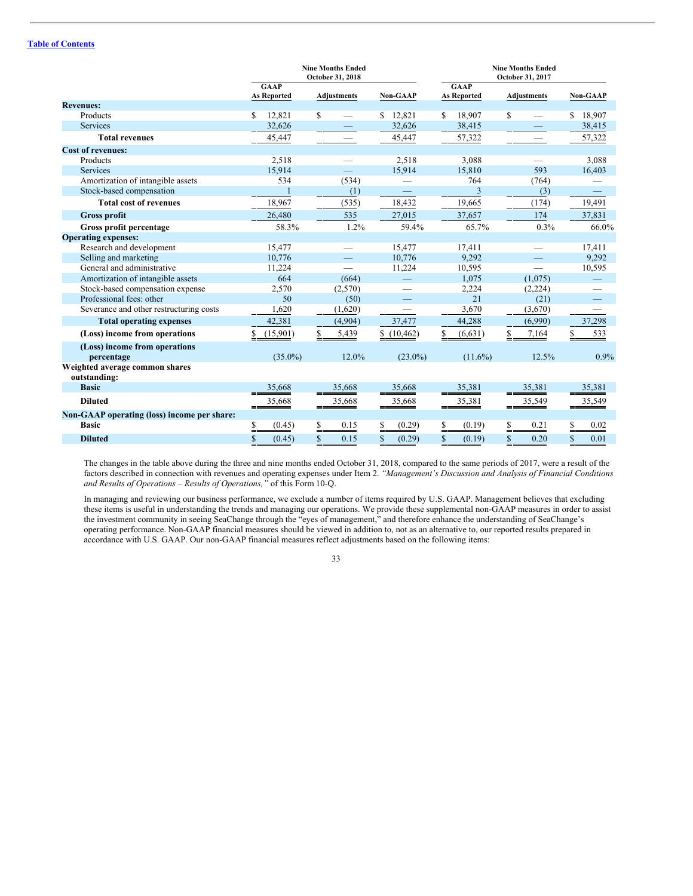|                                                |                                   | <b>Nine Months Ended</b><br>October 31, 2018 |             | <b>Nine Months Ended</b><br>October 31, 2017 |             |              |  |
|------------------------------------------------|-----------------------------------|----------------------------------------------|-------------|----------------------------------------------|-------------|--------------|--|
|                                                | <b>GAAP</b>                       |                                              |             | <b>GAAP</b>                                  |             |              |  |
| <b>Revenues:</b>                               | <b>As Reported</b>                | <b>Adjustments</b>                           | Non-GAAP    | <b>As Reported</b>                           | Adjustments | Non-GAAP     |  |
| Products                                       | 12,821<br>S.                      | \$                                           | \$12,821    | 18,907<br>S                                  | \$          | 18,907<br>S. |  |
| <b>Services</b>                                | 32,626                            |                                              | 32,626      | 38,415                                       |             | 38,415       |  |
| <b>Total revenues</b>                          | 45,447                            |                                              | 45,447      | 57,322                                       |             | 57,322       |  |
| <b>Cost of revenues:</b>                       |                                   |                                              |             |                                              |             |              |  |
| Products                                       | 2,518                             |                                              | 2,518       | 3,088                                        |             | 3,088        |  |
| <b>Services</b>                                | 15,914                            |                                              | 15,914      | 15,810                                       | 593         | 16,403       |  |
| Amortization of intangible assets              | 534                               | (534)                                        |             | 764                                          | (764)       |              |  |
| Stock-based compensation                       |                                   | (1)                                          |             | 3                                            | (3)         |              |  |
| <b>Total cost of revenues</b>                  | 18,967                            | (535)                                        | 18,432      | 19,665                                       | (174)       | 19,491       |  |
| <b>Gross profit</b>                            | 26,480                            | 535                                          | 27,015      | 37,657                                       | 174         | 37,831       |  |
| Gross profit percentage                        | 58.3%                             | 1.2%                                         | 59.4%       | 65.7%                                        | 0.3%        | 66.0%        |  |
| <b>Operating expenses:</b>                     |                                   |                                              |             |                                              |             |              |  |
| Research and development                       | 15,477                            |                                              | 15,477      | 17,411                                       |             | 17,411       |  |
| Selling and marketing                          | 10,776                            |                                              | 10,776      | 9,292                                        |             | 9,292        |  |
| General and administrative                     | 11,224                            |                                              | 11,224      | 10,595                                       |             | 10,595       |  |
| Amortization of intangible assets              | 664                               | (664)                                        |             | 1,075                                        | (1,075)     |              |  |
| Stock-based compensation expense               | 2,570                             | (2,570)                                      |             | 2,224                                        | (2,224)     |              |  |
| Professional fees: other                       | 50                                | (50)                                         |             | 21                                           | (21)        |              |  |
| Severance and other restructuring costs        | 1,620                             | (1,620)                                      |             | 3,670                                        | (3,670)     |              |  |
| <b>Total operating expenses</b>                | 42,381                            | (4,904)                                      | 37,477      | 44,288                                       | (6,990)     | 37,298       |  |
| (Loss) income from operations                  | (15,901)<br>\$                    | \$<br>5,439                                  | \$(10, 462) | \$<br>(6,631)                                | \$<br>7,164 | \$<br>533    |  |
| (Loss) income from operations                  |                                   |                                              |             |                                              |             |              |  |
| percentage                                     | $(35.0\%)$                        | 12.0%                                        | $(23.0\%)$  | $(11.6\%)$                                   | 12.5%       | 0.9%         |  |
| Weighted average common shares<br>outstanding: |                                   |                                              |             |                                              |             |              |  |
| <b>Basic</b>                                   | 35.668                            | 35,668                                       | 35,668      | 35,381                                       | 35,381      | 35,381       |  |
| <b>Diluted</b>                                 | 35,668                            | 35,668                                       | 35,668      | 35,381                                       | 35,549      | 35,549       |  |
| Non-GAAP operating (loss) income per share:    | Ξ.                                |                                              |             |                                              |             |              |  |
| <b>Basic</b>                                   | $\overline{\mathbb{Z}}$<br>(0.45) | 0.15                                         | (0.29)      | (0.19)                                       | \$<br>0.21  | 0.02         |  |
| <b>Diluted</b>                                 | \$<br>(0.45)                      | \$<br>0.15                                   | S<br>(0.29) | \$<br>(0.19)                                 | \$<br>0.20  | \$<br>0.01   |  |
|                                                |                                   |                                              |             |                                              |             |              |  |

The changes in the table above during the three and nine months ended October 31, 2018, compared to the same periods of 2017, were a result of the factors described in connection with revenues and operating expenses under Item 2. *"Management's Discussion and Analysis of Financial Conditions and Results of Operations – Results of Operations,"* of this Form 10-Q.

In managing and reviewing our business performance, we exclude a number of items required by U.S. GAAP. Management believes that excluding these items is useful in understanding the trends and managing our operations. We provide these supplemental non-GAAP measures in order to assist the investment community in seeing SeaChange through the "eyes of management," and therefore enhance the understanding of SeaChange's operating performance. Non-GAAP financial measures should be viewed in addition to, not as an alternative to, our reported results prepared in accordance with U.S. GAAP. Our non-GAAP financial measures reflect adjustments based on the following items: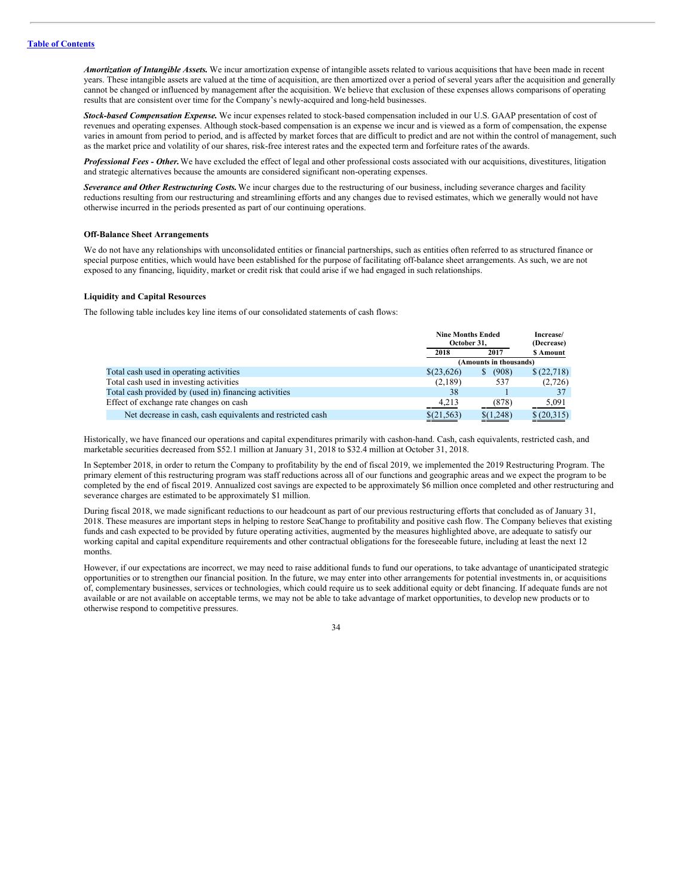*Amortization of Intangible Assets.* We incur amortization expense of intangible assets related to various acquisitions that have been made in recent years. These intangible assets are valued at the time of acquisition, are then amortized over a period of several years after the acquisition and generally cannot be changed or influenced by management after the acquisition. We believe that exclusion of these expenses allows comparisons of operating results that are consistent over time for the Company's newly-acquired and long-held businesses.

*Stock-based Compensation Expense.* We incur expenses related to stock-based compensation included in our U.S. GAAP presentation of cost of revenues and operating expenses. Although stock-based compensation is an expense we incur and is viewed as a form of compensation, the expense varies in amount from period to period, and is affected by market forces that are difficult to predict and are not within the control of management, such as the market price and volatility of our shares, risk-free interest rates and the expected term and forfeiture rates of the awards.

*Professional Fees - Other.*We have excluded the effect of legal and other professional costs associated with our acquisitions, divestitures, litigation and strategic alternatives because the amounts are considered significant non-operating expenses.

*Severance and Other Restructuring Costs.*We incur charges due to the restructuring of our business, including severance charges and facility reductions resulting from our restructuring and streamlining efforts and any changes due to revised estimates, which we generally would not have otherwise incurred in the periods presented as part of our continuing operations.

## **Off-Balance Sheet Arrangements**

We do not have any relationships with unconsolidated entities or financial partnerships, such as entities often referred to as structured finance or special purpose entities, which would have been established for the purpose of facilitating off-balance sheet arrangements. As such, we are not exposed to any financing, liquidity, market or credit risk that could arise if we had engaged in such relationships.

## **Liquidity and Capital Resources**

The following table includes key line items of our consolidated statements of cash flows:

|                                                            | <b>Nine Months Ended</b> |                        | Increase/  |  |  |  |  |
|------------------------------------------------------------|--------------------------|------------------------|------------|--|--|--|--|
|                                                            | October 31,              |                        | (Decrease) |  |  |  |  |
|                                                            | 2018                     | 2017                   | \$ Amount  |  |  |  |  |
|                                                            |                          | (Amounts in thousands) |            |  |  |  |  |
| Total cash used in operating activities                    | \$(23,626)               | (908)                  | \$(22,718) |  |  |  |  |
| Total cash used in investing activities                    | (2,189)                  | 537                    | (2,726)    |  |  |  |  |
| Total cash provided by (used in) financing activities      | 38                       |                        |            |  |  |  |  |
| Effect of exchange rate changes on cash                    | 4,213                    | (878)                  | 5,091      |  |  |  |  |
| Net decrease in cash, cash equivalents and restricted cash | \$(21,563)               | \$(1,248)              | \$(20,315) |  |  |  |  |

Historically, we have financed our operations and capital expenditures primarily with cashon-hand. Cash, cash equivalents, restricted cash, and marketable securities decreased from \$52.1 million at January 31, 2018 to \$32.4 million at October 31, 2018.

In September 2018, in order to return the Company to profitability by the end of fiscal 2019, we implemented the 2019 Restructuring Program. The primary element of this restructuring program was staff reductions across all of our functions and geographic areas and we expect the program to be completed by the end of fiscal 2019. Annualized cost savings are expected to be approximately \$6 million once completed and other restructuring and severance charges are estimated to be approximately \$1 million.

During fiscal 2018, we made significant reductions to our headcount as part of our previous restructuring efforts that concluded as of January 31, 2018. These measures are important steps in helping to restore SeaChange to profitability and positive cash flow. The Company believes that existing funds and cash expected to be provided by future operating activities, augmented by the measures highlighted above, are adequate to satisfy our working capital and capital expenditure requirements and other contractual obligations for the foreseeable future, including at least the next 12 months.

However, if our expectations are incorrect, we may need to raise additional funds to fund our operations, to take advantage of unanticipated strategic opportunities or to strengthen our financial position. In the future, we may enter into other arrangements for potential investments in, or acquisitions of, complementary businesses, services or technologies, which could require us to seek additional equity or debt financing. If adequate funds are not available or are not available on acceptable terms, we may not be able to take advantage of market opportunities, to develop new products or to otherwise respond to competitive pressures.

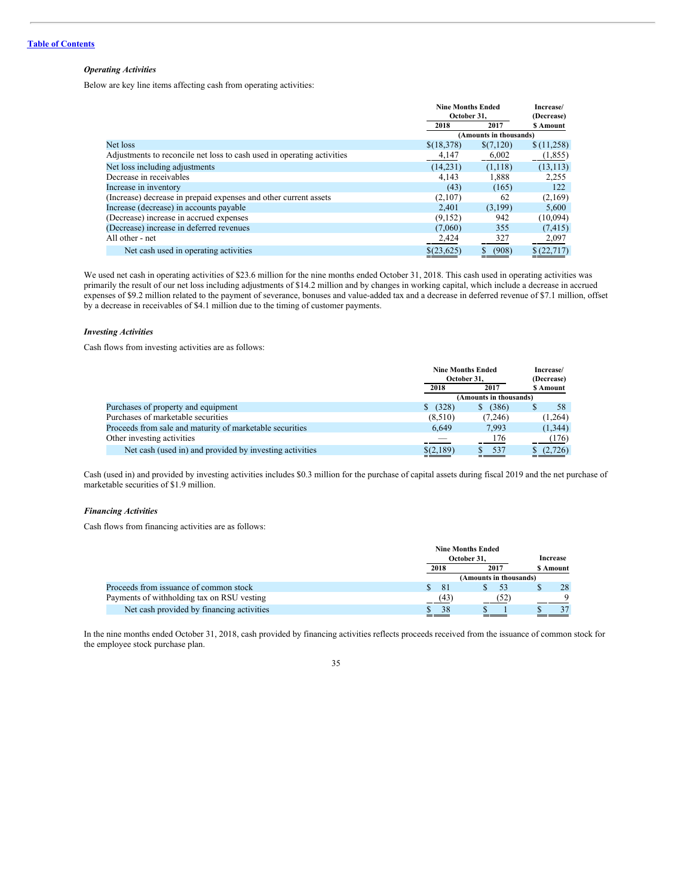## *Operating Activities*

Below are key line items affecting cash from operating activities:

|                                                                        |            | <b>Nine Months Ended</b><br>October 31. |                 |  |  |
|------------------------------------------------------------------------|------------|-----------------------------------------|-----------------|--|--|
|                                                                        | 2018       | 2017                                    | <b>S</b> Amount |  |  |
|                                                                        |            | (Amounts in thousands)                  |                 |  |  |
| Net loss                                                               | \$(18,378) | \$(7,120)                               | \$(11,258)      |  |  |
| Adjustments to reconcile net loss to cash used in operating activities | 4,147      | 6,002                                   | (1, 855)        |  |  |
| Net loss including adjustments                                         | (14,231)   | (1,118)                                 | (13, 113)       |  |  |
| Decrease in receivables                                                | 4.143      | 1,888                                   | 2,255           |  |  |
| Increase in inventory                                                  | (43)       | (165)                                   | 122             |  |  |
| (Increase) decrease in prepaid expenses and other current assets       | (2,107)    | 62                                      | (2,169)         |  |  |
| Increase (decrease) in accounts payable                                | 2,401      | (3,199)                                 | 5,600           |  |  |
| (Decrease) increase in accrued expenses                                | (9,152)    | 942                                     | (10,094)        |  |  |
| (Decrease) increase in deferred revenues                               | (7,060)    | 355                                     | (7, 415)        |  |  |
| All other - net                                                        | 2,424      | 327                                     | 2,097           |  |  |
| Net cash used in operating activities                                  | \$(23,625) | (908)<br>\$                             | \$(22,717)      |  |  |

We used net cash in operating activities of \$23.6 million for the nine months ended October 31, 2018. This cash used in operating activities was primarily the result of our net loss including adjustments of \$14.2 million and by changes in working capital, which include a decrease in accrued expenses of \$9.2 million related to the payment of severance, bonuses and value-added tax and a decrease in deferred revenue of \$7.1 million, offset by a decrease in receivables of \$4.1 million due to the timing of customer payments.

## *Investing Activities*

Cash flows from investing activities are as follows:

|                                                          | <b>Nine Months Ended</b><br>October 31. |                        | Increase/<br>(Decrease)<br>\$ Amount |  |  |  |  |  |
|----------------------------------------------------------|-----------------------------------------|------------------------|--------------------------------------|--|--|--|--|--|
|                                                          | 2018                                    | 2017                   |                                      |  |  |  |  |  |
|                                                          |                                         | (Amounts in thousands) |                                      |  |  |  |  |  |
| Purchases of property and equipment                      | (328)<br>S.                             | (386)<br>S             | 58                                   |  |  |  |  |  |
| Purchases of marketable securities                       | (8,510)                                 | (7,246)                | (1,264)                              |  |  |  |  |  |
| Proceeds from sale and maturity of marketable securities | 6.649                                   | 7.993                  | (1, 344)                             |  |  |  |  |  |
| Other investing activities                               | $\overline{\phantom{a}}$                | 176                    | (176)                                |  |  |  |  |  |
| Net cash (used in) and provided by investing activities  | \$(2,189)                               | 537                    | (2, 726)                             |  |  |  |  |  |

Cash (used in) and provided by investing activities includes \$0.3 million for the purchase of capital assets during fiscal 2019 and the net purchase of marketable securities of \$1.9 million.

## *Financing Activities*

Cash flows from financing activities are as follows:

|                                            |           | <b>Nine Months Ended</b><br>October 31,<br>Increase |                 |  |  |
|--------------------------------------------|-----------|-----------------------------------------------------|-----------------|--|--|
|                                            |           |                                                     |                 |  |  |
|                                            | 2018      | 2017                                                | <b>S</b> Amount |  |  |
|                                            |           | (Amounts in thousands)                              |                 |  |  |
| Proceeds from issuance of common stock     | S.<br>-81 | 53                                                  | 28              |  |  |
| Payments of withholding tax on RSU vesting | (43)      | (52)                                                | $\Omega$        |  |  |
| Net cash provided by financing activities  | 38        |                                                     |                 |  |  |

In the nine months ended October 31, 2018, cash provided by financing activities reflects proceeds received from the issuance of common stock for the employee stock purchase plan.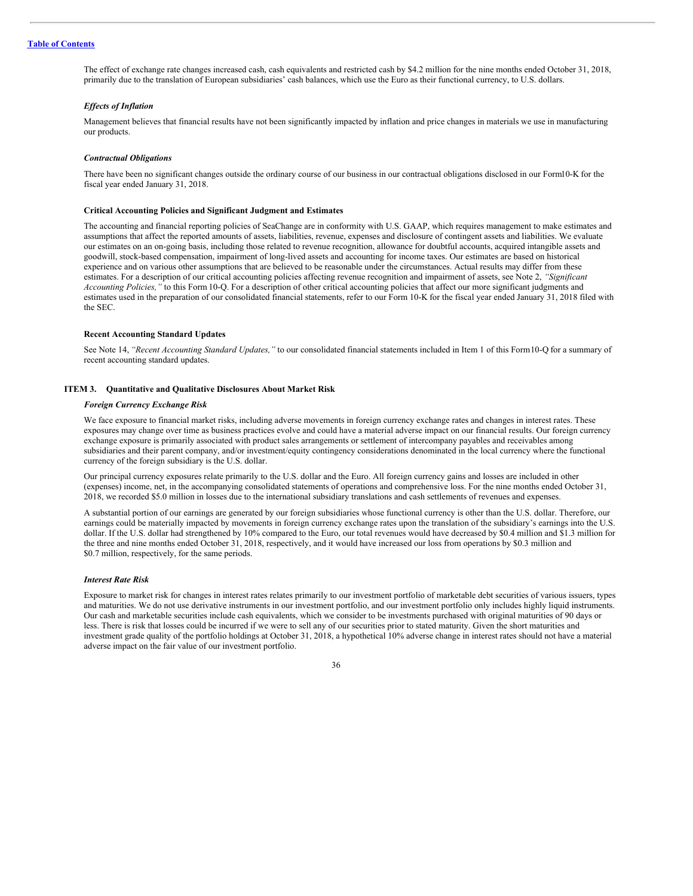The effect of exchange rate changes increased cash, cash equivalents and restricted cash by \$4.2 million for the nine months ended October 31, 2018, primarily due to the translation of European subsidiaries' cash balances, which use the Euro as their functional currency, to U.S. dollars.

## *Ef ects of Inflation*

Management believes that financial results have not been significantly impacted by inflation and price changes in materials we use in manufacturing our products.

#### *Contractual Obligations*

There have been no significant changes outside the ordinary course of our business in our contractual obligations disclosed in our Form10-K for the fiscal year ended January 31, 2018.

## **Critical Accounting Policies and Significant Judgment and Estimates**

The accounting and financial reporting policies of SeaChange are in conformity with U.S. GAAP, which requires management to make estimates and assumptions that affect the reported amounts of assets, liabilities, revenue, expenses and disclosure of contingent assets and liabilities. We evaluate our estimates on an on-going basis, including those related to revenue recognition, allowance for doubtful accounts, acquired intangible assets and goodwill, stock-based compensation, impairment of long-lived assets and accounting for income taxes. Our estimates are based on historical experience and on various other assumptions that are believed to be reasonable under the circumstances. Actual results may differ from these estimates. For a description of our critical accounting policies affecting revenue recognition and impairment of assets, see Note 2, *"Significant Accounting Policies,"* to this Form 10-Q. For a description of other critical accounting policies that affect our more significant judgments and estimates used in the preparation of our consolidated financial statements, refer to our Form 10-K for the fiscal year ended January 31, 2018 filed with the SEC.

## **Recent Accounting Standard Updates**

See Note 14, *"Recent Accounting Standard Updates,"* to our consolidated financial statements included in Item 1 of this Form10-Q for a summary of recent accounting standard updates.

#### <span id="page-38-0"></span>**ITEM 3. Quantitative and Qualitative Disclosures About Market Risk**

#### *Foreign Currency Exchange Risk*

We face exposure to financial market risks, including adverse movements in foreign currency exchange rates and changes in interest rates. These exposures may change over time as business practices evolve and could have a material adverse impact on our financial results. Our foreign currency exchange exposure is primarily associated with product sales arrangements or settlement of intercompany payables and receivables among subsidiaries and their parent company, and/or investment/equity contingency considerations denominated in the local currency where the functional currency of the foreign subsidiary is the U.S. dollar.

Our principal currency exposures relate primarily to the U.S. dollar and the Euro. All foreign currency gains and losses are included in other (expenses) income, net, in the accompanying consolidated statements of operations and comprehensive loss. For the nine months ended October 31, 2018, we recorded \$5.0 million in losses due to the international subsidiary translations and cash settlements of revenues and expenses.

A substantial portion of our earnings are generated by our foreign subsidiaries whose functional currency is other than the U.S. dollar. Therefore, our earnings could be materially impacted by movements in foreign currency exchange rates upon the translation of the subsidiary's earnings into the U.S. dollar. If the U.S. dollar had strengthened by 10% compared to the Euro, our total revenues would have decreased by \$0.4 million and \$1.3 million for the three and nine months ended October 31, 2018, respectively, and it would have increased our loss from operations by \$0.3 million and \$0.7 million, respectively, for the same periods.

#### *Interest Rate Risk*

Exposure to market risk for changes in interest rates relates primarily to our investment portfolio of marketable debt securities of various issuers, types and maturities. We do not use derivative instruments in our investment portfolio, and our investment portfolio only includes highly liquid instruments. Our cash and marketable securities include cash equivalents, which we consider to be investments purchased with original maturities of 90 days or less. There is risk that losses could be incurred if we were to sell any of our securities prior to stated maturity. Given the short maturities and investment grade quality of the portfolio holdings at October 31, 2018, a hypothetical 10% adverse change in interest rates should not have a material adverse impact on the fair value of our investment portfolio.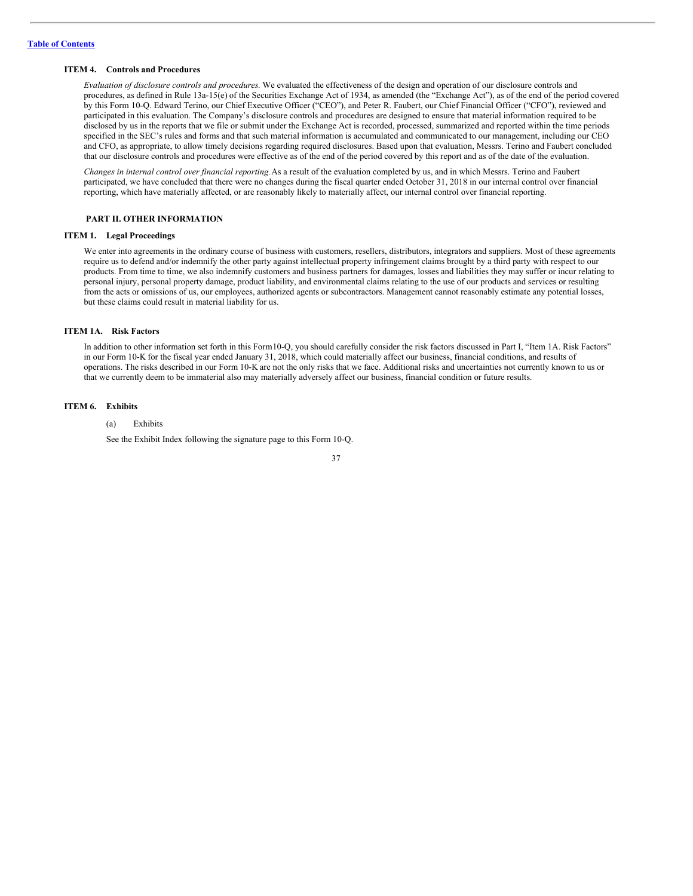## <span id="page-39-0"></span>**ITEM 4. Controls and Procedures**

*Evaluation of disclosure controls and procedures.* We evaluated the effectiveness of the design and operation of our disclosure controls and procedures, as defined in Rule 13a-15(e) of the Securities Exchange Act of 1934, as amended (the "Exchange Act"), as of the end of the period covered by this Form 10-Q. Edward Terino, our Chief Executive Officer ("CEO"), and Peter R. Faubert, our Chief Financial Officer ("CFO"), reviewed and participated in this evaluation. The Company's disclosure controls and procedures are designed to ensure that material information required to be disclosed by us in the reports that we file or submit under the Exchange Act is recorded, processed, summarized and reported within the time periods specified in the SEC's rules and forms and that such material information is accumulated and communicated to our management, including our CEO and CFO, as appropriate, to allow timely decisions regarding required disclosures. Based upon that evaluation, Messrs. Terino and Faubert concluded that our disclosure controls and procedures were effective as of the end of the period covered by this report and as of the date of the evaluation.

*Changes in internal control over financial reporting.*As a result of the evaluation completed by us, and in which Messrs. Terino and Faubert participated, we have concluded that there were no changes during the fiscal quarter ended October 31, 2018 in our internal control over financial reporting, which have materially affected, or are reasonably likely to materially affect, our internal control over financial reporting.

## <span id="page-39-1"></span>**PART II. OTHER INFORMATION**

## <span id="page-39-2"></span>**ITEM 1. Legal Proceedings**

We enter into agreements in the ordinary course of business with customers, resellers, distributors, integrators and suppliers. Most of these agreements require us to defend and/or indemnify the other party against intellectual property infringement claims brought by a third party with respect to our products. From time to time, we also indemnify customers and business partners for damages, losses and liabilities they may suffer or incur relating to personal injury, personal property damage, product liability, and environmental claims relating to the use of our products and services or resulting from the acts or omissions of us, our employees, authorized agents or subcontractors. Management cannot reasonably estimate any potential losses, but these claims could result in material liability for us.

## <span id="page-39-3"></span>**ITEM 1A. Risk Factors**

In addition to other information set forth in this Form10-Q, you should carefully consider the risk factors discussed in Part I, "Item 1A. Risk Factors" in our Form 10-K for the fiscal year ended January 31, 2018, which could materially affect our business, financial conditions, and results of operations. The risks described in our Form 10-K are not the only risks that we face. Additional risks and uncertainties not currently known to us or that we currently deem to be immaterial also may materially adversely affect our business, financial condition or future results.

#### <span id="page-39-4"></span>**ITEM 6. Exhibits**

## (a) Exhibits

See the Exhibit Index following the signature page to this Form 10-Q.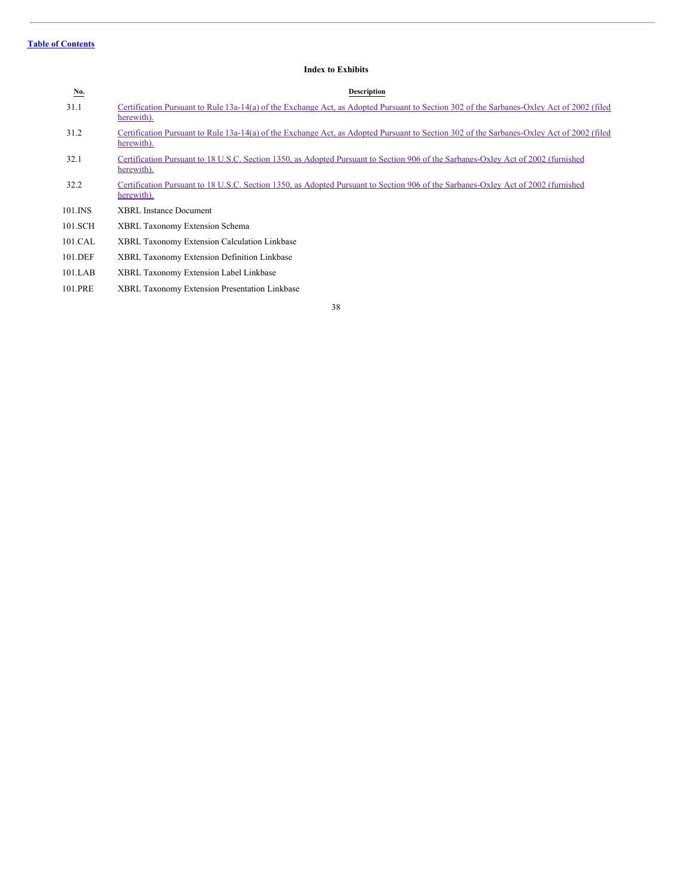# **Index to Exhibits**

| No.     | <b>Description</b>                                                                                                                                      |
|---------|---------------------------------------------------------------------------------------------------------------------------------------------------------|
| 31.1    | Certification Pursuant to Rule 13a-14(a) of the Exchange Act, as Adopted Pursuant to Section 302 of the Sarbanes-Oxley Act of 2002 (filed<br>herewith). |
| 31.2    | Certification Pursuant to Rule 13a-14(a) of the Exchange Act, as Adopted Pursuant to Section 302 of the Sarbanes-Oxley Act of 2002 (filed<br>herewith). |
| 32.1    | Certification Pursuant to 18 U.S.C. Section 1350, as Adopted Pursuant to Section 906 of the Sarbanes-Oxley Act of 2002 (furnished<br>herewith).         |
| 32.2    | Certification Pursuant to 18 U.S.C. Section 1350, as Adopted Pursuant to Section 906 of the Sarbanes-Oxley Act of 2002 (furnished<br>herewith).         |
| 101.INS | <b>XBRL</b> Instance Document                                                                                                                           |
| 101.SCH | <b>XBRL Taxonomy Extension Schema</b>                                                                                                                   |
| 101.CAL | <b>XBRL Taxonomy Extension Calculation Linkbase</b>                                                                                                     |
| 101.DEF | XBRL Taxonomy Extension Definition Linkbase                                                                                                             |
| 101.LAB | XBRL Taxonomy Extension Label Linkbase                                                                                                                  |
| 101.PRE | <b>XBRL Taxonomy Extension Presentation Linkbase</b>                                                                                                    |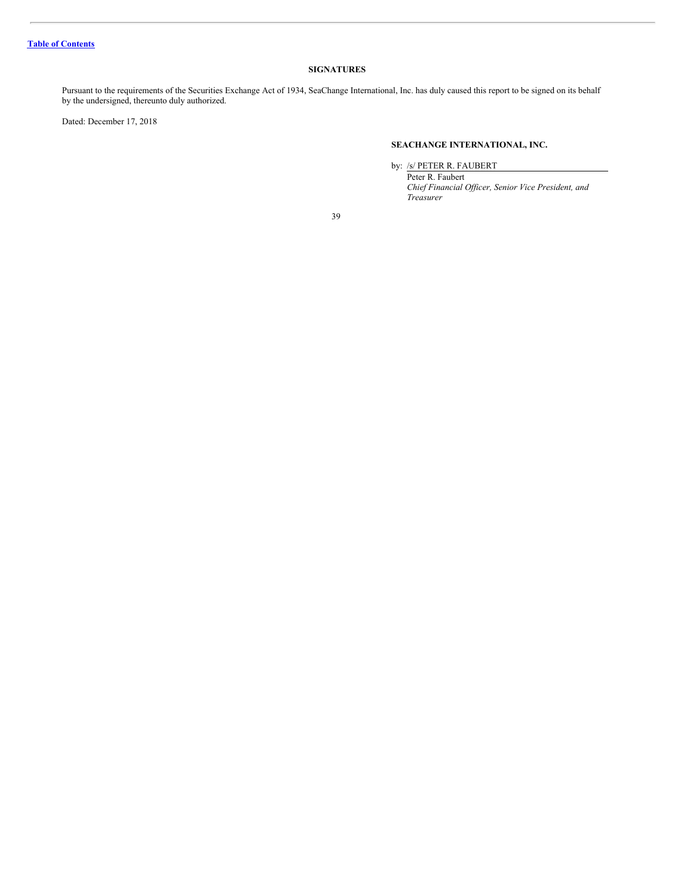## <span id="page-41-0"></span>**SIGNATURES**

Pursuant to the requirements of the Securities Exchange Act of 1934, SeaChange International, Inc. has duly caused this report to be signed on its behalf by the undersigned, thereunto duly authorized.

Dated: December 17, 2018

# **SEACHANGE INTERNATIONAL, INC.**

by: /s/ PETER R. FAUBERT

Peter R. Faubert *Chief Financial Of icer, Senior Vice President, and Treasurer*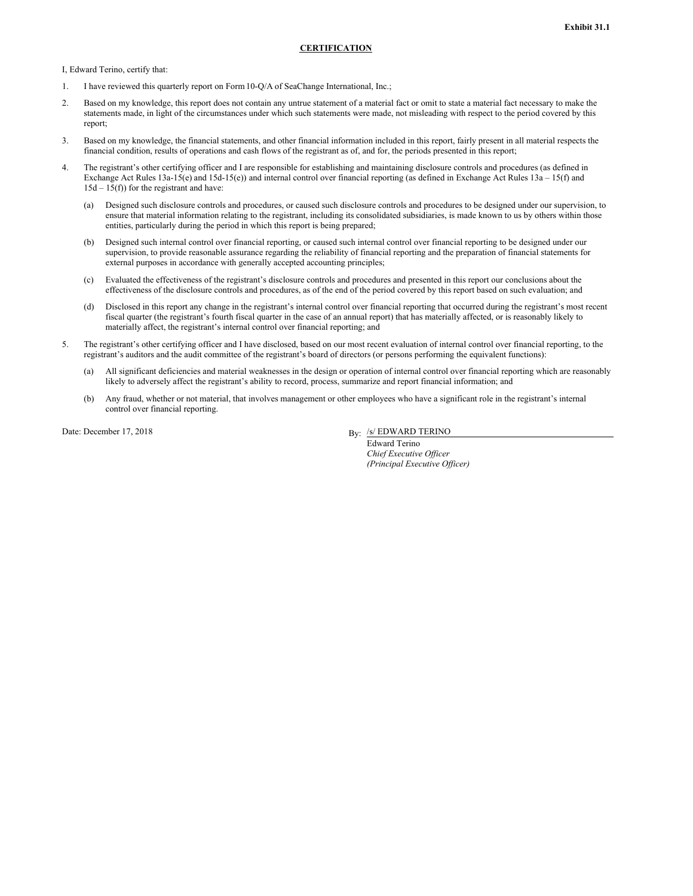## **CERTIFICATION**

<span id="page-42-0"></span>I, Edward Terino, certify that:

- 1. I have reviewed this quarterly report on Form10-Q/A of SeaChange International, Inc.;
- 2. Based on my knowledge, this report does not contain any untrue statement of a material fact or omit to state a material fact necessary to make the statements made, in light of the circumstances under which such statements were made, not misleading with respect to the period covered by this report;
- 3. Based on my knowledge, the financial statements, and other financial information included in this report, fairly present in all material respects the financial condition, results of operations and cash flows of the registrant as of, and for, the periods presented in this report;
- 4. The registrant's other certifying officer and I are responsible for establishing and maintaining disclosure controls and procedures (as defined in Exchange Act Rules 13a-15(e) and 15d-15(e)) and internal control over financial reporting (as defined in Exchange Act Rules 13a – 15(f) and  $15d - 15(f)$  for the registrant and have:
	- (a) Designed such disclosure controls and procedures, or caused such disclosure controls and procedures to be designed under our supervision, to ensure that material information relating to the registrant, including its consolidated subsidiaries, is made known to us by others within those entities, particularly during the period in which this report is being prepared;
	- (b) Designed such internal control over financial reporting, or caused such internal control over financial reporting to be designed under our supervision, to provide reasonable assurance regarding the reliability of financial reporting and the preparation of financial statements for external purposes in accordance with generally accepted accounting principles;
	- (c) Evaluated the effectiveness of the registrant's disclosure controls and procedures and presented in this report our conclusions about the effectiveness of the disclosure controls and procedures, as of the end of the period covered by this report based on such evaluation; and
	- (d) Disclosed in this report any change in the registrant's internal control over financial reporting that occurred during the registrant's most recent fiscal quarter (the registrant's fourth fiscal quarter in the case of an annual report) that has materially affected, or is reasonably likely to materially affect, the registrant's internal control over financial reporting; and
- 5. The registrant's other certifying officer and I have disclosed, based on our most recent evaluation of internal control over financial reporting, to the registrant's auditors and the audit committee of the registrant's board of directors (or persons performing the equivalent functions):
	- (a) All significant deficiencies and material weaknesses in the design or operation of internal control over financial reporting which are reasonably likely to adversely affect the registrant's ability to record, process, summarize and report financial information; and
	- (b) Any fraud, whether or not material, that involves management or other employees who have a significant role in the registrant's internal control over financial reporting.

Date: December 17, 2018

By: /s/ EDWARD TERINO

Edward Terino *Chief Executive Of icer (Principal Executive Of icer)*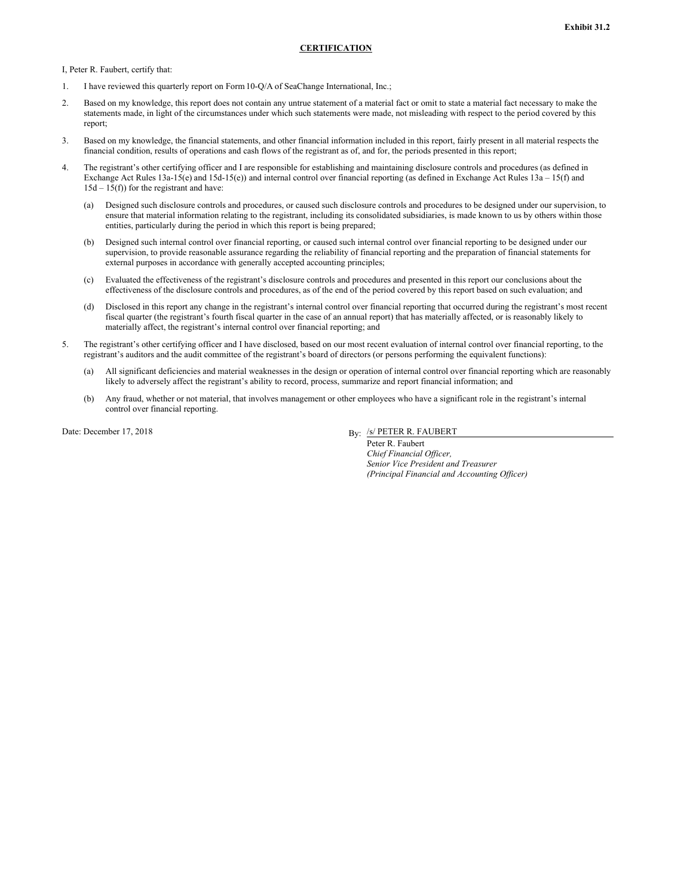## **CERTIFICATION**

<span id="page-43-0"></span>I, Peter R. Faubert, certify that:

- 1. I have reviewed this quarterly report on Form10-Q/A of SeaChange International, Inc.;
- 2. Based on my knowledge, this report does not contain any untrue statement of a material fact or omit to state a material fact necessary to make the statements made, in light of the circumstances under which such statements were made, not misleading with respect to the period covered by this report;
- 3. Based on my knowledge, the financial statements, and other financial information included in this report, fairly present in all material respects the financial condition, results of operations and cash flows of the registrant as of, and for, the periods presented in this report;
- 4. The registrant's other certifying officer and I are responsible for establishing and maintaining disclosure controls and procedures (as defined in Exchange Act Rules 13a-15(e) and 15d-15(e)) and internal control over financial reporting (as defined in Exchange Act Rules 13a – 15(f) and  $15d - 15(f)$  for the registrant and have:
	- (a) Designed such disclosure controls and procedures, or caused such disclosure controls and procedures to be designed under our supervision, to ensure that material information relating to the registrant, including its consolidated subsidiaries, is made known to us by others within those entities, particularly during the period in which this report is being prepared;
	- (b) Designed such internal control over financial reporting, or caused such internal control over financial reporting to be designed under our supervision, to provide reasonable assurance regarding the reliability of financial reporting and the preparation of financial statements for external purposes in accordance with generally accepted accounting principles;
	- (c) Evaluated the effectiveness of the registrant's disclosure controls and procedures and presented in this report our conclusions about the effectiveness of the disclosure controls and procedures, as of the end of the period covered by this report based on such evaluation; and
	- (d) Disclosed in this report any change in the registrant's internal control over financial reporting that occurred during the registrant's most recent fiscal quarter (the registrant's fourth fiscal quarter in the case of an annual report) that has materially affected, or is reasonably likely to materially affect, the registrant's internal control over financial reporting; and
- 5. The registrant's other certifying officer and I have disclosed, based on our most recent evaluation of internal control over financial reporting, to the registrant's auditors and the audit committee of the registrant's board of directors (or persons performing the equivalent functions):
	- (a) All significant deficiencies and material weaknesses in the design or operation of internal control over financial reporting which are reasonably likely to adversely affect the registrant's ability to record, process, summarize and report financial information; and
	- (b) Any fraud, whether or not material, that involves management or other employees who have a significant role in the registrant's internal control over financial reporting.

Date: December 17, 2018

By: /s/ PETER R. FAUBERT

Peter R. Faubert *Chief Financial Of icer, Senior Vice President and Treasurer (Principal Financial and Accounting Of icer)*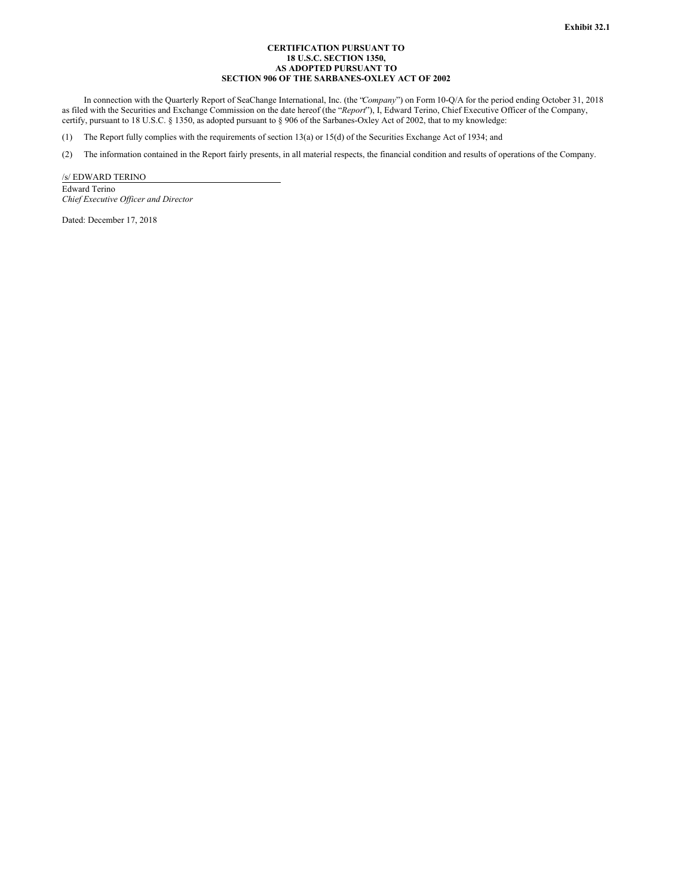## **CERTIFICATION PURSUANT TO 18 U.S.C. SECTION 1350, AS ADOPTED PURSUANT TO SECTION 906 OF THE SARBANES-OXLEY ACT OF 2002**

<span id="page-44-0"></span>In connection with the Quarterly Report of SeaChange International, Inc. (the "*Company*") on Form 10-Q/A for the period ending October 31, 2018 as filed with the Securities and Exchange Commission on the date hereof (the "*Report*"), I, Edward Terino, Chief Executive Officer of the Company, certify, pursuant to 18 U.S.C. § 1350, as adopted pursuant to § 906 of the Sarbanes-Oxley Act of 2002, that to my knowledge:

(1) The Report fully complies with the requirements of section 13(a) or 15(d) of the Securities Exchange Act of 1934; and

(2) The information contained in the Report fairly presents, in all material respects, the financial condition and results of operations of the Company.

/s/ EDWARD TERINO Edward Terino *Chief Executive Of icer and Director*

Dated: December 17, 2018